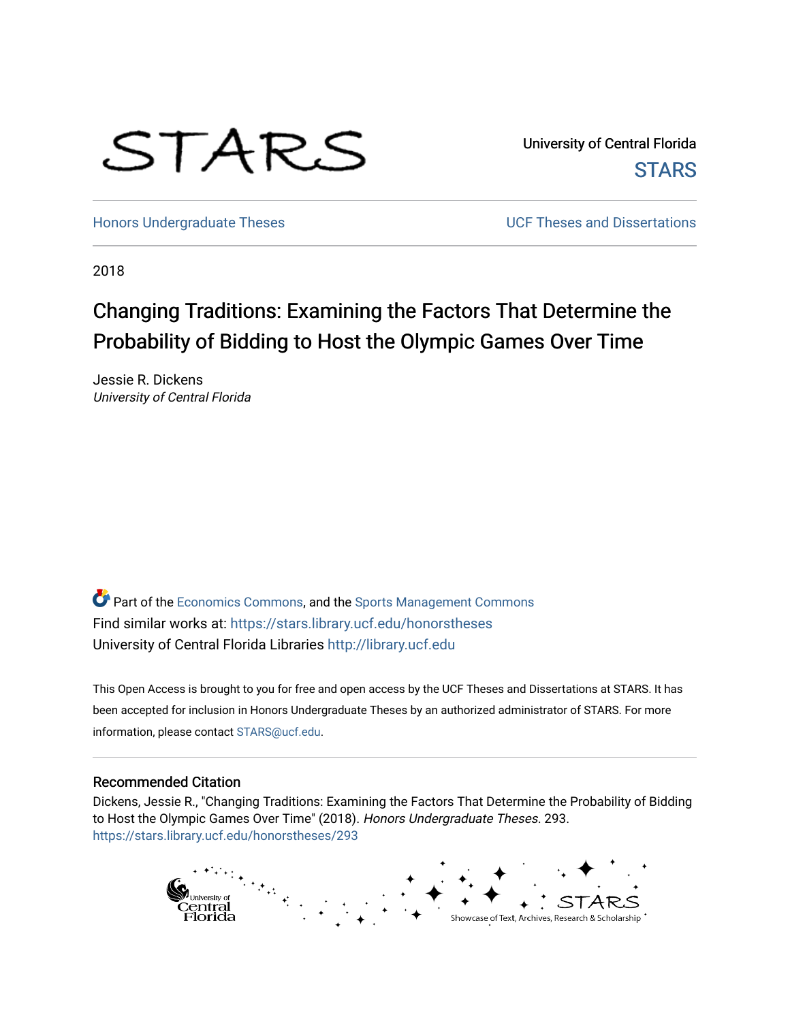

University of Central Florida **STARS** 

[Honors Undergraduate Theses](https://stars.library.ucf.edu/honorstheses) **No. 2018** UCF Theses and Dissertations

2018

# Changing Traditions: Examining the Factors That Determine the Probability of Bidding to Host the Olympic Games Over Time

Jessie R. Dickens University of Central Florida

Part of the [Economics Commons](http://network.bepress.com/hgg/discipline/340?utm_source=stars.library.ucf.edu%2Fhonorstheses%2F293&utm_medium=PDF&utm_campaign=PDFCoverPages), and the [Sports Management Commons](http://network.bepress.com/hgg/discipline/1193?utm_source=stars.library.ucf.edu%2Fhonorstheses%2F293&utm_medium=PDF&utm_campaign=PDFCoverPages) Find similar works at: <https://stars.library.ucf.edu/honorstheses> University of Central Florida Libraries [http://library.ucf.edu](http://library.ucf.edu/) 

This Open Access is brought to you for free and open access by the UCF Theses and Dissertations at STARS. It has been accepted for inclusion in Honors Undergraduate Theses by an authorized administrator of STARS. For more information, please contact [STARS@ucf.edu.](mailto:STARS@ucf.edu)

#### Recommended Citation

Dickens, Jessie R., "Changing Traditions: Examining the Factors That Determine the Probability of Bidding to Host the Olympic Games Over Time" (2018). Honors Undergraduate Theses. 293. [https://stars.library.ucf.edu/honorstheses/293](https://stars.library.ucf.edu/honorstheses/293?utm_source=stars.library.ucf.edu%2Fhonorstheses%2F293&utm_medium=PDF&utm_campaign=PDFCoverPages) 

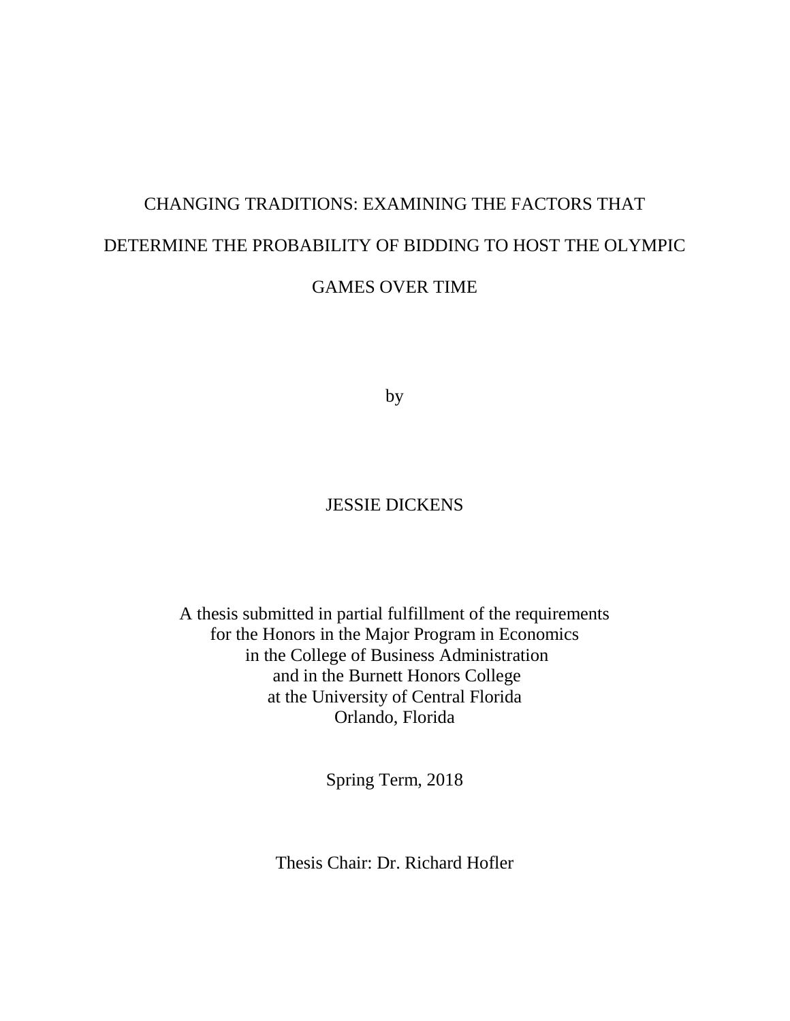# CHANGING TRADITIONS: EXAMINING THE FACTORS THAT DETERMINE THE PROBABILITY OF BIDDING TO HOST THE OLYMPIC GAMES OVER TIME

by

## JESSIE DICKENS

A thesis submitted in partial fulfillment of the requirements for the Honors in the Major Program in Economics in the College of Business Administration and in the Burnett Honors College at the University of Central Florida Orlando, Florida

Spring Term, 2018

Thesis Chair: Dr. Richard Hofler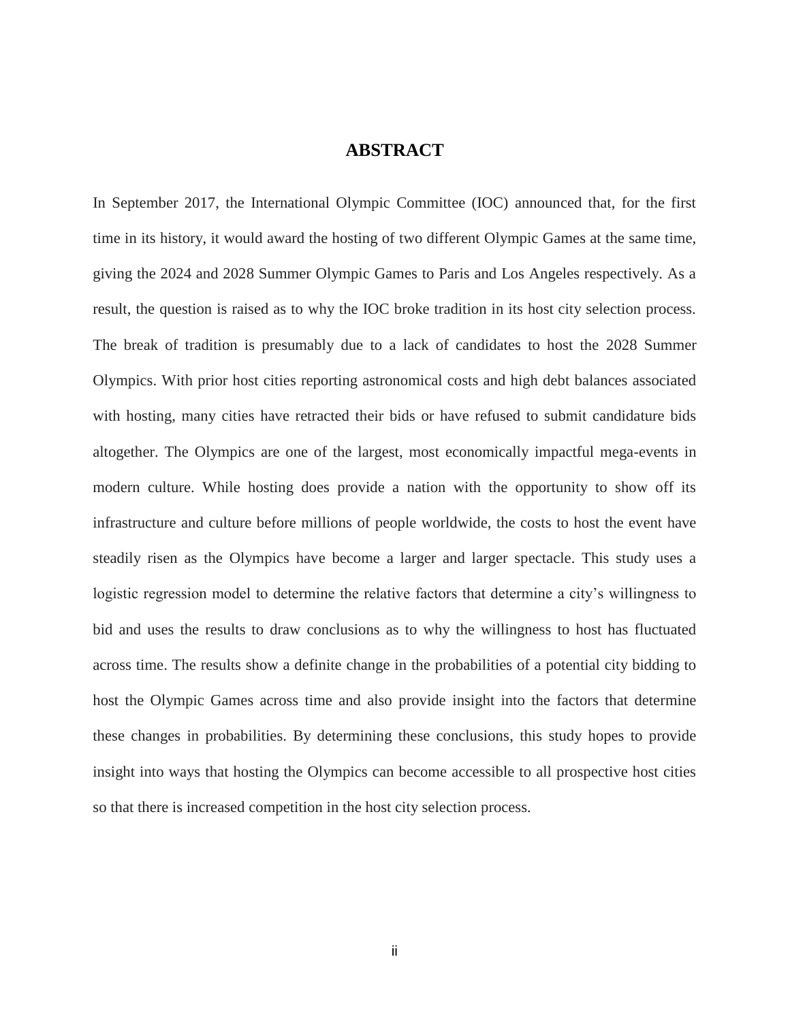## **ABSTRACT**

In September 2017, the International Olympic Committee (IOC) announced that, for the first time in its history, it would award the hosting of two different Olympic Games at the same time, giving the 2024 and 2028 Summer Olympic Games to Paris and Los Angeles respectively. As a result, the question is raised as to why the IOC broke tradition in its host city selection process. The break of tradition is presumably due to a lack of candidates to host the 2028 Summer Olympics. With prior host cities reporting astronomical costs and high debt balances associated with hosting, many cities have retracted their bids or have refused to submit candidature bids altogether. The Olympics are one of the largest, most economically impactful mega-events in modern culture. While hosting does provide a nation with the opportunity to show off its infrastructure and culture before millions of people worldwide, the costs to host the event have steadily risen as the Olympics have become a larger and larger spectacle. This study uses a logistic regression model to determine the relative factors that determine a city's willingness to bid and uses the results to draw conclusions as to why the willingness to host has fluctuated across time. The results show a definite change in the probabilities of a potential city bidding to host the Olympic Games across time and also provide insight into the factors that determine these changes in probabilities. By determining these conclusions, this study hopes to provide insight into ways that hosting the Olympics can become accessible to all prospective host cities so that there is increased competition in the host city selection process.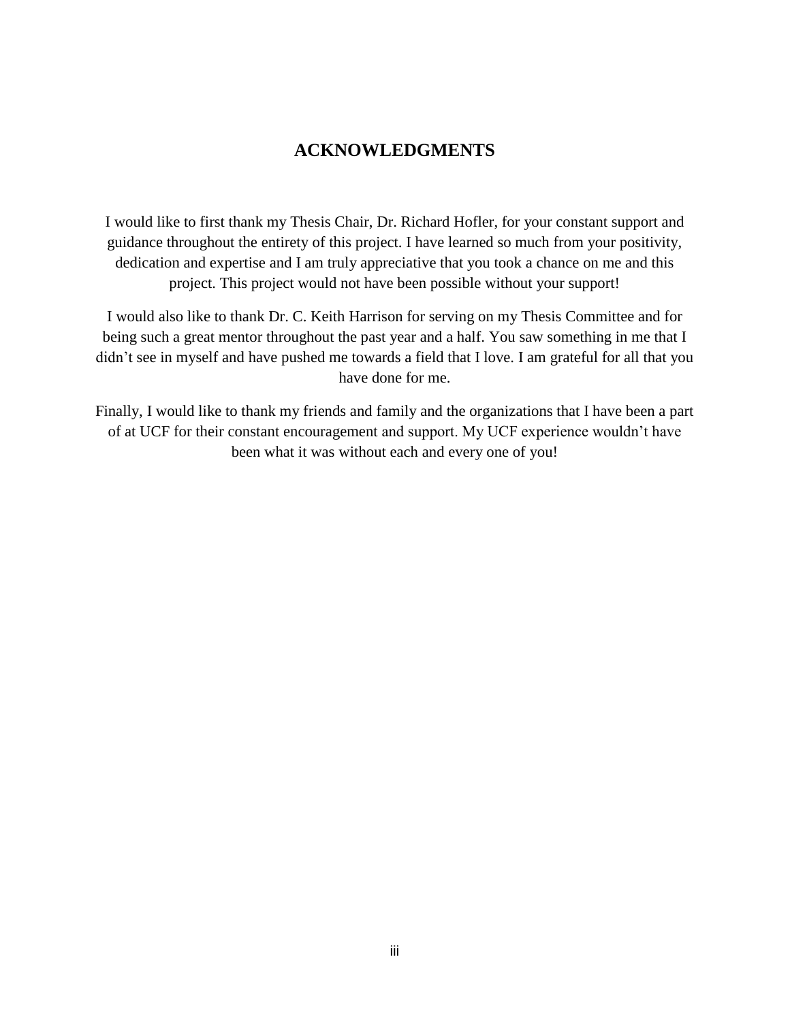## **ACKNOWLEDGMENTS**

I would like to first thank my Thesis Chair, Dr. Richard Hofler, for your constant support and guidance throughout the entirety of this project. I have learned so much from your positivity, dedication and expertise and I am truly appreciative that you took a chance on me and this project. This project would not have been possible without your support!

I would also like to thank Dr. C. Keith Harrison for serving on my Thesis Committee and for being such a great mentor throughout the past year and a half. You saw something in me that I didn't see in myself and have pushed me towards a field that I love. I am grateful for all that you have done for me.

Finally, I would like to thank my friends and family and the organizations that I have been a part of at UCF for their constant encouragement and support. My UCF experience wouldn't have been what it was without each and every one of you!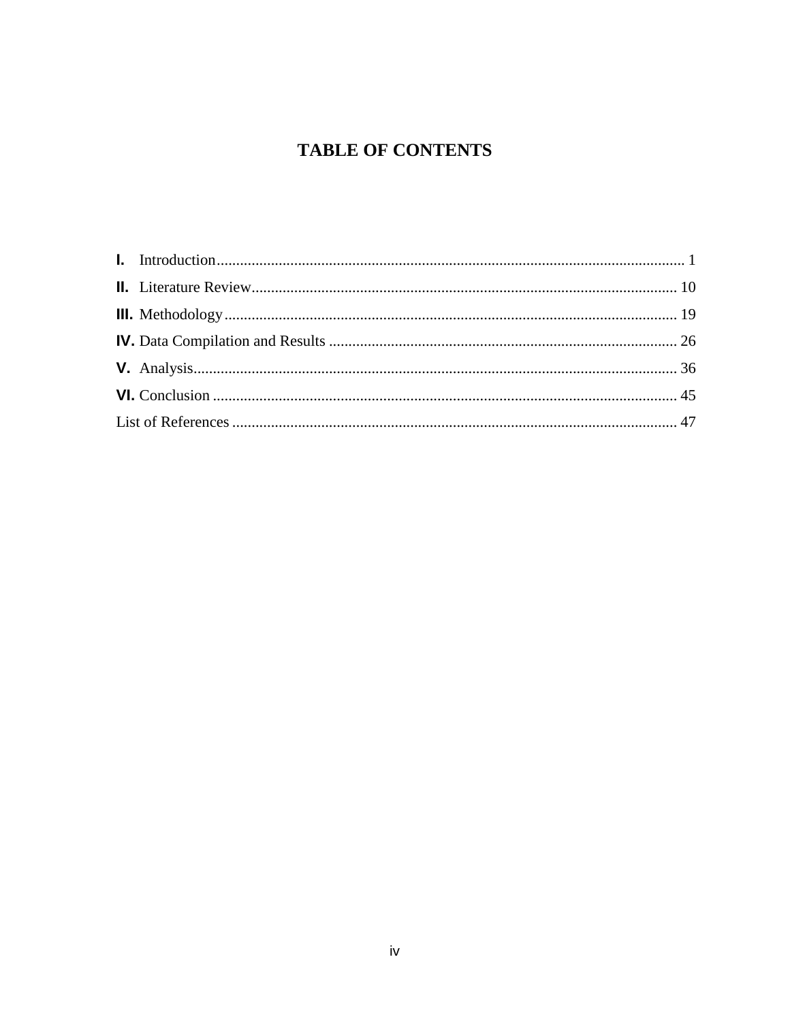## **TABLE OF CONTENTS**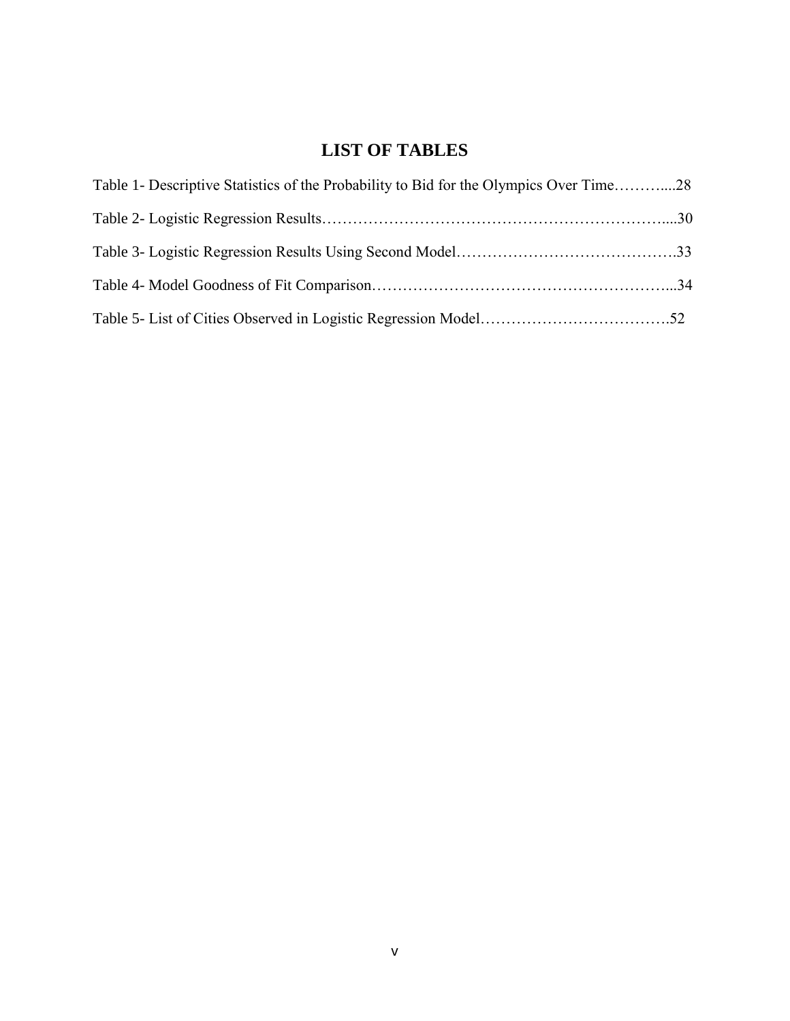## **LIST OF TABLES**

| Table 1- Descriptive Statistics of the Probability to Bid for the Olympics Over Time28 |  |
|----------------------------------------------------------------------------------------|--|
|                                                                                        |  |
|                                                                                        |  |
|                                                                                        |  |
|                                                                                        |  |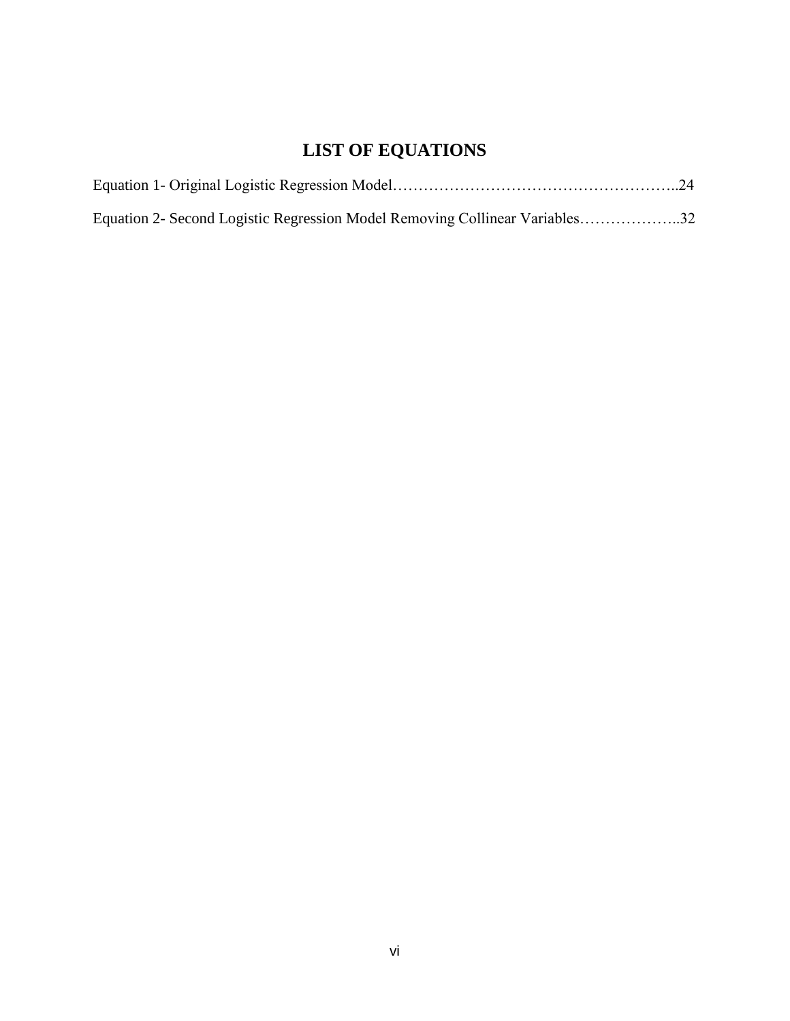# **LIST OF EQUATIONS**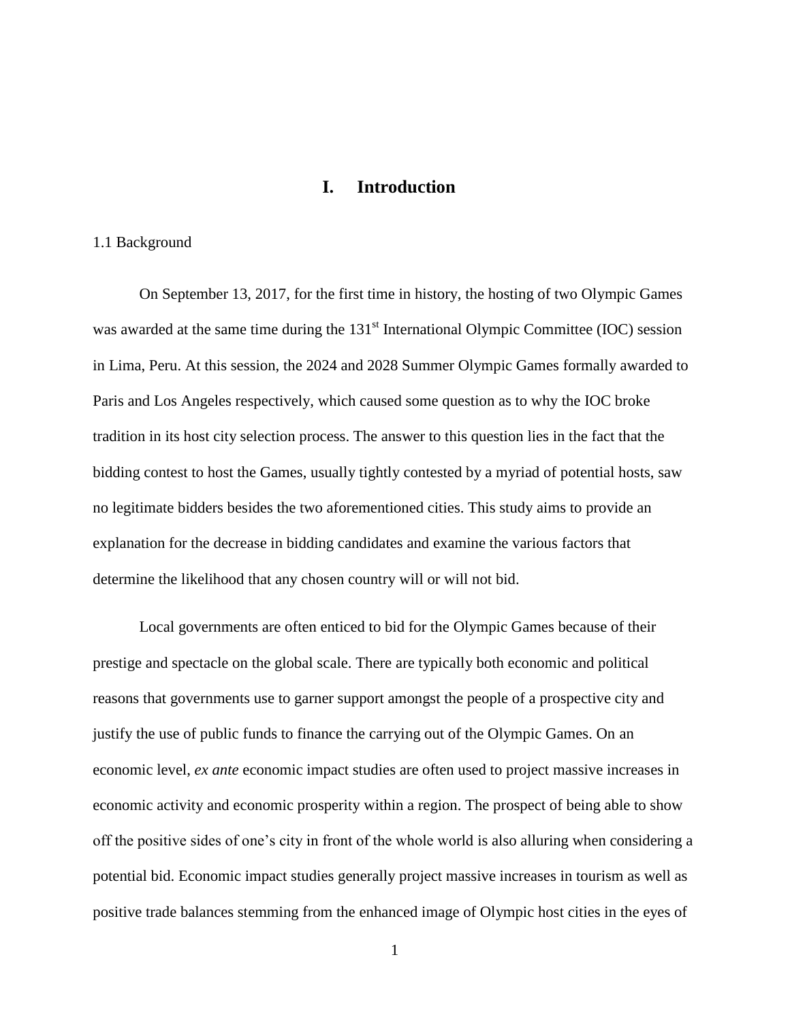## **I. Introduction**

#### <span id="page-7-0"></span>1.1 Background

On September 13, 2017, for the first time in history, the hosting of two Olympic Games was awarded at the same time during the  $131<sup>st</sup>$  International Olympic Committee (IOC) session in Lima, Peru. At this session, the 2024 and 2028 Summer Olympic Games formally awarded to Paris and Los Angeles respectively, which caused some question as to why the IOC broke tradition in its host city selection process. The answer to this question lies in the fact that the bidding contest to host the Games, usually tightly contested by a myriad of potential hosts, saw no legitimate bidders besides the two aforementioned cities. This study aims to provide an explanation for the decrease in bidding candidates and examine the various factors that determine the likelihood that any chosen country will or will not bid.

Local governments are often enticed to bid for the Olympic Games because of their prestige and spectacle on the global scale. There are typically both economic and political reasons that governments use to garner support amongst the people of a prospective city and justify the use of public funds to finance the carrying out of the Olympic Games. On an economic level, *ex ante* economic impact studies are often used to project massive increases in economic activity and economic prosperity within a region. The prospect of being able to show off the positive sides of one's city in front of the whole world is also alluring when considering a potential bid. Economic impact studies generally project massive increases in tourism as well as positive trade balances stemming from the enhanced image of Olympic host cities in the eyes of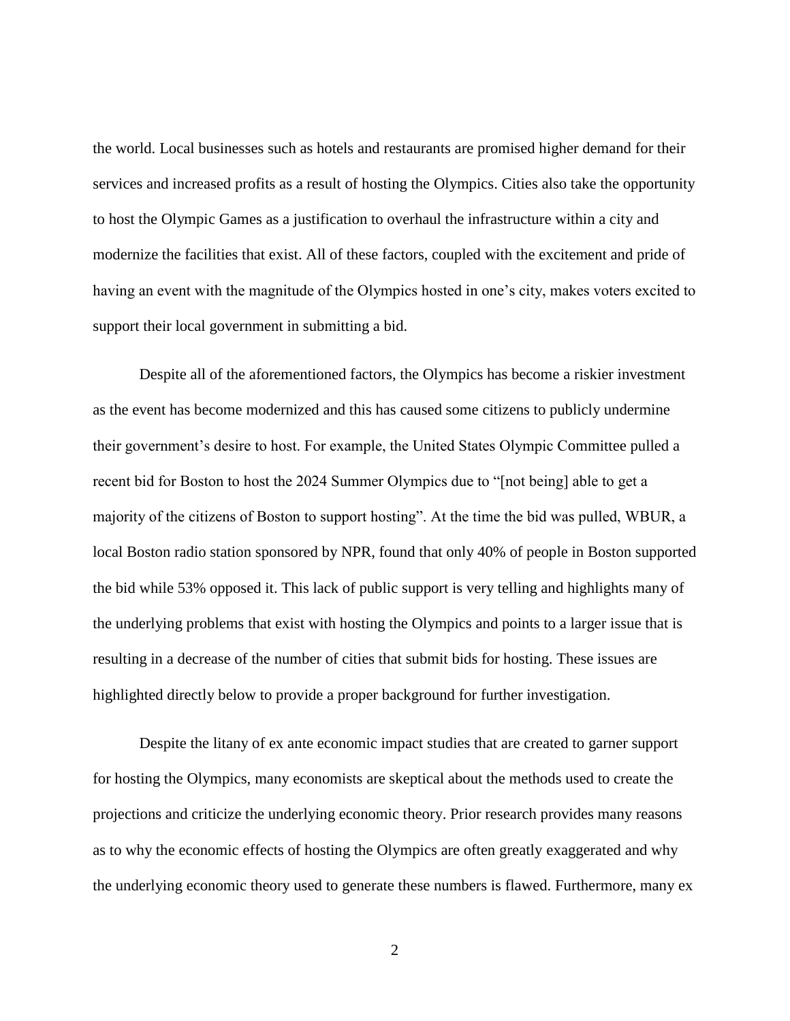the world. Local businesses such as hotels and restaurants are promised higher demand for their services and increased profits as a result of hosting the Olympics. Cities also take the opportunity to host the Olympic Games as a justification to overhaul the infrastructure within a city and modernize the facilities that exist. All of these factors, coupled with the excitement and pride of having an event with the magnitude of the Olympics hosted in one's city, makes voters excited to support their local government in submitting a bid.

Despite all of the aforementioned factors, the Olympics has become a riskier investment as the event has become modernized and this has caused some citizens to publicly undermine their government's desire to host. For example, the United States Olympic Committee pulled a recent bid for Boston to host the 2024 Summer Olympics due to "[not being] able to get a majority of the citizens of Boston to support hosting". At the time the bid was pulled, WBUR, a local Boston radio station sponsored by NPR, found that only 40% of people in Boston supported the bid while 53% opposed it. This lack of public support is very telling and highlights many of the underlying problems that exist with hosting the Olympics and points to a larger issue that is resulting in a decrease of the number of cities that submit bids for hosting. These issues are highlighted directly below to provide a proper background for further investigation.

Despite the litany of ex ante economic impact studies that are created to garner support for hosting the Olympics, many economists are skeptical about the methods used to create the projections and criticize the underlying economic theory. Prior research provides many reasons as to why the economic effects of hosting the Olympics are often greatly exaggerated and why the underlying economic theory used to generate these numbers is flawed. Furthermore, many ex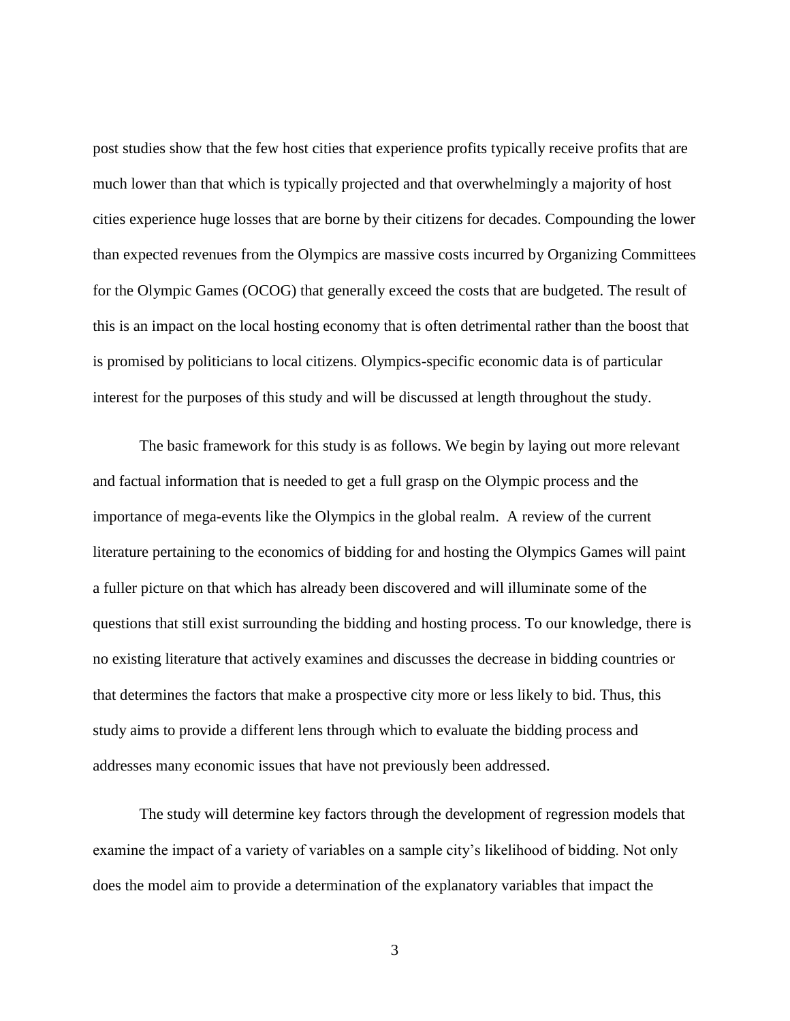post studies show that the few host cities that experience profits typically receive profits that are much lower than that which is typically projected and that overwhelmingly a majority of host cities experience huge losses that are borne by their citizens for decades. Compounding the lower than expected revenues from the Olympics are massive costs incurred by Organizing Committees for the Olympic Games (OCOG) that generally exceed the costs that are budgeted. The result of this is an impact on the local hosting economy that is often detrimental rather than the boost that is promised by politicians to local citizens. Olympics-specific economic data is of particular interest for the purposes of this study and will be discussed at length throughout the study.

The basic framework for this study is as follows. We begin by laying out more relevant and factual information that is needed to get a full grasp on the Olympic process and the importance of mega-events like the Olympics in the global realm. A review of the current literature pertaining to the economics of bidding for and hosting the Olympics Games will paint a fuller picture on that which has already been discovered and will illuminate some of the questions that still exist surrounding the bidding and hosting process. To our knowledge, there is no existing literature that actively examines and discusses the decrease in bidding countries or that determines the factors that make a prospective city more or less likely to bid. Thus, this study aims to provide a different lens through which to evaluate the bidding process and addresses many economic issues that have not previously been addressed.

The study will determine key factors through the development of regression models that examine the impact of a variety of variables on a sample city's likelihood of bidding. Not only does the model aim to provide a determination of the explanatory variables that impact the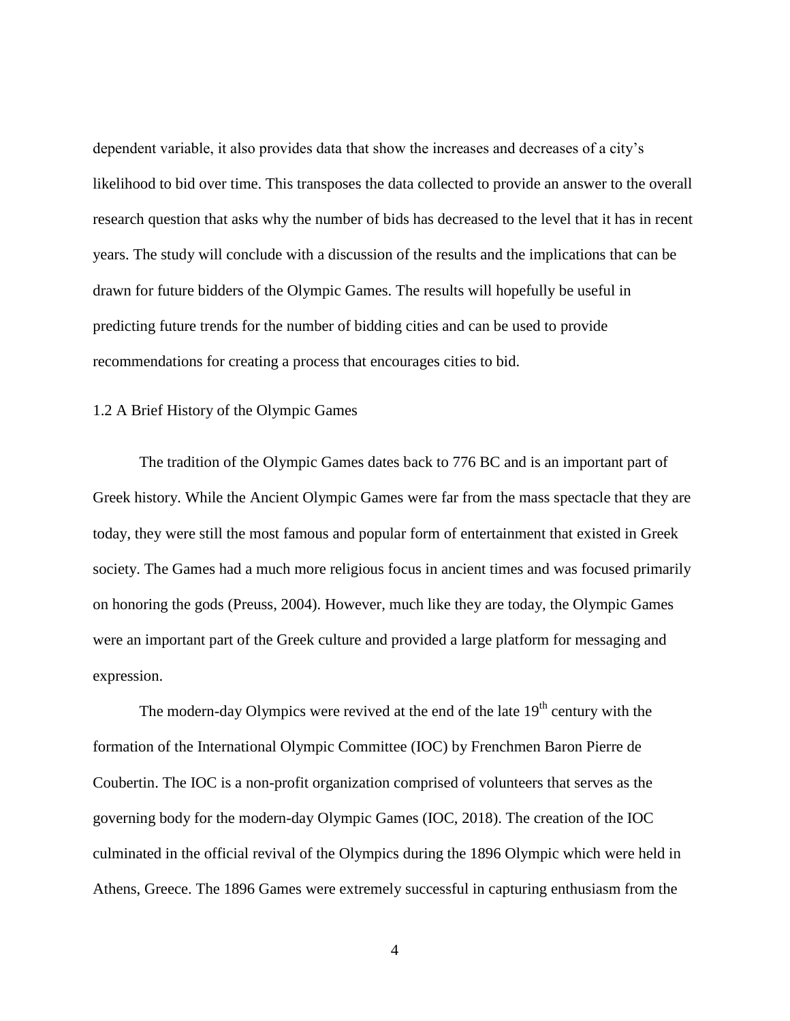dependent variable, it also provides data that show the increases and decreases of a city's likelihood to bid over time. This transposes the data collected to provide an answer to the overall research question that asks why the number of bids has decreased to the level that it has in recent years. The study will conclude with a discussion of the results and the implications that can be drawn for future bidders of the Olympic Games. The results will hopefully be useful in predicting future trends for the number of bidding cities and can be used to provide recommendations for creating a process that encourages cities to bid.

#### 1.2 A Brief History of the Olympic Games

The tradition of the Olympic Games dates back to 776 BC and is an important part of Greek history. While the Ancient Olympic Games were far from the mass spectacle that they are today, they were still the most famous and popular form of entertainment that existed in Greek society. The Games had a much more religious focus in ancient times and was focused primarily on honoring the gods (Preuss, 2004). However, much like they are today, the Olympic Games were an important part of the Greek culture and provided a large platform for messaging and expression.

The modern-day Olympics were revived at the end of the late  $19<sup>th</sup>$  century with the formation of the International Olympic Committee (IOC) by Frenchmen Baron Pierre de Coubertin. The IOC is a non-profit organization comprised of volunteers that serves as the governing body for the modern-day Olympic Games (IOC, 2018). The creation of the IOC culminated in the official revival of the Olympics during the 1896 Olympic which were held in Athens, Greece. The 1896 Games were extremely successful in capturing enthusiasm from the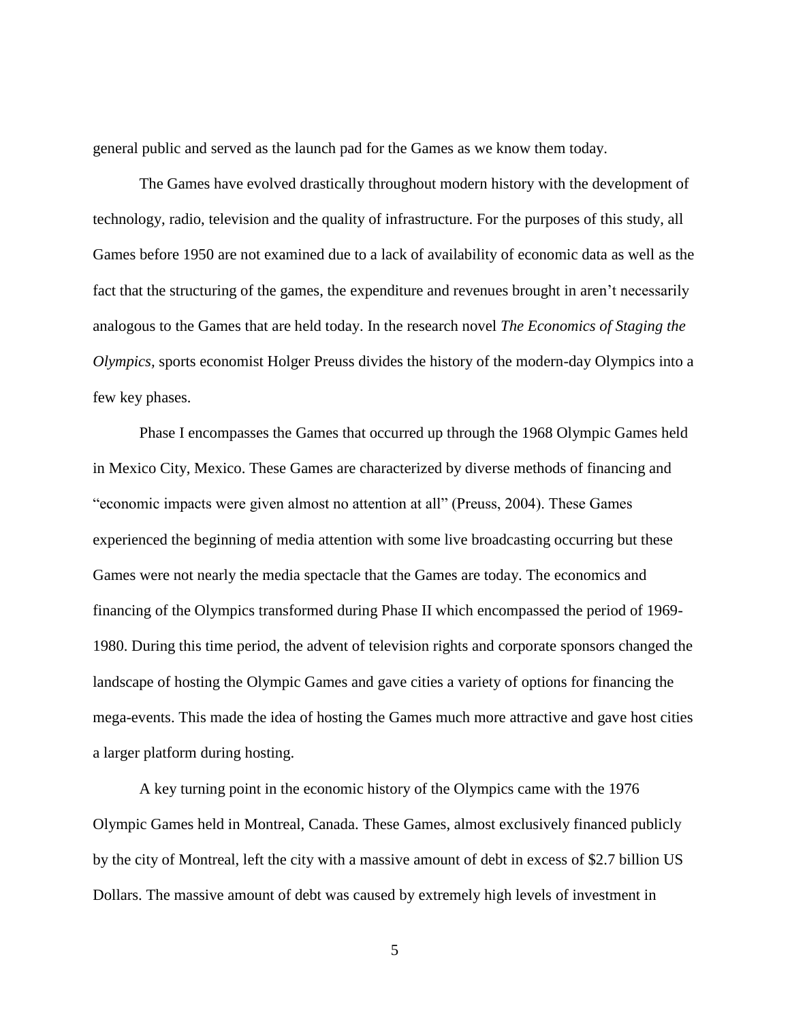general public and served as the launch pad for the Games as we know them today.

The Games have evolved drastically throughout modern history with the development of technology, radio, television and the quality of infrastructure. For the purposes of this study, all Games before 1950 are not examined due to a lack of availability of economic data as well as the fact that the structuring of the games, the expenditure and revenues brought in aren't necessarily analogous to the Games that are held today. In the research novel *The Economics of Staging the Olympics,* sports economist Holger Preuss divides the history of the modern-day Olympics into a few key phases.

Phase I encompasses the Games that occurred up through the 1968 Olympic Games held in Mexico City, Mexico. These Games are characterized by diverse methods of financing and "economic impacts were given almost no attention at all" (Preuss, 2004). These Games experienced the beginning of media attention with some live broadcasting occurring but these Games were not nearly the media spectacle that the Games are today. The economics and financing of the Olympics transformed during Phase II which encompassed the period of 1969- 1980. During this time period, the advent of television rights and corporate sponsors changed the landscape of hosting the Olympic Games and gave cities a variety of options for financing the mega-events. This made the idea of hosting the Games much more attractive and gave host cities a larger platform during hosting.

A key turning point in the economic history of the Olympics came with the 1976 Olympic Games held in Montreal, Canada. These Games, almost exclusively financed publicly by the city of Montreal, left the city with a massive amount of debt in excess of \$2.7 billion US Dollars. The massive amount of debt was caused by extremely high levels of investment in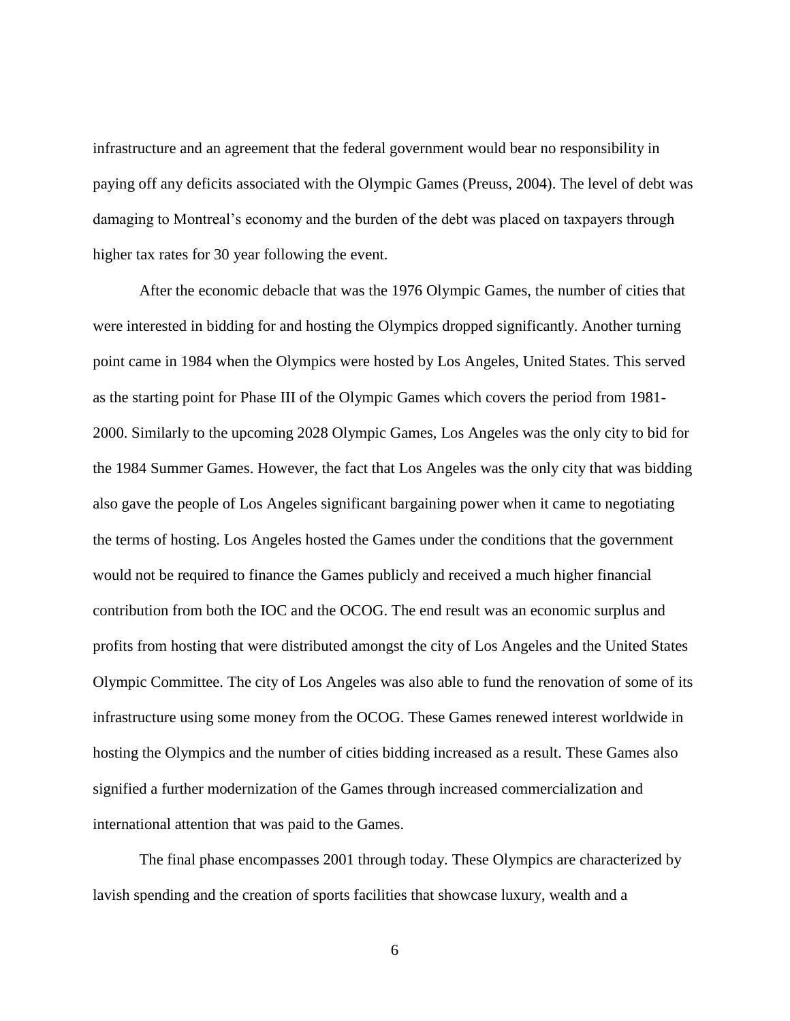infrastructure and an agreement that the federal government would bear no responsibility in paying off any deficits associated with the Olympic Games (Preuss, 2004). The level of debt was damaging to Montreal's economy and the burden of the debt was placed on taxpayers through higher tax rates for 30 year following the event.

After the economic debacle that was the 1976 Olympic Games, the number of cities that were interested in bidding for and hosting the Olympics dropped significantly. Another turning point came in 1984 when the Olympics were hosted by Los Angeles, United States. This served as the starting point for Phase III of the Olympic Games which covers the period from 1981- 2000. Similarly to the upcoming 2028 Olympic Games, Los Angeles was the only city to bid for the 1984 Summer Games. However, the fact that Los Angeles was the only city that was bidding also gave the people of Los Angeles significant bargaining power when it came to negotiating the terms of hosting. Los Angeles hosted the Games under the conditions that the government would not be required to finance the Games publicly and received a much higher financial contribution from both the IOC and the OCOG. The end result was an economic surplus and profits from hosting that were distributed amongst the city of Los Angeles and the United States Olympic Committee. The city of Los Angeles was also able to fund the renovation of some of its infrastructure using some money from the OCOG. These Games renewed interest worldwide in hosting the Olympics and the number of cities bidding increased as a result. These Games also signified a further modernization of the Games through increased commercialization and international attention that was paid to the Games.

The final phase encompasses 2001 through today. These Olympics are characterized by lavish spending and the creation of sports facilities that showcase luxury, wealth and a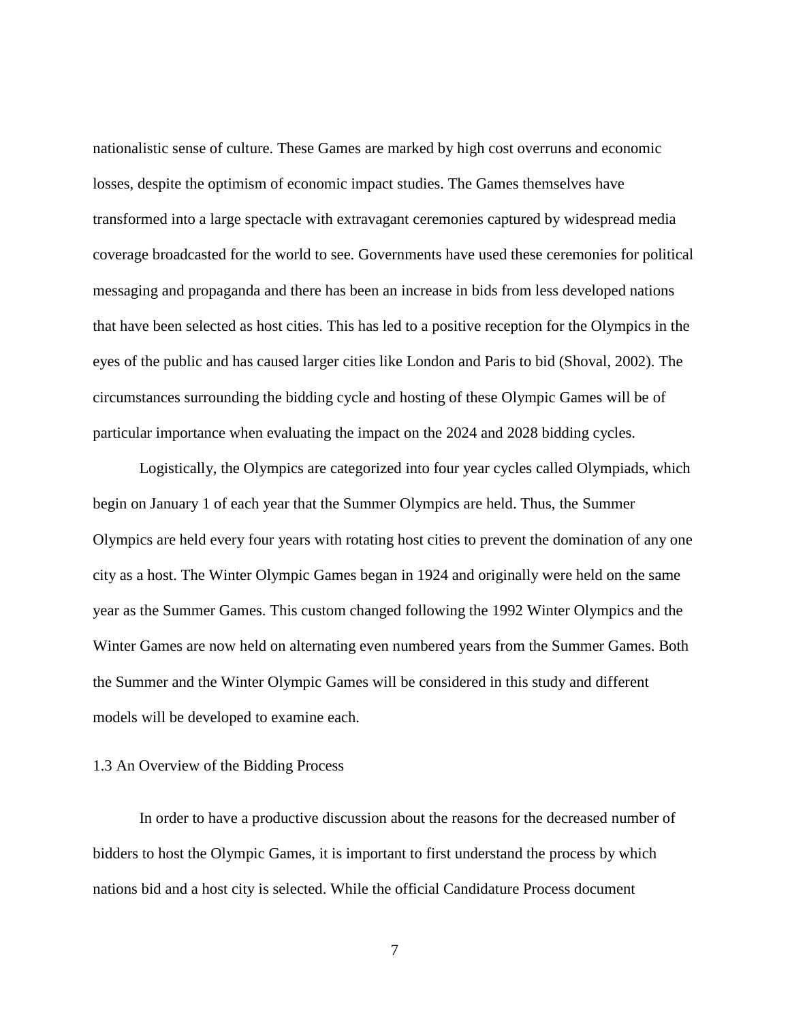nationalistic sense of culture. These Games are marked by high cost overruns and economic losses, despite the optimism of economic impact studies. The Games themselves have transformed into a large spectacle with extravagant ceremonies captured by widespread media coverage broadcasted for the world to see. Governments have used these ceremonies for political messaging and propaganda and there has been an increase in bids from less developed nations that have been selected as host cities. This has led to a positive reception for the Olympics in the eyes of the public and has caused larger cities like London and Paris to bid (Shoval, 2002). The circumstances surrounding the bidding cycle and hosting of these Olympic Games will be of particular importance when evaluating the impact on the 2024 and 2028 bidding cycles.

Logistically, the Olympics are categorized into four year cycles called Olympiads, which begin on January 1 of each year that the Summer Olympics are held. Thus, the Summer Olympics are held every four years with rotating host cities to prevent the domination of any one city as a host. The Winter Olympic Games began in 1924 and originally were held on the same year as the Summer Games. This custom changed following the 1992 Winter Olympics and the Winter Games are now held on alternating even numbered years from the Summer Games. Both the Summer and the Winter Olympic Games will be considered in this study and different models will be developed to examine each.

#### 1.3 An Overview of the Bidding Process

In order to have a productive discussion about the reasons for the decreased number of bidders to host the Olympic Games, it is important to first understand the process by which nations bid and a host city is selected. While the official Candidature Process document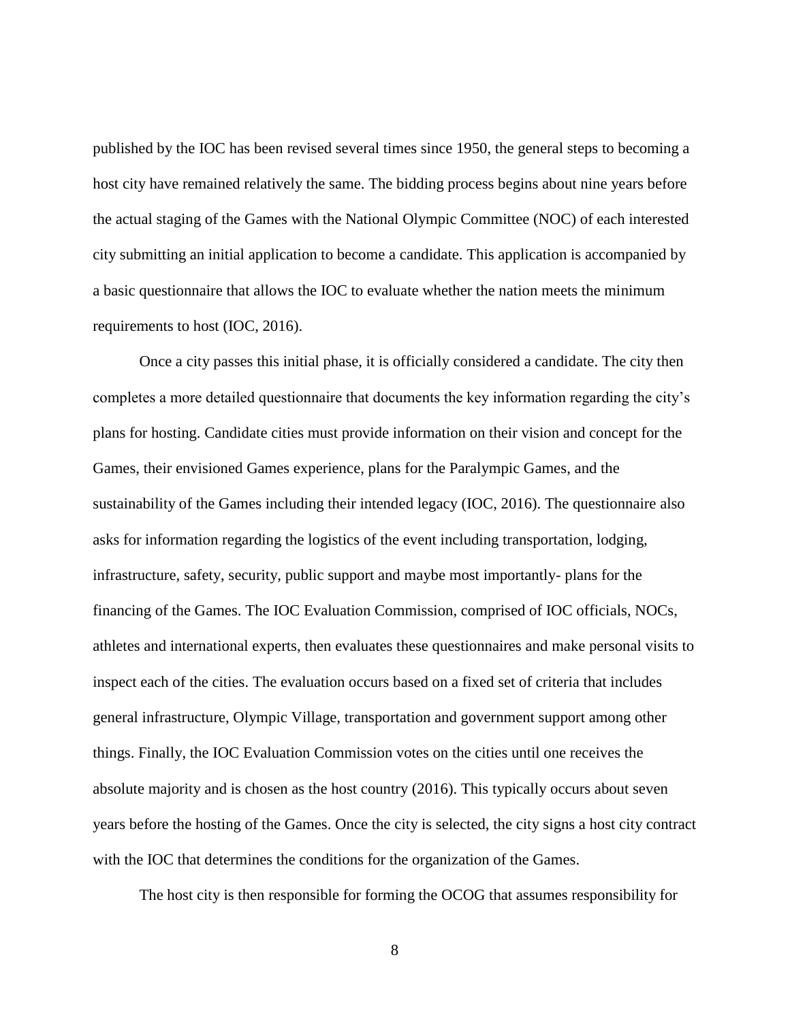published by the IOC has been revised several times since 1950, the general steps to becoming a host city have remained relatively the same. The bidding process begins about nine years before the actual staging of the Games with the National Olympic Committee (NOC) of each interested city submitting an initial application to become a candidate. This application is accompanied by a basic questionnaire that allows the IOC to evaluate whether the nation meets the minimum requirements to host (IOC, 2016).

Once a city passes this initial phase, it is officially considered a candidate. The city then completes a more detailed questionnaire that documents the key information regarding the city's plans for hosting. Candidate cities must provide information on their vision and concept for the Games, their envisioned Games experience, plans for the Paralympic Games, and the sustainability of the Games including their intended legacy (IOC, 2016). The questionnaire also asks for information regarding the logistics of the event including transportation, lodging, infrastructure, safety, security, public support and maybe most importantly- plans for the financing of the Games. The IOC Evaluation Commission, comprised of IOC officials, NOCs, athletes and international experts, then evaluates these questionnaires and make personal visits to inspect each of the cities. The evaluation occurs based on a fixed set of criteria that includes general infrastructure, Olympic Village, transportation and government support among other things. Finally, the IOC Evaluation Commission votes on the cities until one receives the absolute majority and is chosen as the host country (2016). This typically occurs about seven years before the hosting of the Games. Once the city is selected, the city signs a host city contract with the IOC that determines the conditions for the organization of the Games.

The host city is then responsible for forming the OCOG that assumes responsibility for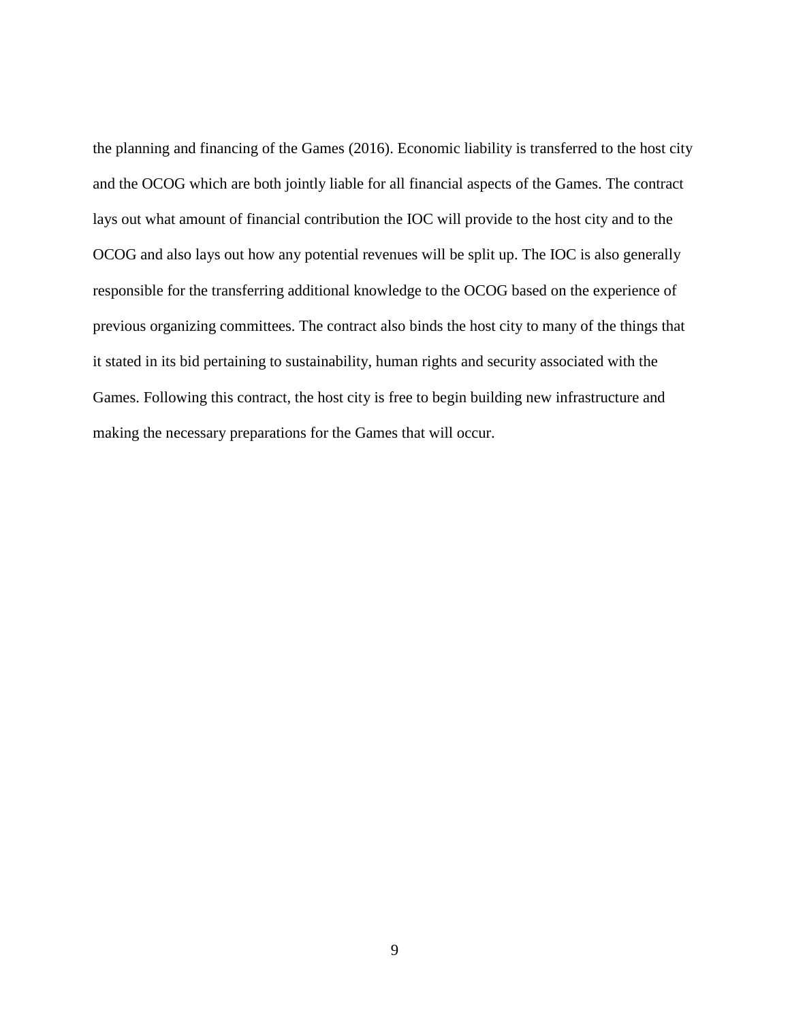the planning and financing of the Games (2016). Economic liability is transferred to the host city and the OCOG which are both jointly liable for all financial aspects of the Games. The contract lays out what amount of financial contribution the IOC will provide to the host city and to the OCOG and also lays out how any potential revenues will be split up. The IOC is also generally responsible for the transferring additional knowledge to the OCOG based on the experience of previous organizing committees. The contract also binds the host city to many of the things that it stated in its bid pertaining to sustainability, human rights and security associated with the Games. Following this contract, the host city is free to begin building new infrastructure and making the necessary preparations for the Games that will occur.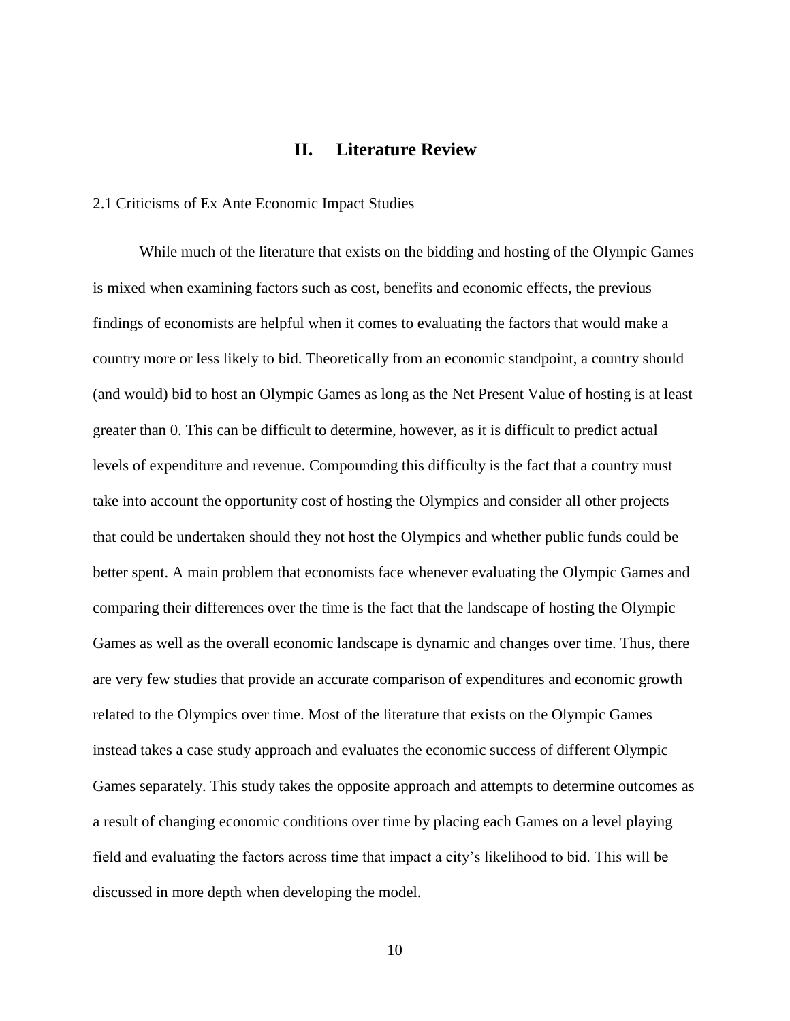## **II. Literature Review**

#### <span id="page-16-0"></span>2.1 Criticisms of Ex Ante Economic Impact Studies

While much of the literature that exists on the bidding and hosting of the Olympic Games is mixed when examining factors such as cost, benefits and economic effects, the previous findings of economists are helpful when it comes to evaluating the factors that would make a country more or less likely to bid. Theoretically from an economic standpoint, a country should (and would) bid to host an Olympic Games as long as the Net Present Value of hosting is at least greater than 0. This can be difficult to determine, however, as it is difficult to predict actual levels of expenditure and revenue. Compounding this difficulty is the fact that a country must take into account the opportunity cost of hosting the Olympics and consider all other projects that could be undertaken should they not host the Olympics and whether public funds could be better spent. A main problem that economists face whenever evaluating the Olympic Games and comparing their differences over the time is the fact that the landscape of hosting the Olympic Games as well as the overall economic landscape is dynamic and changes over time. Thus, there are very few studies that provide an accurate comparison of expenditures and economic growth related to the Olympics over time. Most of the literature that exists on the Olympic Games instead takes a case study approach and evaluates the economic success of different Olympic Games separately. This study takes the opposite approach and attempts to determine outcomes as a result of changing economic conditions over time by placing each Games on a level playing field and evaluating the factors across time that impact a city's likelihood to bid. This will be discussed in more depth when developing the model.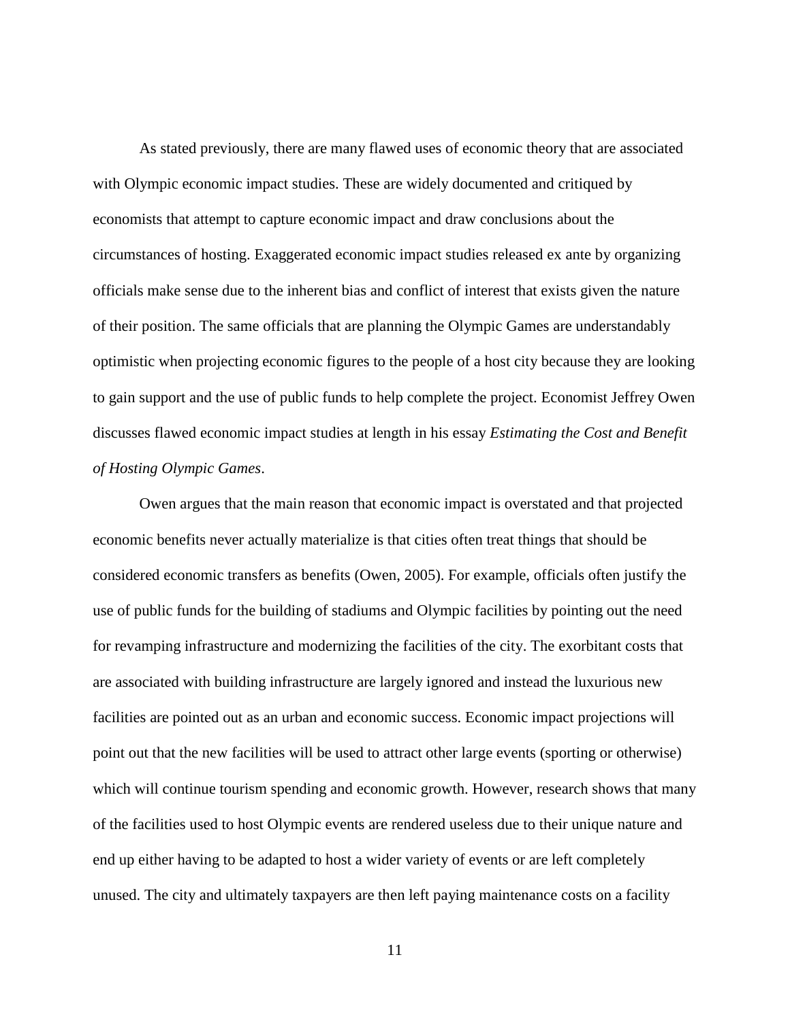As stated previously, there are many flawed uses of economic theory that are associated with Olympic economic impact studies. These are widely documented and critiqued by economists that attempt to capture economic impact and draw conclusions about the circumstances of hosting. Exaggerated economic impact studies released ex ante by organizing officials make sense due to the inherent bias and conflict of interest that exists given the nature of their position. The same officials that are planning the Olympic Games are understandably optimistic when projecting economic figures to the people of a host city because they are looking to gain support and the use of public funds to help complete the project. Economist Jeffrey Owen discusses flawed economic impact studies at length in his essay *Estimating the Cost and Benefit of Hosting Olympic Games*.

Owen argues that the main reason that economic impact is overstated and that projected economic benefits never actually materialize is that cities often treat things that should be considered economic transfers as benefits (Owen, 2005). For example, officials often justify the use of public funds for the building of stadiums and Olympic facilities by pointing out the need for revamping infrastructure and modernizing the facilities of the city. The exorbitant costs that are associated with building infrastructure are largely ignored and instead the luxurious new facilities are pointed out as an urban and economic success. Economic impact projections will point out that the new facilities will be used to attract other large events (sporting or otherwise) which will continue tourism spending and economic growth. However, research shows that many of the facilities used to host Olympic events are rendered useless due to their unique nature and end up either having to be adapted to host a wider variety of events or are left completely unused. The city and ultimately taxpayers are then left paying maintenance costs on a facility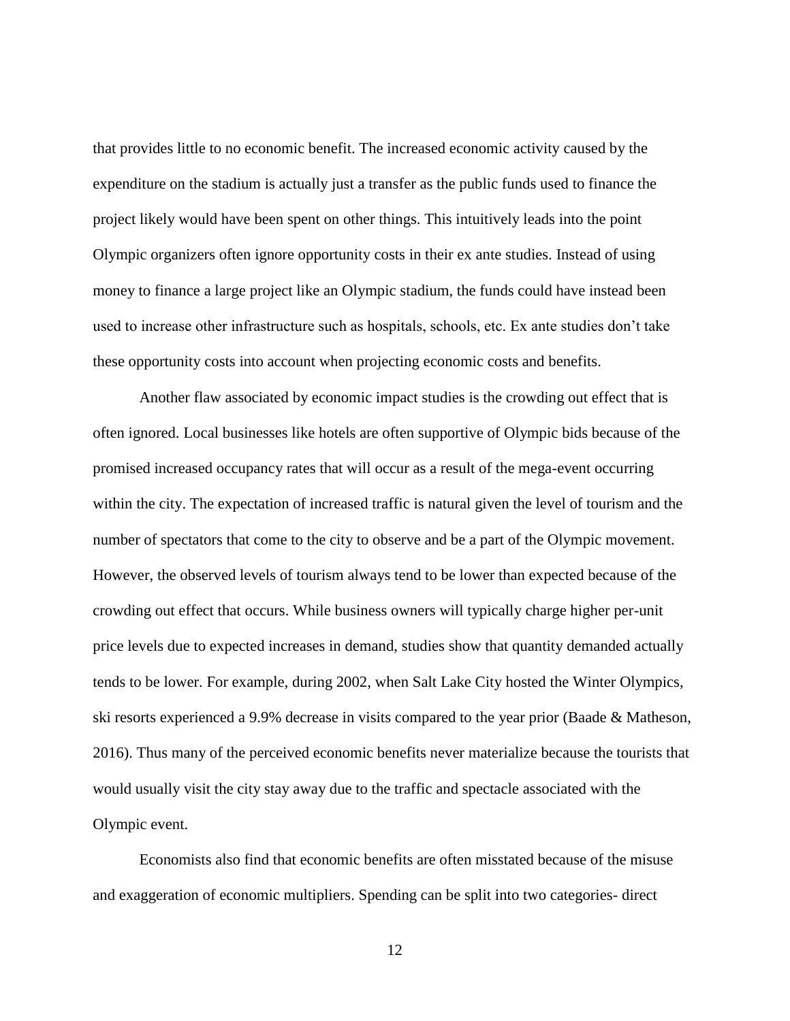that provides little to no economic benefit. The increased economic activity caused by the expenditure on the stadium is actually just a transfer as the public funds used to finance the project likely would have been spent on other things. This intuitively leads into the point Olympic organizers often ignore opportunity costs in their ex ante studies. Instead of using money to finance a large project like an Olympic stadium, the funds could have instead been used to increase other infrastructure such as hospitals, schools, etc. Ex ante studies don't take these opportunity costs into account when projecting economic costs and benefits.

Another flaw associated by economic impact studies is the crowding out effect that is often ignored. Local businesses like hotels are often supportive of Olympic bids because of the promised increased occupancy rates that will occur as a result of the mega-event occurring within the city. The expectation of increased traffic is natural given the level of tourism and the number of spectators that come to the city to observe and be a part of the Olympic movement. However, the observed levels of tourism always tend to be lower than expected because of the crowding out effect that occurs. While business owners will typically charge higher per-unit price levels due to expected increases in demand, studies show that quantity demanded actually tends to be lower. For example, during 2002, when Salt Lake City hosted the Winter Olympics, ski resorts experienced a 9.9% decrease in visits compared to the year prior (Baade & Matheson, 2016). Thus many of the perceived economic benefits never materialize because the tourists that would usually visit the city stay away due to the traffic and spectacle associated with the Olympic event.

Economists also find that economic benefits are often misstated because of the misuse and exaggeration of economic multipliers. Spending can be split into two categories- direct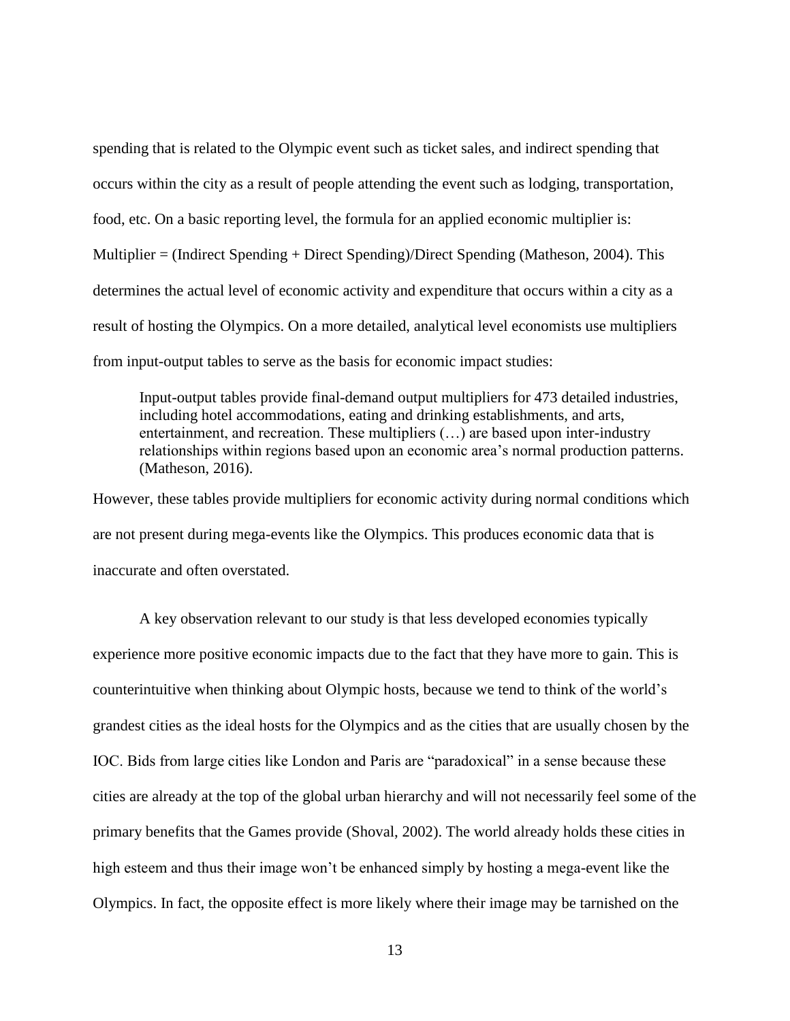spending that is related to the Olympic event such as ticket sales, and indirect spending that occurs within the city as a result of people attending the event such as lodging, transportation, food, etc. On a basic reporting level, the formula for an applied economic multiplier is: Multiplier = (Indirect Spending + Direct Spending)/Direct Spending (Matheson, 2004). This determines the actual level of economic activity and expenditure that occurs within a city as a result of hosting the Olympics. On a more detailed, analytical level economists use multipliers from input-output tables to serve as the basis for economic impact studies:

Input-output tables provide final-demand output multipliers for 473 detailed industries, including hotel accommodations, eating and drinking establishments, and arts, entertainment, and recreation. These multipliers (…) are based upon inter-industry relationships within regions based upon an economic area's normal production patterns. (Matheson, 2016).

However, these tables provide multipliers for economic activity during normal conditions which are not present during mega-events like the Olympics. This produces economic data that is inaccurate and often overstated.

A key observation relevant to our study is that less developed economies typically experience more positive economic impacts due to the fact that they have more to gain. This is counterintuitive when thinking about Olympic hosts, because we tend to think of the world's grandest cities as the ideal hosts for the Olympics and as the cities that are usually chosen by the IOC. Bids from large cities like London and Paris are "paradoxical" in a sense because these cities are already at the top of the global urban hierarchy and will not necessarily feel some of the primary benefits that the Games provide (Shoval, 2002). The world already holds these cities in high esteem and thus their image won't be enhanced simply by hosting a mega-event like the Olympics. In fact, the opposite effect is more likely where their image may be tarnished on the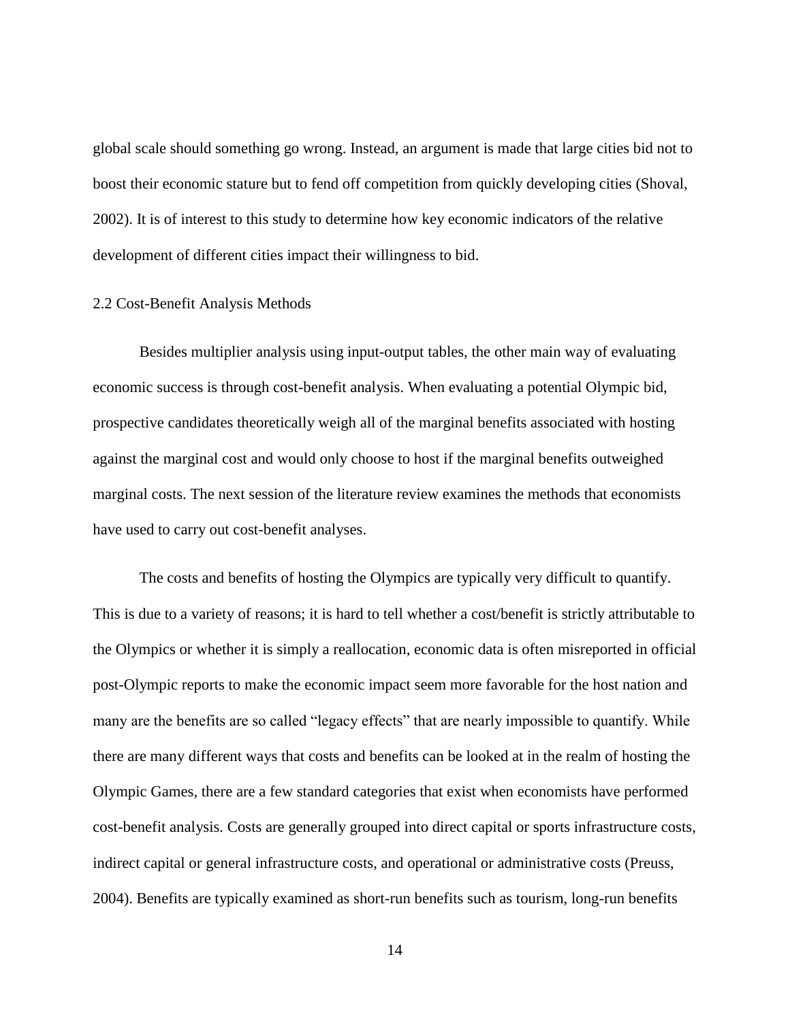global scale should something go wrong. Instead, an argument is made that large cities bid not to boost their economic stature but to fend off competition from quickly developing cities (Shoval, 2002). It is of interest to this study to determine how key economic indicators of the relative development of different cities impact their willingness to bid.

#### 2.2 Cost-Benefit Analysis Methods

Besides multiplier analysis using input-output tables, the other main way of evaluating economic success is through cost-benefit analysis. When evaluating a potential Olympic bid, prospective candidates theoretically weigh all of the marginal benefits associated with hosting against the marginal cost and would only choose to host if the marginal benefits outweighed marginal costs. The next session of the literature review examines the methods that economists have used to carry out cost-benefit analyses.

The costs and benefits of hosting the Olympics are typically very difficult to quantify. This is due to a variety of reasons; it is hard to tell whether a cost/benefit is strictly attributable to the Olympics or whether it is simply a reallocation, economic data is often misreported in official post-Olympic reports to make the economic impact seem more favorable for the host nation and many are the benefits are so called "legacy effects" that are nearly impossible to quantify. While there are many different ways that costs and benefits can be looked at in the realm of hosting the Olympic Games, there are a few standard categories that exist when economists have performed cost-benefit analysis. Costs are generally grouped into direct capital or sports infrastructure costs, indirect capital or general infrastructure costs, and operational or administrative costs (Preuss, 2004). Benefits are typically examined as short-run benefits such as tourism, long-run benefits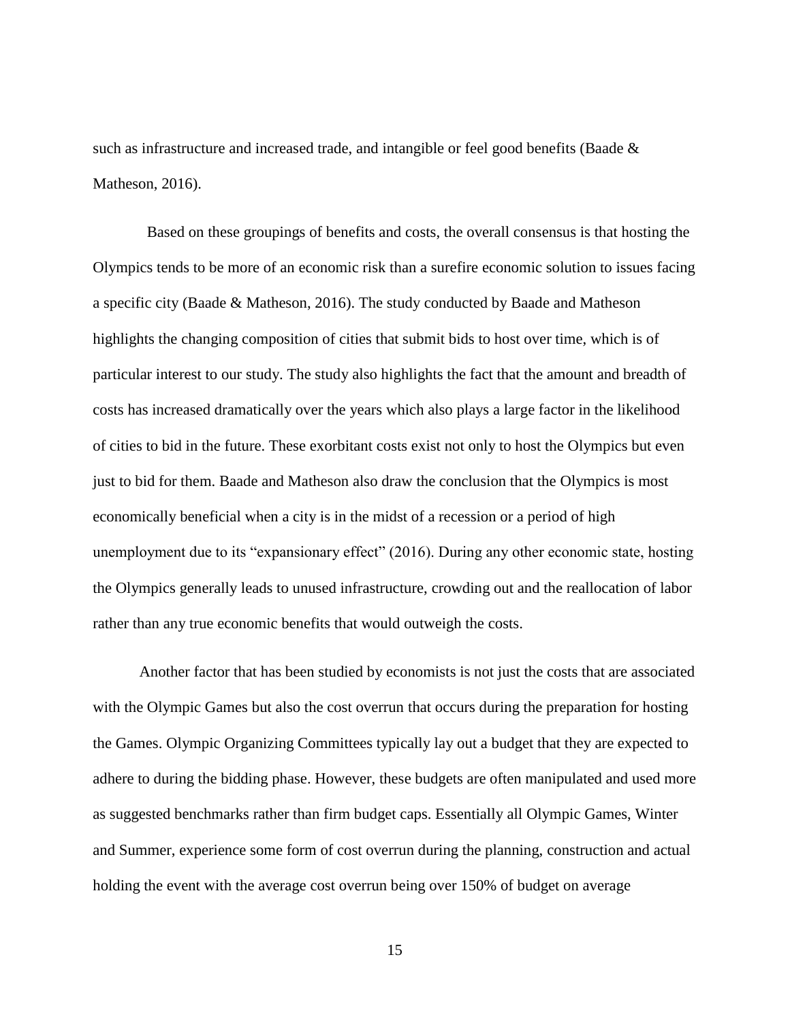such as infrastructure and increased trade, and intangible or feel good benefits (Baade & Matheson, 2016).

 Based on these groupings of benefits and costs, the overall consensus is that hosting the Olympics tends to be more of an economic risk than a surefire economic solution to issues facing a specific city (Baade & Matheson, 2016). The study conducted by Baade and Matheson highlights the changing composition of cities that submit bids to host over time, which is of particular interest to our study. The study also highlights the fact that the amount and breadth of costs has increased dramatically over the years which also plays a large factor in the likelihood of cities to bid in the future. These exorbitant costs exist not only to host the Olympics but even just to bid for them. Baade and Matheson also draw the conclusion that the Olympics is most economically beneficial when a city is in the midst of a recession or a period of high unemployment due to its "expansionary effect" (2016). During any other economic state, hosting the Olympics generally leads to unused infrastructure, crowding out and the reallocation of labor rather than any true economic benefits that would outweigh the costs.

Another factor that has been studied by economists is not just the costs that are associated with the Olympic Games but also the cost overrun that occurs during the preparation for hosting the Games. Olympic Organizing Committees typically lay out a budget that they are expected to adhere to during the bidding phase. However, these budgets are often manipulated and used more as suggested benchmarks rather than firm budget caps. Essentially all Olympic Games, Winter and Summer, experience some form of cost overrun during the planning, construction and actual holding the event with the average cost overrun being over 150% of budget on average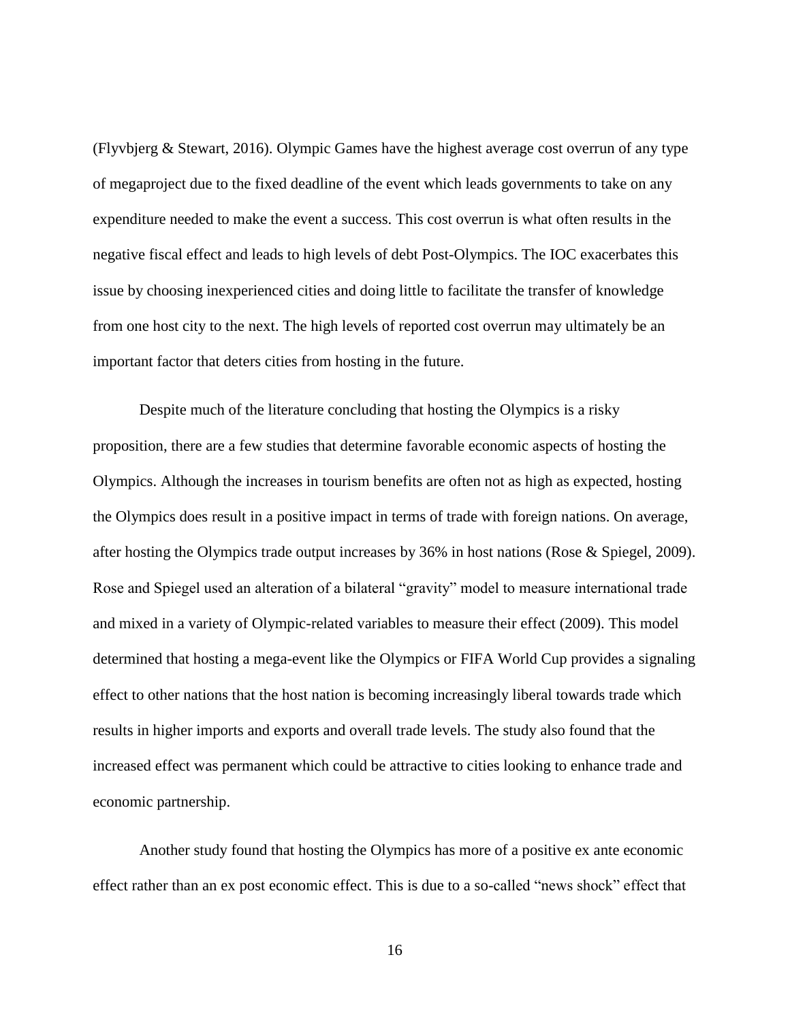(Flyvbjerg & Stewart, 2016). Olympic Games have the highest average cost overrun of any type of megaproject due to the fixed deadline of the event which leads governments to take on any expenditure needed to make the event a success. This cost overrun is what often results in the negative fiscal effect and leads to high levels of debt Post-Olympics. The IOC exacerbates this issue by choosing inexperienced cities and doing little to facilitate the transfer of knowledge from one host city to the next. The high levels of reported cost overrun may ultimately be an important factor that deters cities from hosting in the future.

Despite much of the literature concluding that hosting the Olympics is a risky proposition, there are a few studies that determine favorable economic aspects of hosting the Olympics. Although the increases in tourism benefits are often not as high as expected, hosting the Olympics does result in a positive impact in terms of trade with foreign nations. On average, after hosting the Olympics trade output increases by 36% in host nations (Rose & Spiegel, 2009). Rose and Spiegel used an alteration of a bilateral "gravity" model to measure international trade and mixed in a variety of Olympic-related variables to measure their effect (2009). This model determined that hosting a mega-event like the Olympics or FIFA World Cup provides a signaling effect to other nations that the host nation is becoming increasingly liberal towards trade which results in higher imports and exports and overall trade levels. The study also found that the increased effect was permanent which could be attractive to cities looking to enhance trade and economic partnership.

Another study found that hosting the Olympics has more of a positive ex ante economic effect rather than an ex post economic effect. This is due to a so-called "news shock" effect that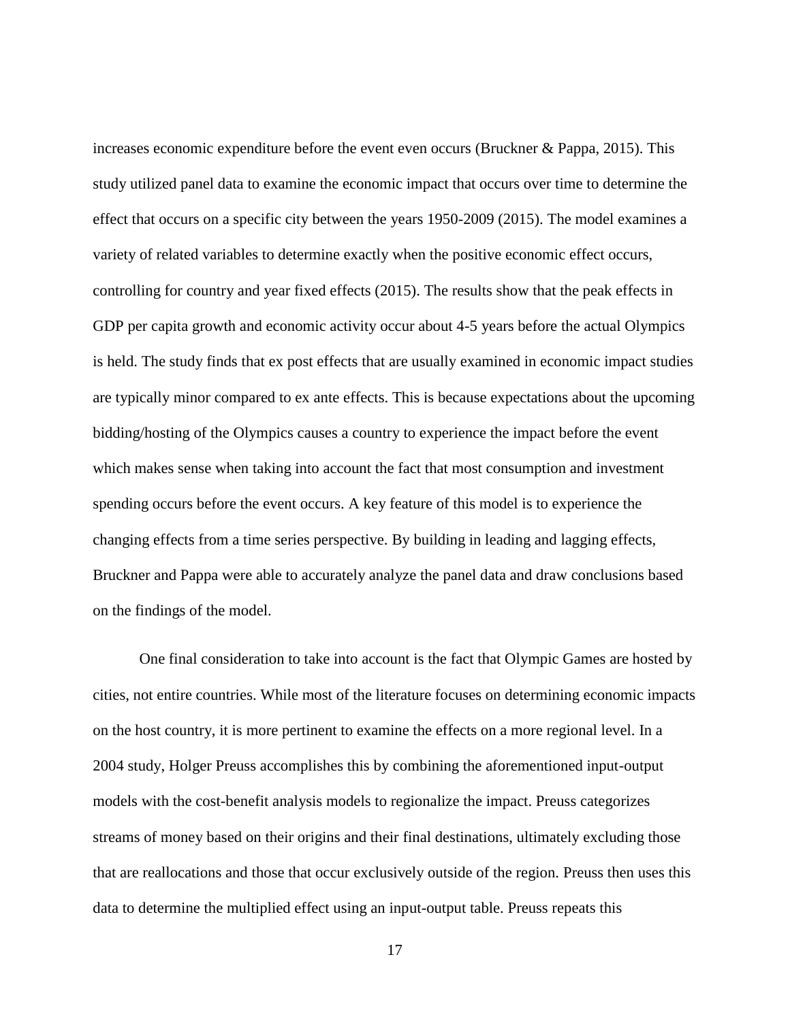increases economic expenditure before the event even occurs (Bruckner & Pappa, 2015). This study utilized panel data to examine the economic impact that occurs over time to determine the effect that occurs on a specific city between the years 1950-2009 (2015). The model examines a variety of related variables to determine exactly when the positive economic effect occurs, controlling for country and year fixed effects (2015). The results show that the peak effects in GDP per capita growth and economic activity occur about 4-5 years before the actual Olympics is held. The study finds that ex post effects that are usually examined in economic impact studies are typically minor compared to ex ante effects. This is because expectations about the upcoming bidding/hosting of the Olympics causes a country to experience the impact before the event which makes sense when taking into account the fact that most consumption and investment spending occurs before the event occurs. A key feature of this model is to experience the changing effects from a time series perspective. By building in leading and lagging effects, Bruckner and Pappa were able to accurately analyze the panel data and draw conclusions based on the findings of the model.

One final consideration to take into account is the fact that Olympic Games are hosted by cities, not entire countries. While most of the literature focuses on determining economic impacts on the host country, it is more pertinent to examine the effects on a more regional level. In a 2004 study, Holger Preuss accomplishes this by combining the aforementioned input-output models with the cost-benefit analysis models to regionalize the impact. Preuss categorizes streams of money based on their origins and their final destinations, ultimately excluding those that are reallocations and those that occur exclusively outside of the region. Preuss then uses this data to determine the multiplied effect using an input-output table. Preuss repeats this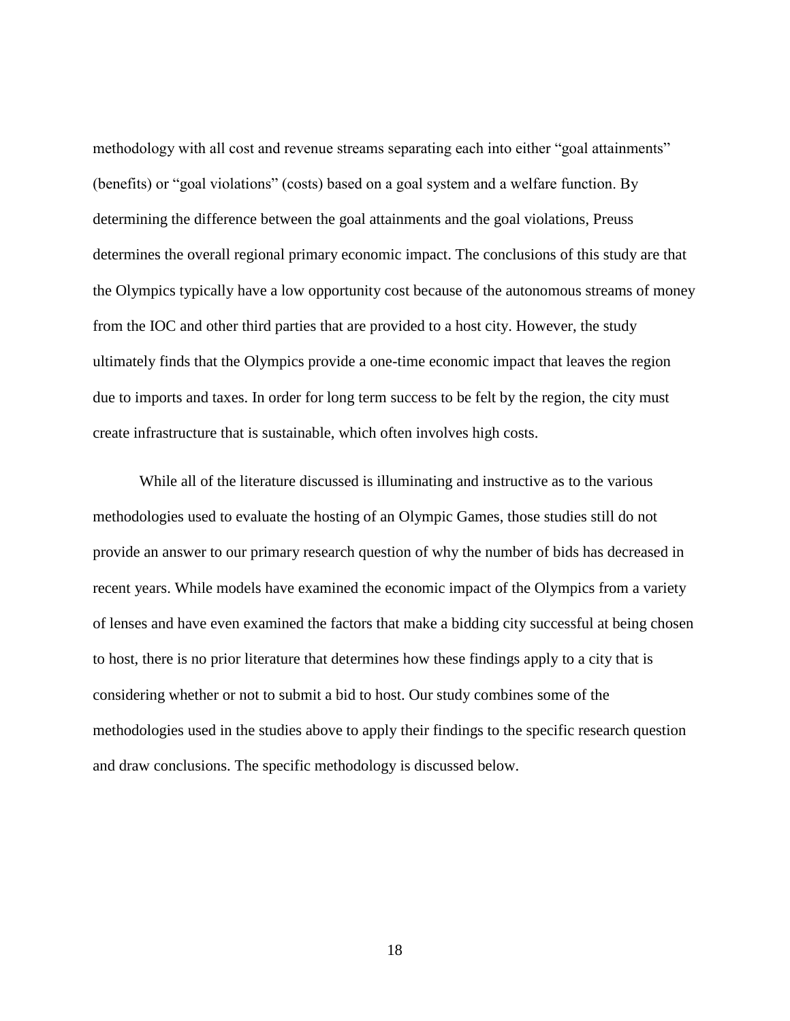methodology with all cost and revenue streams separating each into either "goal attainments" (benefits) or "goal violations" (costs) based on a goal system and a welfare function. By determining the difference between the goal attainments and the goal violations, Preuss determines the overall regional primary economic impact. The conclusions of this study are that the Olympics typically have a low opportunity cost because of the autonomous streams of money from the IOC and other third parties that are provided to a host city. However, the study ultimately finds that the Olympics provide a one-time economic impact that leaves the region due to imports and taxes. In order for long term success to be felt by the region, the city must create infrastructure that is sustainable, which often involves high costs.

While all of the literature discussed is illuminating and instructive as to the various methodologies used to evaluate the hosting of an Olympic Games, those studies still do not provide an answer to our primary research question of why the number of bids has decreased in recent years. While models have examined the economic impact of the Olympics from a variety of lenses and have even examined the factors that make a bidding city successful at being chosen to host, there is no prior literature that determines how these findings apply to a city that is considering whether or not to submit a bid to host. Our study combines some of the methodologies used in the studies above to apply their findings to the specific research question and draw conclusions. The specific methodology is discussed below.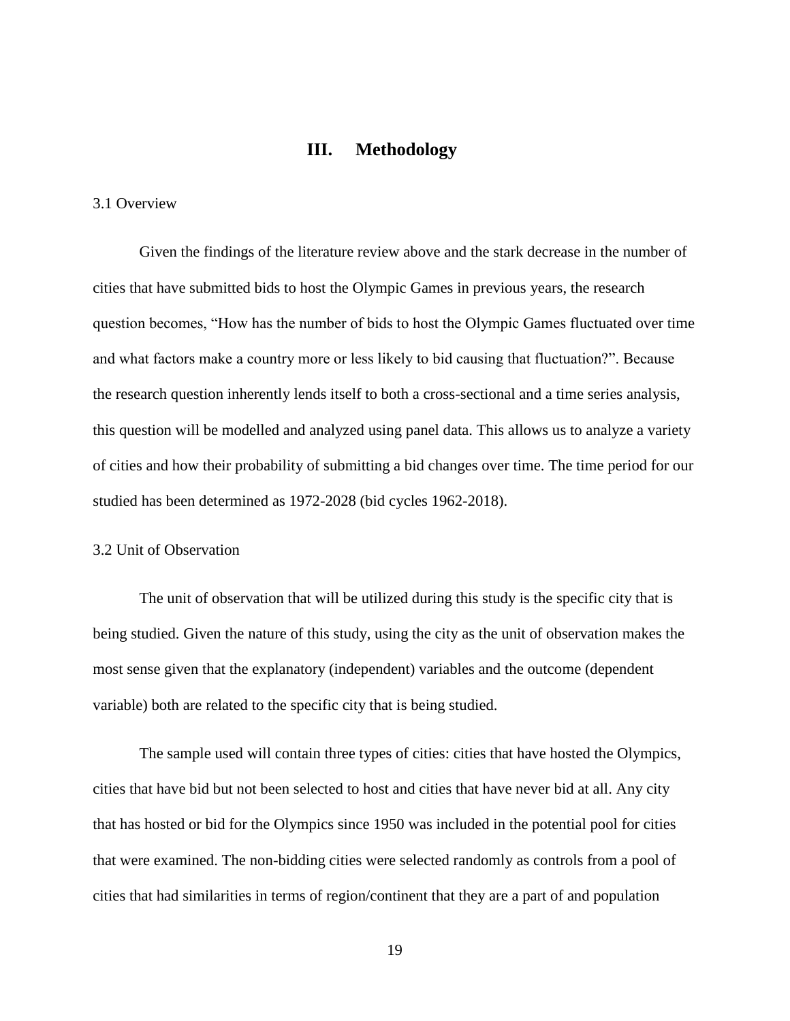## **III. Methodology**

#### <span id="page-25-0"></span>3.1 Overview

Given the findings of the literature review above and the stark decrease in the number of cities that have submitted bids to host the Olympic Games in previous years, the research question becomes, "How has the number of bids to host the Olympic Games fluctuated over time and what factors make a country more or less likely to bid causing that fluctuation?". Because the research question inherently lends itself to both a cross-sectional and a time series analysis, this question will be modelled and analyzed using panel data. This allows us to analyze a variety of cities and how their probability of submitting a bid changes over time. The time period for our studied has been determined as 1972-2028 (bid cycles 1962-2018).

### 3.2 Unit of Observation

The unit of observation that will be utilized during this study is the specific city that is being studied. Given the nature of this study, using the city as the unit of observation makes the most sense given that the explanatory (independent) variables and the outcome (dependent variable) both are related to the specific city that is being studied.

The sample used will contain three types of cities: cities that have hosted the Olympics, cities that have bid but not been selected to host and cities that have never bid at all. Any city that has hosted or bid for the Olympics since 1950 was included in the potential pool for cities that were examined. The non-bidding cities were selected randomly as controls from a pool of cities that had similarities in terms of region/continent that they are a part of and population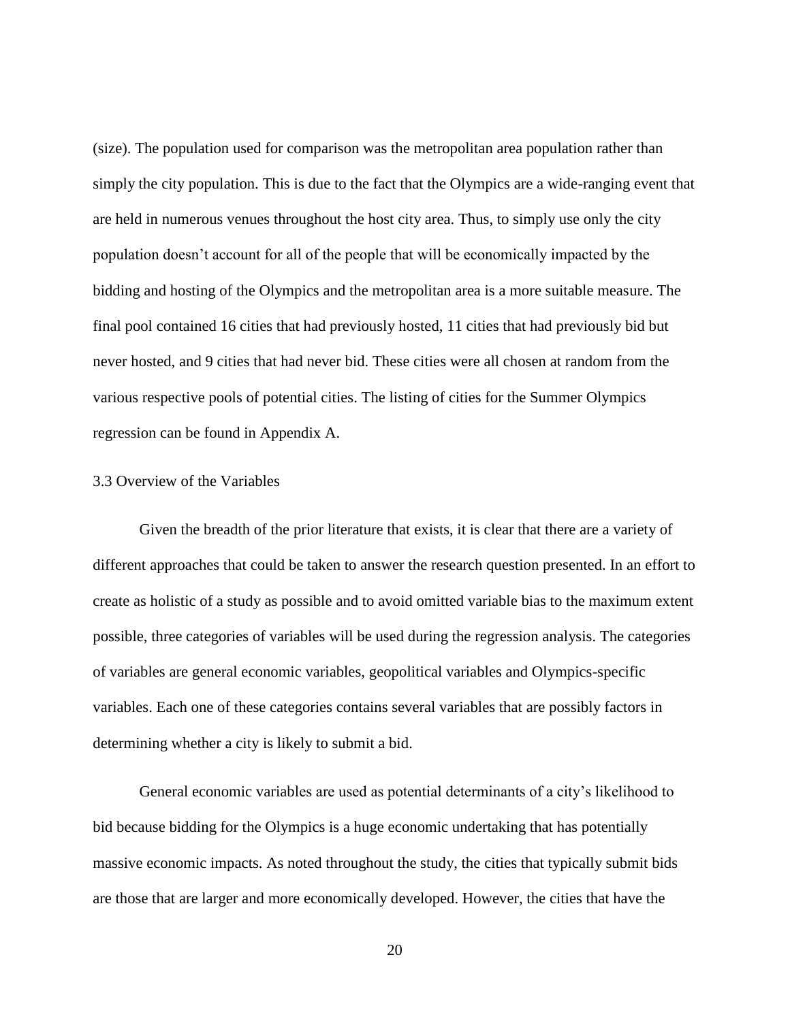(size). The population used for comparison was the metropolitan area population rather than simply the city population. This is due to the fact that the Olympics are a wide-ranging event that are held in numerous venues throughout the host city area. Thus, to simply use only the city population doesn't account for all of the people that will be economically impacted by the bidding and hosting of the Olympics and the metropolitan area is a more suitable measure. The final pool contained 16 cities that had previously hosted, 11 cities that had previously bid but never hosted, and 9 cities that had never bid. These cities were all chosen at random from the various respective pools of potential cities. The listing of cities for the Summer Olympics regression can be found in Appendix A.

#### 3.3 Overview of the Variables

Given the breadth of the prior literature that exists, it is clear that there are a variety of different approaches that could be taken to answer the research question presented. In an effort to create as holistic of a study as possible and to avoid omitted variable bias to the maximum extent possible, three categories of variables will be used during the regression analysis. The categories of variables are general economic variables, geopolitical variables and Olympics-specific variables. Each one of these categories contains several variables that are possibly factors in determining whether a city is likely to submit a bid.

General economic variables are used as potential determinants of a city's likelihood to bid because bidding for the Olympics is a huge economic undertaking that has potentially massive economic impacts. As noted throughout the study, the cities that typically submit bids are those that are larger and more economically developed. However, the cities that have the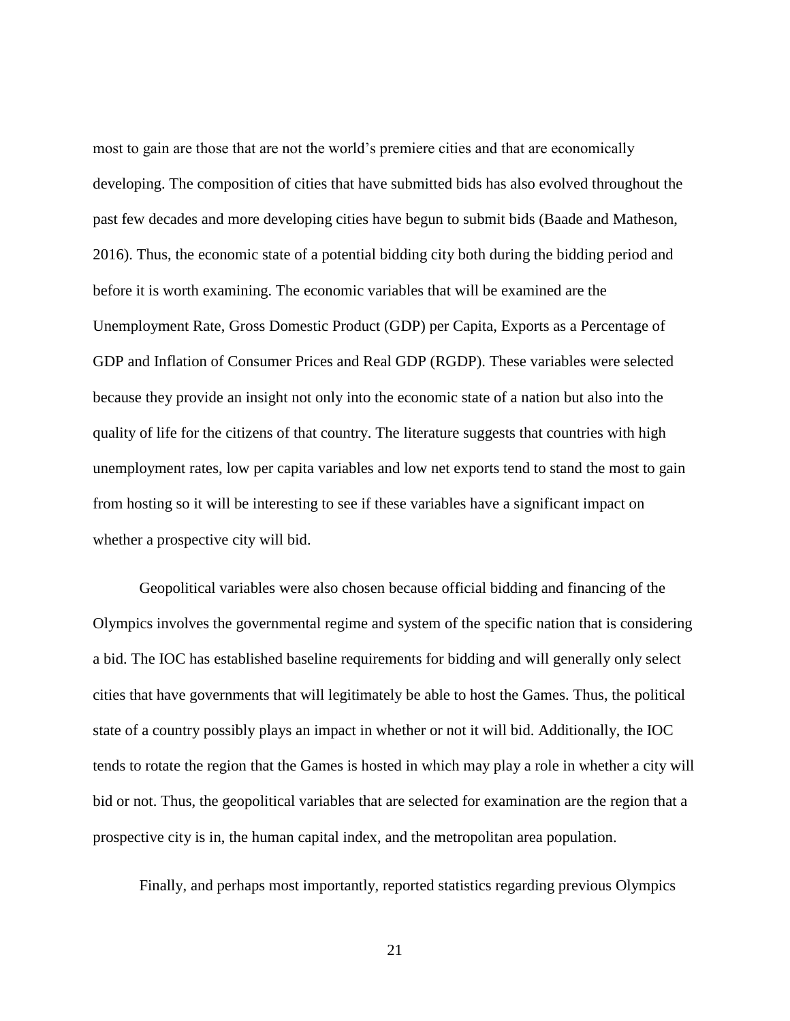most to gain are those that are not the world's premiere cities and that are economically developing. The composition of cities that have submitted bids has also evolved throughout the past few decades and more developing cities have begun to submit bids (Baade and Matheson, 2016). Thus, the economic state of a potential bidding city both during the bidding period and before it is worth examining. The economic variables that will be examined are the Unemployment Rate, Gross Domestic Product (GDP) per Capita, Exports as a Percentage of GDP and Inflation of Consumer Prices and Real GDP (RGDP). These variables were selected because they provide an insight not only into the economic state of a nation but also into the quality of life for the citizens of that country. The literature suggests that countries with high unemployment rates, low per capita variables and low net exports tend to stand the most to gain from hosting so it will be interesting to see if these variables have a significant impact on whether a prospective city will bid.

Geopolitical variables were also chosen because official bidding and financing of the Olympics involves the governmental regime and system of the specific nation that is considering a bid. The IOC has established baseline requirements for bidding and will generally only select cities that have governments that will legitimately be able to host the Games. Thus, the political state of a country possibly plays an impact in whether or not it will bid. Additionally, the IOC tends to rotate the region that the Games is hosted in which may play a role in whether a city will bid or not. Thus, the geopolitical variables that are selected for examination are the region that a prospective city is in, the human capital index, and the metropolitan area population.

Finally, and perhaps most importantly, reported statistics regarding previous Olympics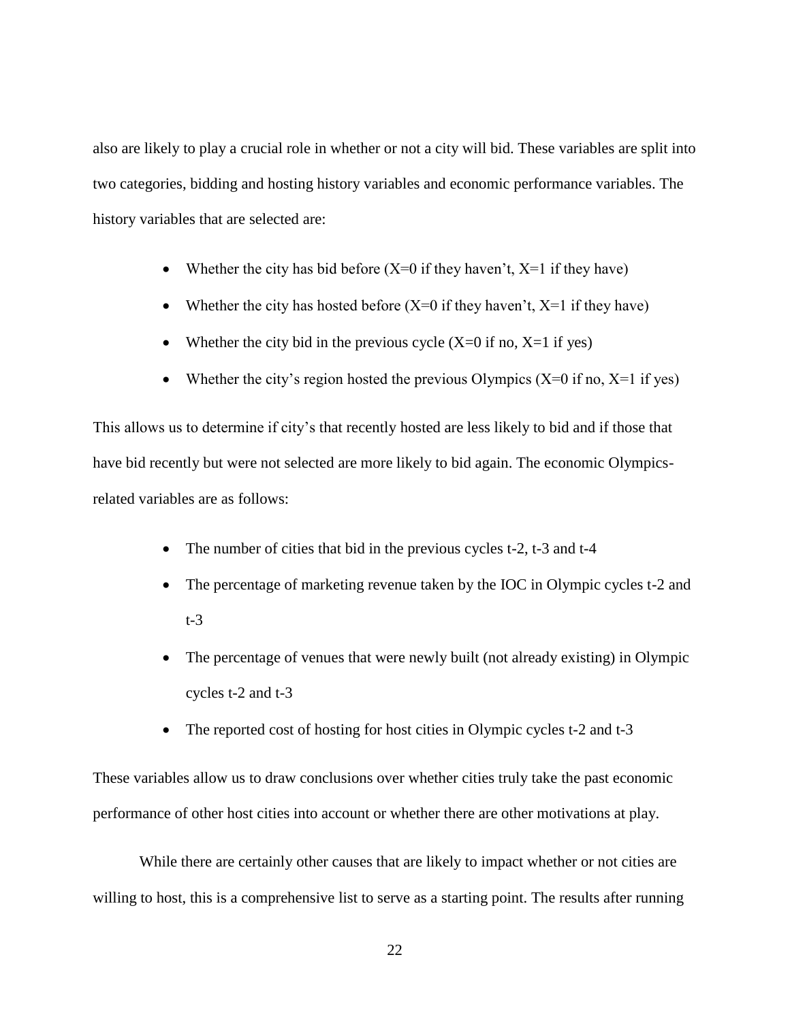also are likely to play a crucial role in whether or not a city will bid. These variables are split into two categories, bidding and hosting history variables and economic performance variables. The history variables that are selected are:

- Whether the city has bid before  $(X=0$  if they haven't,  $X=1$  if they have)
- Whether the city has hosted before  $(X=0$  if they haven't,  $X=1$  if they have)
- Whether the city bid in the previous cycle  $(X=0$  if no,  $X=1$  if yes)
- Whether the city's region hosted the previous Olympics  $(X=0$  if no,  $X=1$  if yes)

This allows us to determine if city's that recently hosted are less likely to bid and if those that have bid recently but were not selected are more likely to bid again. The economic Olympicsrelated variables are as follows:

- The number of cities that bid in the previous cycles t-2, t-3 and t-4
- The percentage of marketing revenue taken by the IOC in Olympic cycles t-2 and t-3
- The percentage of venues that were newly built (not already existing) in Olympic cycles t-2 and t-3
- The reported cost of hosting for host cities in Olympic cycles t-2 and t-3

These variables allow us to draw conclusions over whether cities truly take the past economic performance of other host cities into account or whether there are other motivations at play.

While there are certainly other causes that are likely to impact whether or not cities are willing to host, this is a comprehensive list to serve as a starting point. The results after running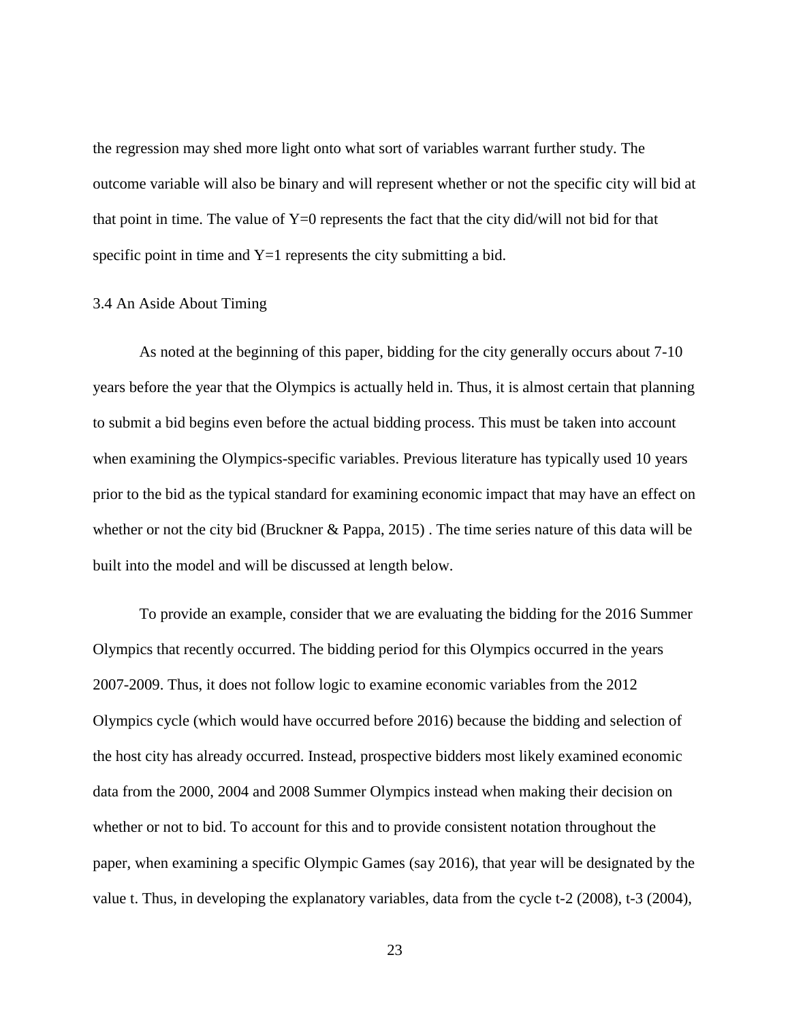the regression may shed more light onto what sort of variables warrant further study. The outcome variable will also be binary and will represent whether or not the specific city will bid at that point in time. The value of  $Y=0$  represents the fact that the city did/will not bid for that specific point in time and  $Y=1$  represents the city submitting a bid.

#### 3.4 An Aside About Timing

As noted at the beginning of this paper, bidding for the city generally occurs about 7-10 years before the year that the Olympics is actually held in. Thus, it is almost certain that planning to submit a bid begins even before the actual bidding process. This must be taken into account when examining the Olympics-specific variables. Previous literature has typically used 10 years prior to the bid as the typical standard for examining economic impact that may have an effect on whether or not the city bid (Bruckner & Pappa, 2015) . The time series nature of this data will be built into the model and will be discussed at length below.

To provide an example, consider that we are evaluating the bidding for the 2016 Summer Olympics that recently occurred. The bidding period for this Olympics occurred in the years 2007-2009. Thus, it does not follow logic to examine economic variables from the 2012 Olympics cycle (which would have occurred before 2016) because the bidding and selection of the host city has already occurred. Instead, prospective bidders most likely examined economic data from the 2000, 2004 and 2008 Summer Olympics instead when making their decision on whether or not to bid. To account for this and to provide consistent notation throughout the paper, when examining a specific Olympic Games (say 2016), that year will be designated by the value t. Thus, in developing the explanatory variables, data from the cycle t-2 (2008), t-3 (2004),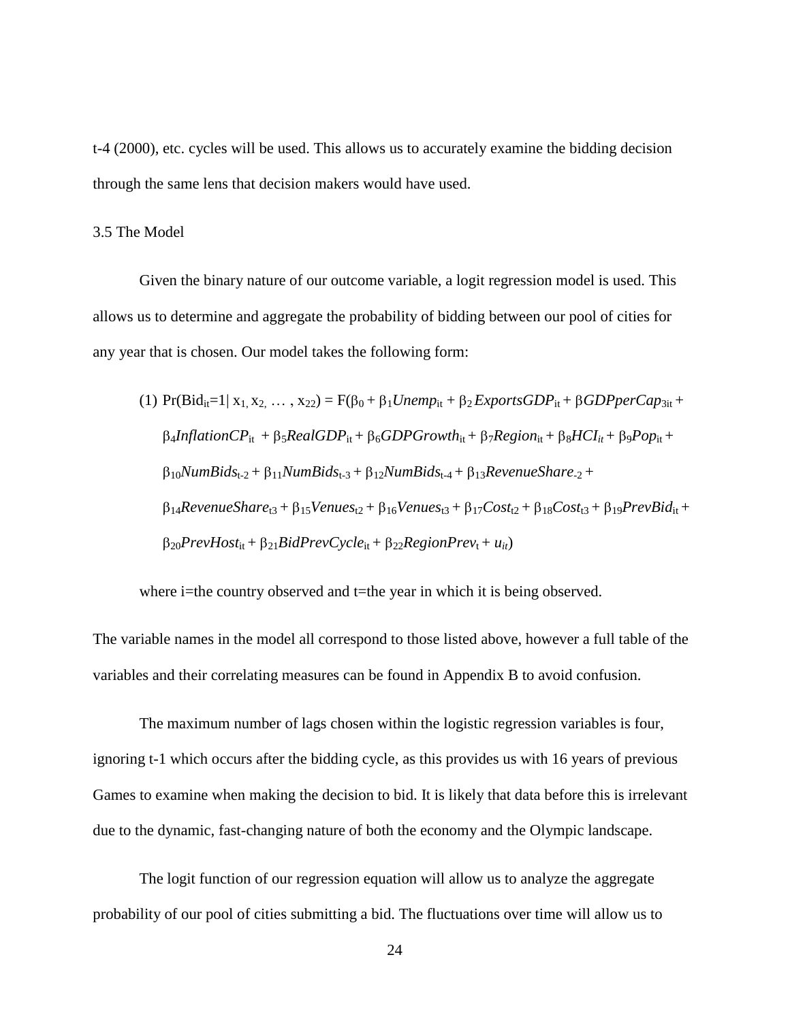t-4 (2000), etc. cycles will be used. This allows us to accurately examine the bidding decision through the same lens that decision makers would have used.

#### 3.5 The Model

Given the binary nature of our outcome variable, a logit regression model is used. This allows us to determine and aggregate the probability of bidding between our pool of cities for any year that is chosen. Our model takes the following form:

(1) 
$$
Pr(Bid_{it}=1 | x_1, x_2, \ldots, x_{22}) = F(\beta_0 + \beta_1 Unemp_{it} + \beta_2 ExportsGDP_{it} + \beta GDPperCap_{3it} + \beta_4 InflationCP_{it} + \beta_5 RealGDP_{it} + \beta_6 GDPGrowth_{it} + \beta_7 Region_{it} + \beta_8 HCI_{it} + \beta_9 Pop_{it} + \beta_{10} NumBids_{t-2} + \beta_{11} NumBids_{t-3} + \beta_{12} NumBids_{t-4} + \beta_{13} RevenueShare_{t-2} + \beta_{14} RevenueShare_{t3} + \beta_{15} Venus_{t2} + \beta_{16} Venus_{t3} + \beta_{17} Cost_{t2} + \beta_{18} Cost_{t3} + \beta_{19} PrevBid_{it} + \beta_{20} PrevHost_{it} + \beta_{21} BidPrevCycle_{it} + \beta_{22} RegionPrev_t + u_{it})
$$

where i=the country observed and t=the year in which it is being observed.

The variable names in the model all correspond to those listed above, however a full table of the variables and their correlating measures can be found in Appendix B to avoid confusion.

The maximum number of lags chosen within the logistic regression variables is four, ignoring t-1 which occurs after the bidding cycle, as this provides us with 16 years of previous Games to examine when making the decision to bid. It is likely that data before this is irrelevant due to the dynamic, fast-changing nature of both the economy and the Olympic landscape.

The logit function of our regression equation will allow us to analyze the aggregate probability of our pool of cities submitting a bid. The fluctuations over time will allow us to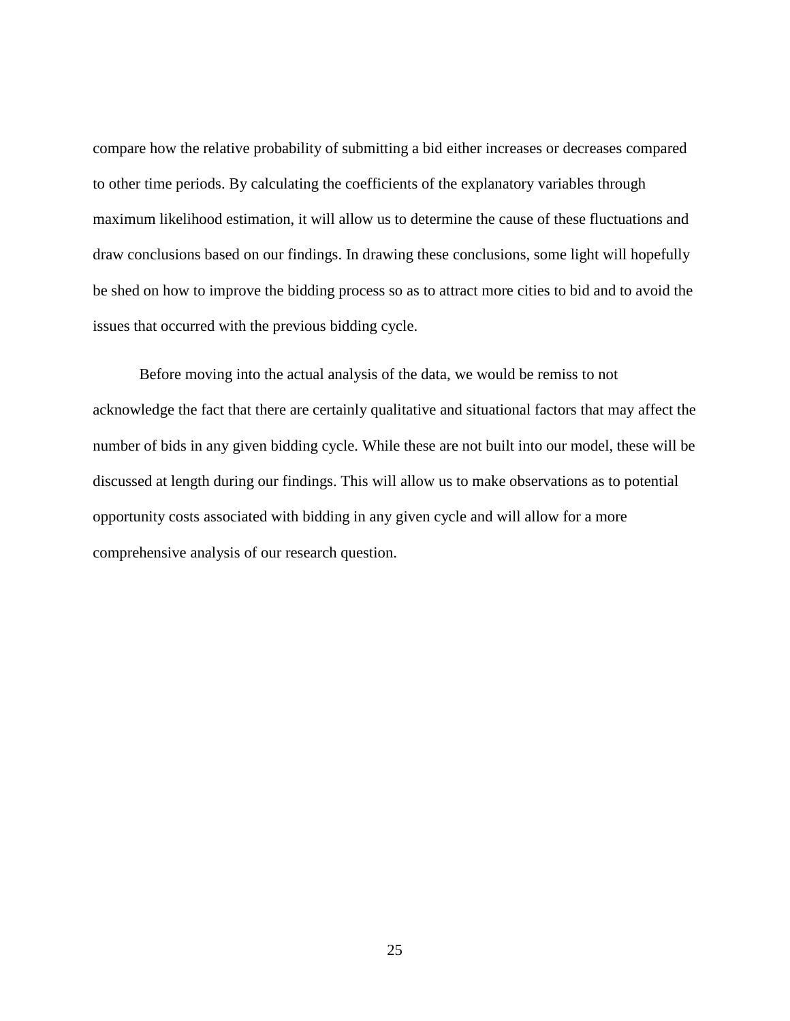compare how the relative probability of submitting a bid either increases or decreases compared to other time periods. By calculating the coefficients of the explanatory variables through maximum likelihood estimation, it will allow us to determine the cause of these fluctuations and draw conclusions based on our findings. In drawing these conclusions, some light will hopefully be shed on how to improve the bidding process so as to attract more cities to bid and to avoid the issues that occurred with the previous bidding cycle.

Before moving into the actual analysis of the data, we would be remiss to not acknowledge the fact that there are certainly qualitative and situational factors that may affect the number of bids in any given bidding cycle. While these are not built into our model, these will be discussed at length during our findings. This will allow us to make observations as to potential opportunity costs associated with bidding in any given cycle and will allow for a more comprehensive analysis of our research question.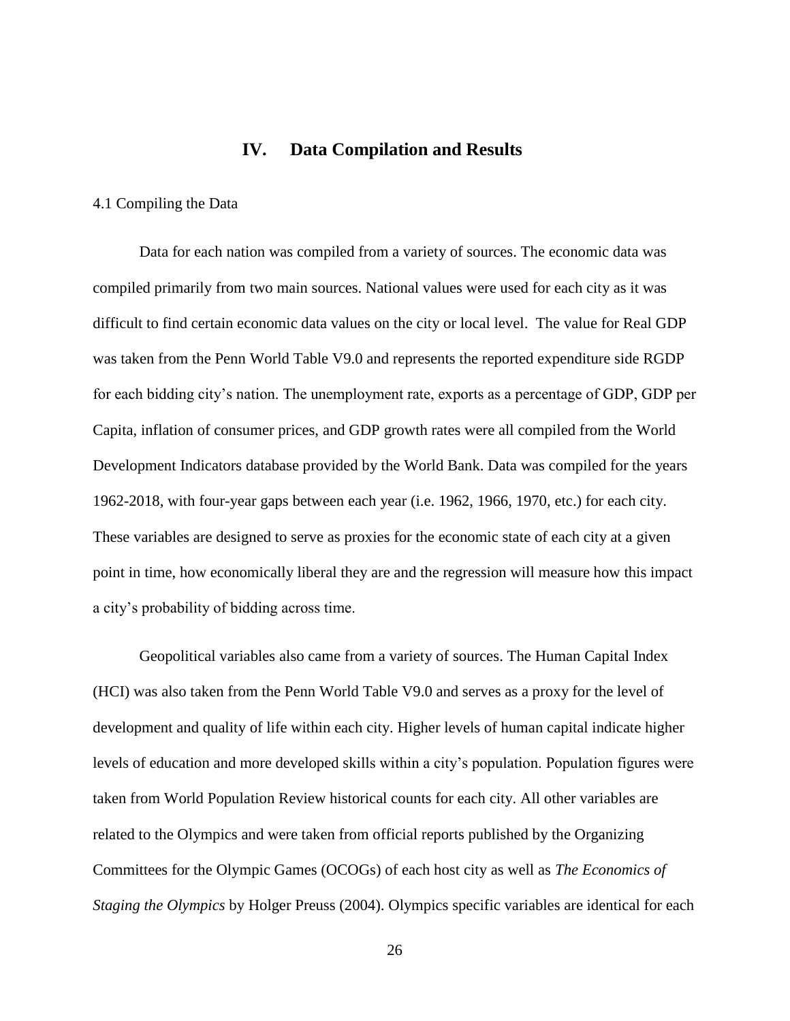## **IV. Data Compilation and Results**

#### <span id="page-32-0"></span>4.1 Compiling the Data

Data for each nation was compiled from a variety of sources. The economic data was compiled primarily from two main sources. National values were used for each city as it was difficult to find certain economic data values on the city or local level. The value for Real GDP was taken from the Penn World Table V9.0 and represents the reported expenditure side RGDP for each bidding city's nation. The unemployment rate, exports as a percentage of GDP, GDP per Capita, inflation of consumer prices, and GDP growth rates were all compiled from the World Development Indicators database provided by the World Bank. Data was compiled for the years 1962-2018, with four-year gaps between each year (i.e. 1962, 1966, 1970, etc.) for each city. These variables are designed to serve as proxies for the economic state of each city at a given point in time, how economically liberal they are and the regression will measure how this impact a city's probability of bidding across time.

Geopolitical variables also came from a variety of sources. The Human Capital Index (HCI) was also taken from the Penn World Table V9.0 and serves as a proxy for the level of development and quality of life within each city. Higher levels of human capital indicate higher levels of education and more developed skills within a city's population. Population figures were taken from World Population Review historical counts for each city. All other variables are related to the Olympics and were taken from official reports published by the Organizing Committees for the Olympic Games (OCOGs) of each host city as well as *The Economics of Staging the Olympics* by Holger Preuss (2004). Olympics specific variables are identical for each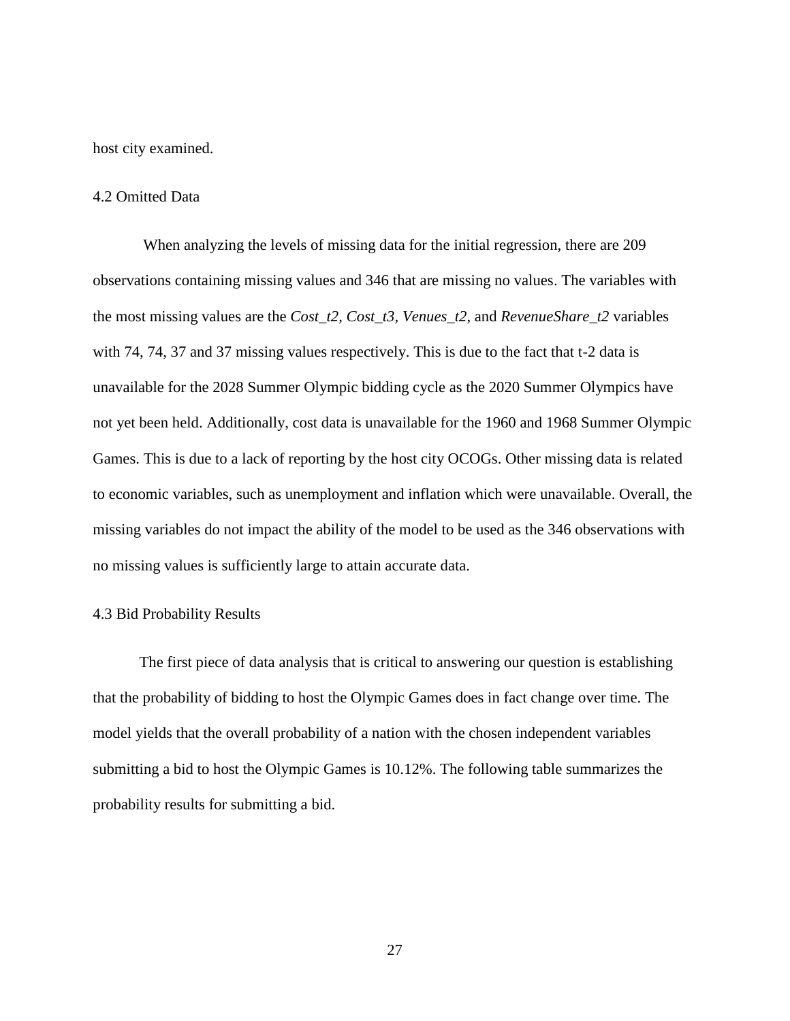host city examined.

#### 4.2 Omitted Data

When analyzing the levels of missing data for the initial regression, there are 209 observations containing missing values and 346 that are missing no values. The variables with the most missing values are the *Cost\_t2, Cost\_t3, Venues\_t2*, and *RevenueShare\_t2* variables with 74, 74, 37 and 37 missing values respectively. This is due to the fact that t-2 data is unavailable for the 2028 Summer Olympic bidding cycle as the 2020 Summer Olympics have not yet been held. Additionally, cost data is unavailable for the 1960 and 1968 Summer Olympic Games. This is due to a lack of reporting by the host city OCOGs. Other missing data is related to economic variables, such as unemployment and inflation which were unavailable. Overall, the missing variables do not impact the ability of the model to be used as the 346 observations with no missing values is sufficiently large to attain accurate data.

#### 4.3 Bid Probability Results

The first piece of data analysis that is critical to answering our question is establishing that the probability of bidding to host the Olympic Games does in fact change over time. The model yields that the overall probability of a nation with the chosen independent variables submitting a bid to host the Olympic Games is 10.12%. The following table summarizes the probability results for submitting a bid.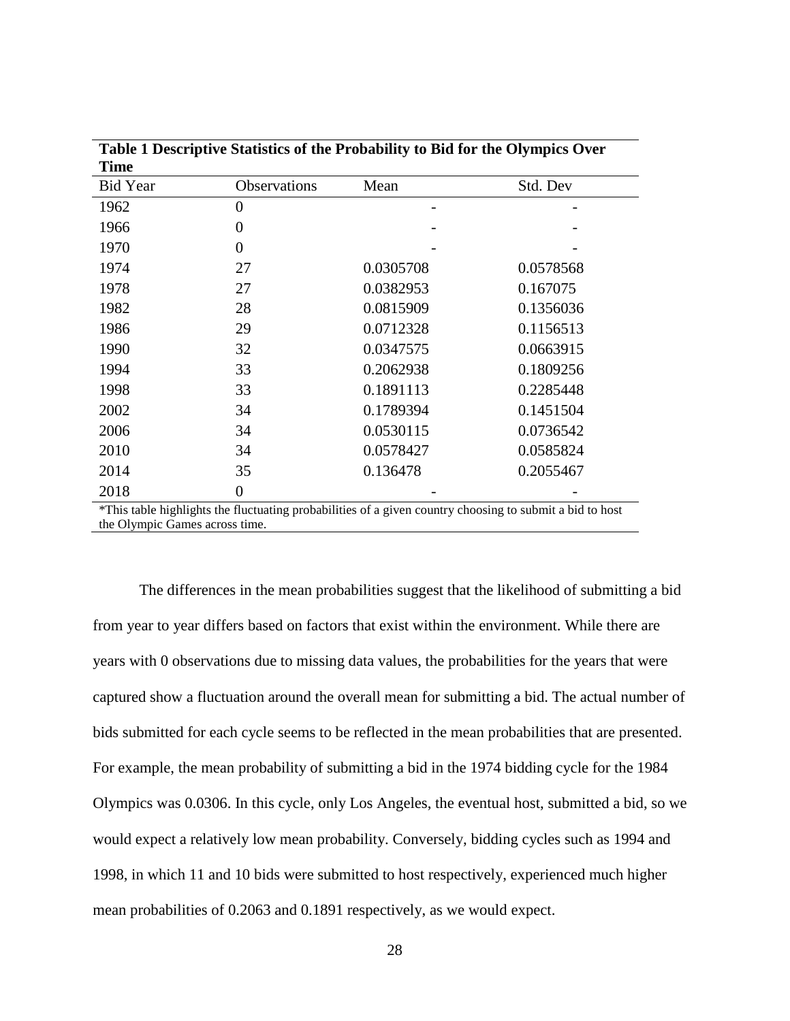| Time            |                  |           |                                                                                                          |  |  |
|-----------------|------------------|-----------|----------------------------------------------------------------------------------------------------------|--|--|
| <b>Bid Year</b> | Observations     | Mean      | Std. Dev                                                                                                 |  |  |
| 1962            | 0                |           |                                                                                                          |  |  |
| 1966            | $\overline{0}$   |           |                                                                                                          |  |  |
| 1970            | $\overline{0}$   |           |                                                                                                          |  |  |
| 1974            | 27               | 0.0305708 | 0.0578568                                                                                                |  |  |
| 1978            | 27               | 0.0382953 | 0.167075                                                                                                 |  |  |
| 1982            | 28               | 0.0815909 | 0.1356036                                                                                                |  |  |
| 1986            | 29               | 0.0712328 | 0.1156513                                                                                                |  |  |
| 1990            | 32               | 0.0347575 | 0.0663915                                                                                                |  |  |
| 1994            | 33               | 0.2062938 | 0.1809256                                                                                                |  |  |
| 1998            | 33               | 0.1891113 | 0.2285448                                                                                                |  |  |
| 2002            | 34               | 0.1789394 | 0.1451504                                                                                                |  |  |
| 2006            | 34               | 0.0530115 | 0.0736542                                                                                                |  |  |
| 2010            | 34               | 0.0578427 | 0.0585824                                                                                                |  |  |
| 2014            | 35               | 0.136478  | 0.2055467                                                                                                |  |  |
| 2018            | $\boldsymbol{0}$ |           |                                                                                                          |  |  |
|                 |                  |           | *This table highlights the fluctuating probabilities of a given country choosing to submit a bid to host |  |  |

**Table 1 Descriptive Statistics of the Probability to Bid for the Olympics Over** 

the Olympic Games across time.

The differences in the mean probabilities suggest that the likelihood of submitting a bid from year to year differs based on factors that exist within the environment. While there are years with 0 observations due to missing data values, the probabilities for the years that were captured show a fluctuation around the overall mean for submitting a bid. The actual number of bids submitted for each cycle seems to be reflected in the mean probabilities that are presented. For example, the mean probability of submitting a bid in the 1974 bidding cycle for the 1984 Olympics was 0.0306. In this cycle, only Los Angeles, the eventual host, submitted a bid, so we would expect a relatively low mean probability. Conversely, bidding cycles such as 1994 and 1998, in which 11 and 10 bids were submitted to host respectively, experienced much higher mean probabilities of 0.2063 and 0.1891 respectively, as we would expect.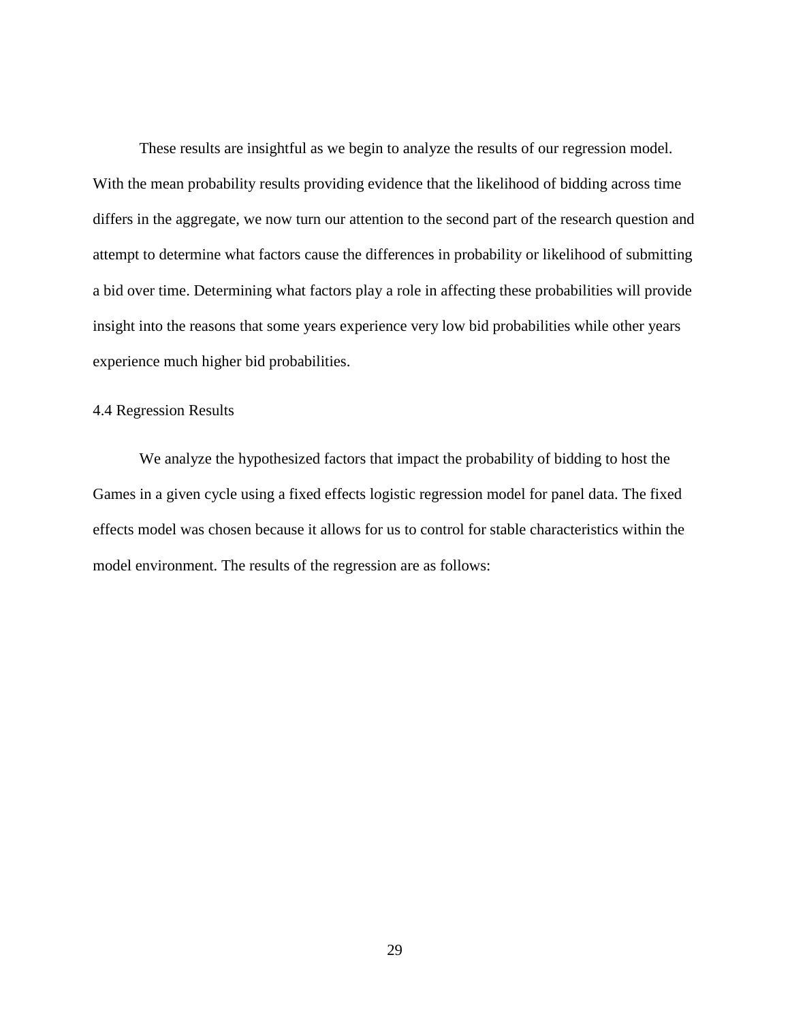These results are insightful as we begin to analyze the results of our regression model. With the mean probability results providing evidence that the likelihood of bidding across time differs in the aggregate, we now turn our attention to the second part of the research question and attempt to determine what factors cause the differences in probability or likelihood of submitting a bid over time. Determining what factors play a role in affecting these probabilities will provide insight into the reasons that some years experience very low bid probabilities while other years experience much higher bid probabilities.

## 4.4 Regression Results

We analyze the hypothesized factors that impact the probability of bidding to host the Games in a given cycle using a fixed effects logistic regression model for panel data. The fixed effects model was chosen because it allows for us to control for stable characteristics within the model environment. The results of the regression are as follows: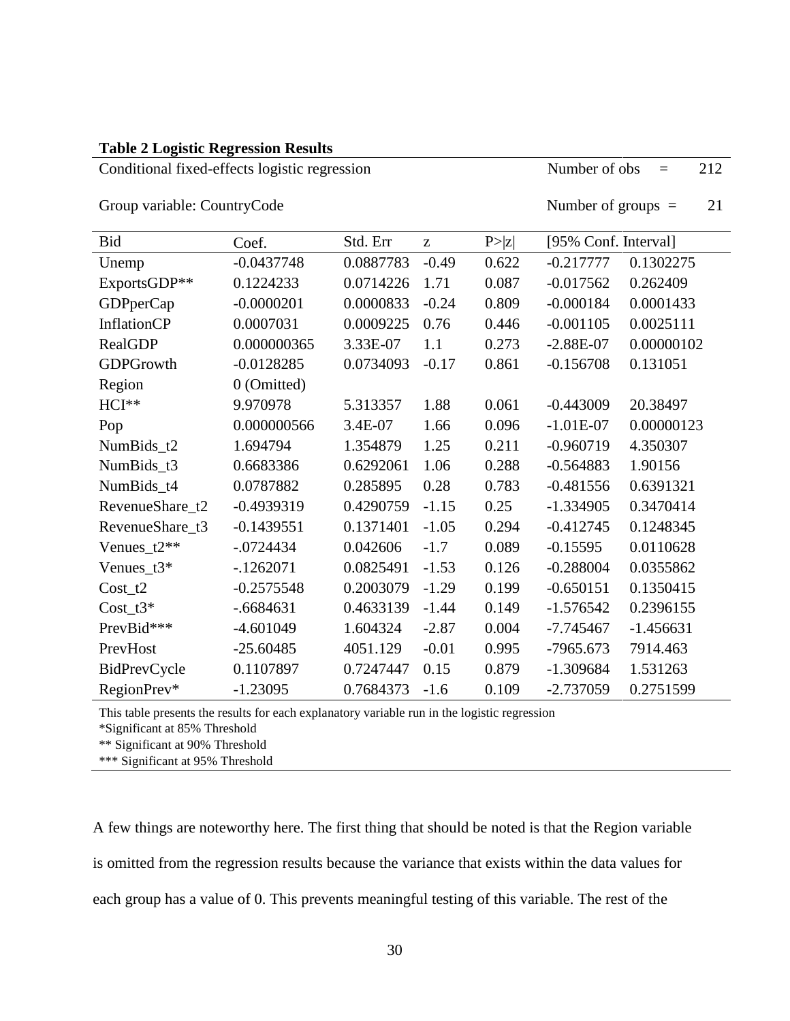#### **Table 2 Logistic Regression Results**

Conditional fixed-effects logistic regression Number of obs = 212

Group variable: CountryCode Number of groups = 21

| <b>Bid</b>         | Coef.        | Std. Err  | Z       | P >  z | [95% Conf. Interval] |             |
|--------------------|--------------|-----------|---------|--------|----------------------|-------------|
| Unemp              | $-0.0437748$ | 0.0887783 | $-0.49$ | 0.622  | $-0.217777$          | 0.1302275   |
| ExportsGDP**       | 0.1224233    | 0.0714226 | 1.71    | 0.087  | $-0.017562$          | 0.262409    |
| <b>GDPperCap</b>   | $-0.0000201$ | 0.0000833 | $-0.24$ | 0.809  | $-0.000184$          | 0.0001433   |
| <b>InflationCP</b> | 0.0007031    | 0.0009225 | 0.76    | 0.446  | $-0.001105$          | 0.0025111   |
| <b>RealGDP</b>     | 0.000000365  | 3.33E-07  | 1.1     | 0.273  | $-2.88E-07$          | 0.00000102  |
| <b>GDPGrowth</b>   | $-0.0128285$ | 0.0734093 | $-0.17$ | 0.861  | $-0.156708$          | 0.131051    |
| Region             | 0 (Omitted)  |           |         |        |                      |             |
| HCI**              | 9.970978     | 5.313357  | 1.88    | 0.061  | $-0.443009$          | 20.38497    |
| Pop                | 0.000000566  | 3.4E-07   | 1.66    | 0.096  | $-1.01E-07$          | 0.00000123  |
| NumBids_t2         | 1.694794     | 1.354879  | 1.25    | 0.211  | $-0.960719$          | 4.350307    |
| NumBids_t3         | 0.6683386    | 0.6292061 | 1.06    | 0.288  | $-0.564883$          | 1.90156     |
| NumBids_t4         | 0.0787882    | 0.285895  | 0.28    | 0.783  | $-0.481556$          | 0.6391321   |
| RevenueShare_t2    | $-0.4939319$ | 0.4290759 | $-1.15$ | 0.25   | $-1.334905$          | 0.3470414   |
| RevenueShare_t3    | $-0.1439551$ | 0.1371401 | $-1.05$ | 0.294  | $-0.412745$          | 0.1248345   |
| Venues_ $t2**$     | $-0724434$   | 0.042606  | $-1.7$  | 0.089  | $-0.15595$           | 0.0110628   |
| Venues_ $t3*$      | $-1262071$   | 0.0825491 | $-1.53$ | 0.126  | $-0.288004$          | 0.0355862   |
| $Cost_t2$          | $-0.2575548$ | 0.2003079 | $-1.29$ | 0.199  | $-0.650151$          | 0.1350415   |
| $Cost_t3*$         | $-.6684631$  | 0.4633139 | $-1.44$ | 0.149  | $-1.576542$          | 0.2396155   |
| PrevBid***         | $-4.601049$  | 1.604324  | $-2.87$ | 0.004  | $-7.745467$          | $-1.456631$ |
| PrevHost           | $-25.60485$  | 4051.129  | $-0.01$ | 0.995  | $-7965.673$          | 7914.463    |
| BidPrevCycle       | 0.1107897    | 0.7247447 | 0.15    | 0.879  | $-1.309684$          | 1.531263    |
| RegionPrev*        | $-1.23095$   | 0.7684373 | $-1.6$  | 0.109  | $-2.737059$          | 0.2751599   |

This table presents the results for each explanatory variable run in the logistic regression

\*Significant at 85% Threshold

\*\* Significant at 90% Threshold

\*\*\* Significant at 95% Threshold

A few things are noteworthy here. The first thing that should be noted is that the Region variable is omitted from the regression results because the variance that exists within the data values for each group has a value of 0. This prevents meaningful testing of this variable. The rest of the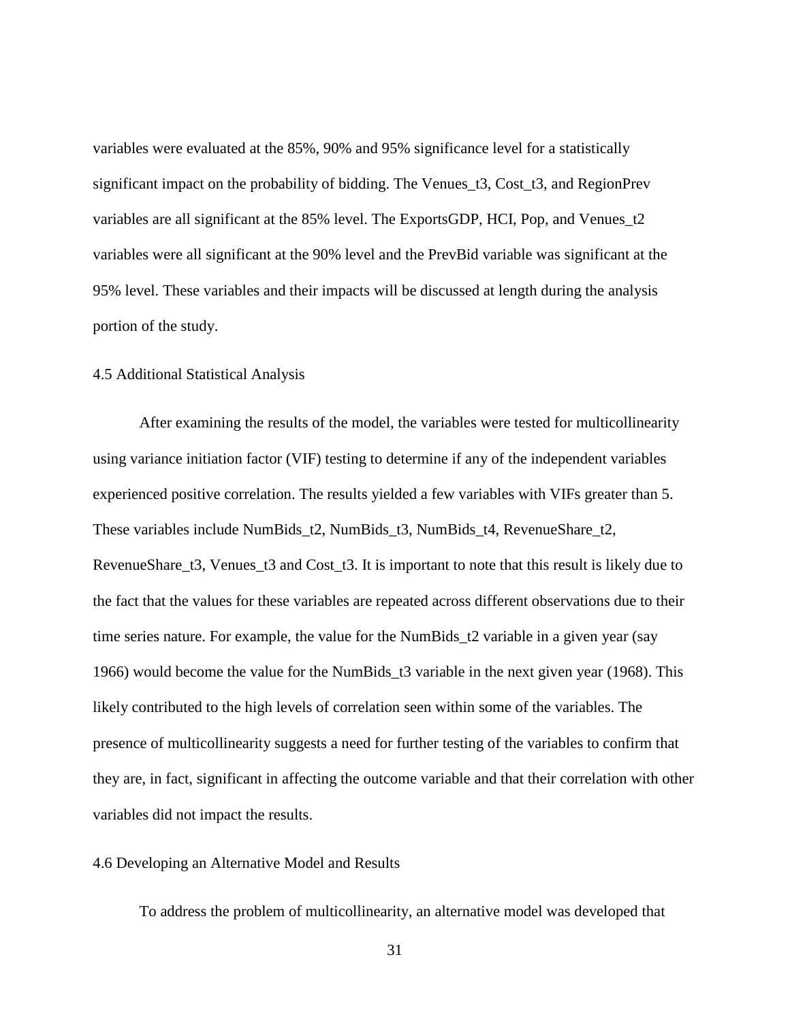variables were evaluated at the 85%, 90% and 95% significance level for a statistically significant impact on the probability of bidding. The Venues\_t3, Cost\_t3, and RegionPrev variables are all significant at the 85% level. The ExportsGDP, HCI, Pop, and Venues\_t2 variables were all significant at the 90% level and the PrevBid variable was significant at the 95% level. These variables and their impacts will be discussed at length during the analysis portion of the study.

#### 4.5 Additional Statistical Analysis

After examining the results of the model, the variables were tested for multicollinearity using variance initiation factor (VIF) testing to determine if any of the independent variables experienced positive correlation. The results yielded a few variables with VIFs greater than 5. These variables include NumBids\_t2, NumBids\_t3, NumBids\_t4, RevenueShare\_t2, RevenueShare\_t3, Venues\_t3 and Cost\_t3. It is important to note that this result is likely due to the fact that the values for these variables are repeated across different observations due to their time series nature. For example, the value for the NumBids\_t2 variable in a given year (say 1966) would become the value for the NumBids\_t3 variable in the next given year (1968). This likely contributed to the high levels of correlation seen within some of the variables. The presence of multicollinearity suggests a need for further testing of the variables to confirm that they are, in fact, significant in affecting the outcome variable and that their correlation with other variables did not impact the results.

#### 4.6 Developing an Alternative Model and Results

To address the problem of multicollinearity, an alternative model was developed that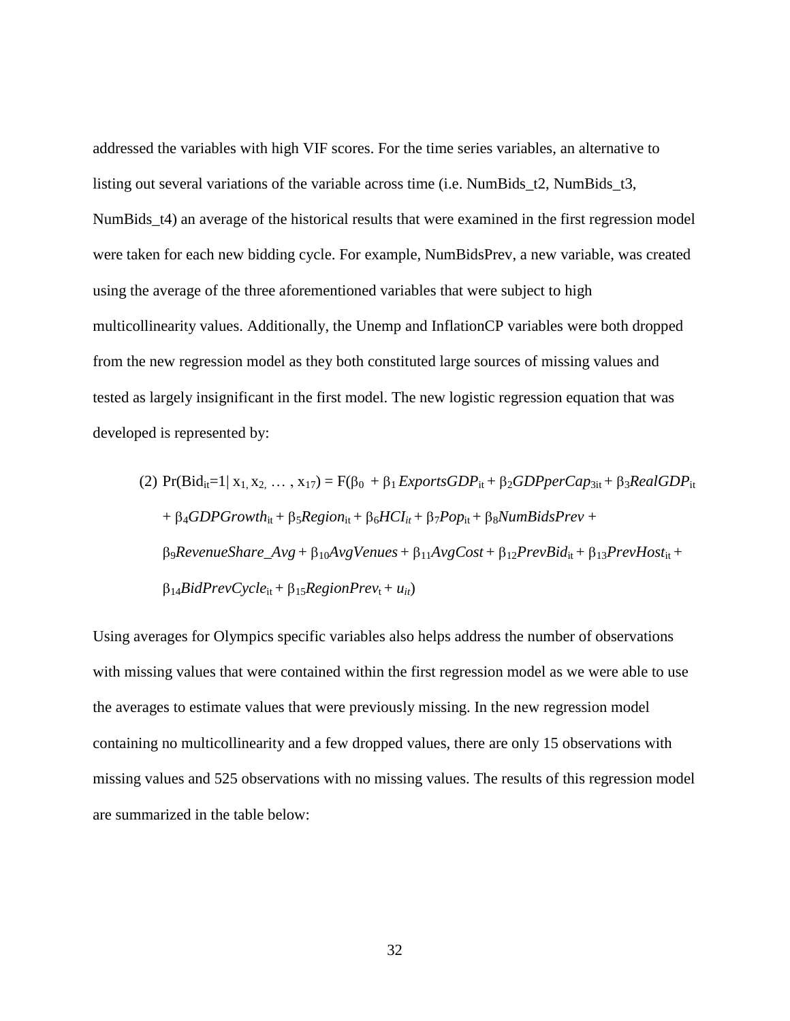addressed the variables with high VIF scores. For the time series variables, an alternative to listing out several variations of the variable across time (i.e. NumBids\_t2, NumBids\_t3, NumBids\_t4) an average of the historical results that were examined in the first regression model were taken for each new bidding cycle. For example, NumBidsPrev, a new variable, was created using the average of the three aforementioned variables that were subject to high multicollinearity values. Additionally, the Unemp and InflationCP variables were both dropped from the new regression model as they both constituted large sources of missing values and tested as largely insignificant in the first model. The new logistic regression equation that was developed is represented by:

(2) 
$$
Pr(Bid_{it}=1 | x_1, x_2, ..., x_{17}) = F(\beta_0 + \beta_1 ExportsGDP_{it} + \beta_2 GDPperCap_{3it} + \beta_3 RealGDP_{it}
$$

$$
+ \beta_4 GDPGrowth_{it} + \beta_5 Region_{it} + \beta_6 HCI_{it} + \beta_7 Pop_{it} + \beta_8 NumBidsPrev +
$$

$$
\beta_9 RevenueShare_Avg + \beta_{10} Avg Venus + \beta_{11} AvgCost + \beta_{12} PrevBid_{it} + \beta_{13} PrevHost_{it} +
$$

$$
\beta_{14} BidPrevCycle_{it} + \beta_{15} RegionPrev_t + u_{it})
$$

Using averages for Olympics specific variables also helps address the number of observations with missing values that were contained within the first regression model as we were able to use the averages to estimate values that were previously missing. In the new regression model containing no multicollinearity and a few dropped values, there are only 15 observations with missing values and 525 observations with no missing values. The results of this regression model are summarized in the table below: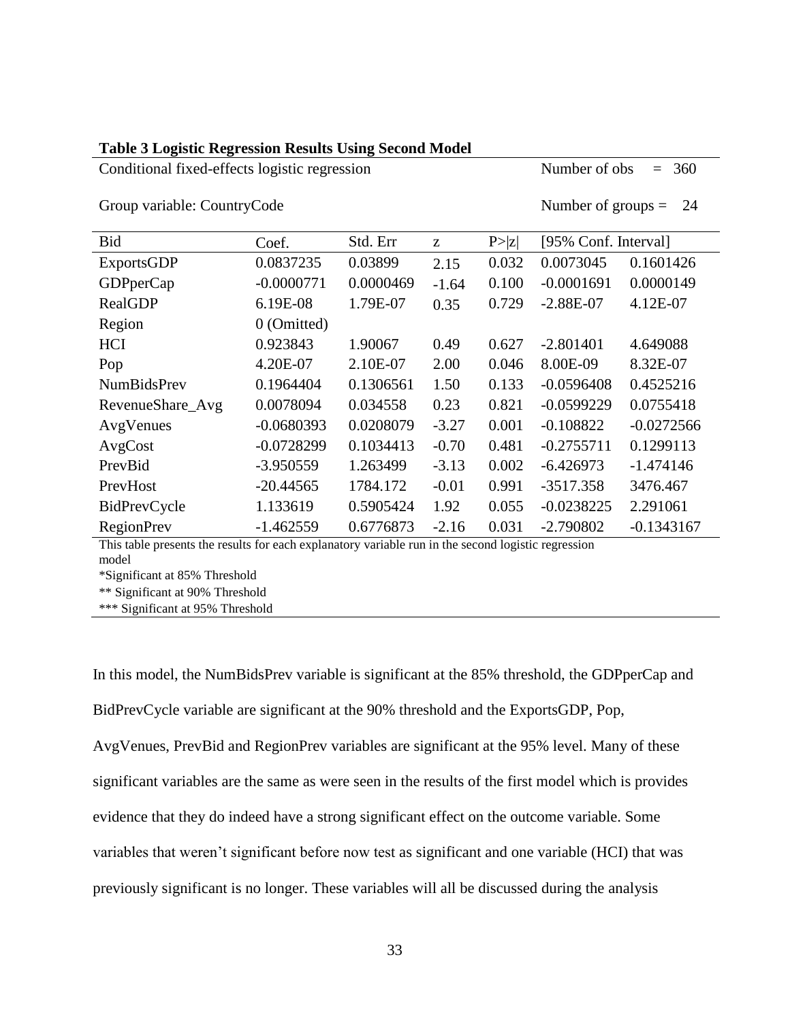| OTOUP VALIADIC. COUILLIVCOUC<br><b>INUITIVEL OF GLOUPS <math>-</math></b>                                    |               |           |         |        |                      |              |
|--------------------------------------------------------------------------------------------------------------|---------------|-----------|---------|--------|----------------------|--------------|
| Bid                                                                                                          | Coef.         | Std. Err  | Z       | P >  z | [95% Conf. Interval] |              |
| <b>ExportsGDP</b>                                                                                            | 0.0837235     | 0.03899   | 2.15    | 0.032  | 0.0073045            | 0.1601426    |
| <b>GDPperCap</b>                                                                                             | $-0.0000771$  | 0.0000469 | $-1.64$ | 0.100  | $-0.0001691$         | 0.0000149    |
| <b>RealGDP</b>                                                                                               | 6.19E-08      | 1.79E-07  | 0.35    | 0.729  | $-2.88E-07$          | 4.12E-07     |
| Region                                                                                                       | $0$ (Omitted) |           |         |        |                      |              |
| <b>HCI</b>                                                                                                   | 0.923843      | 1.90067   | 0.49    | 0.627  | $-2.801401$          | 4.649088     |
| Pop                                                                                                          | 4.20E-07      | 2.10E-07  | 2.00    | 0.046  | 8.00E-09             | 8.32E-07     |
| <b>NumBidsPrev</b>                                                                                           | 0.1964404     | 0.1306561 | 1.50    | 0.133  | $-0.0596408$         | 0.4525216    |
| RevenueShare_Avg                                                                                             | 0.0078094     | 0.034558  | 0.23    | 0.821  | $-0.0599229$         | 0.0755418    |
| AvgVenues                                                                                                    | $-0.0680393$  | 0.0208079 | $-3.27$ | 0.001  | $-0.108822$          | $-0.0272566$ |
| AvgCost                                                                                                      | $-0.0728299$  | 0.1034413 | $-0.70$ | 0.481  | $-0.2755711$         | 0.1299113    |
| PrevBid                                                                                                      | $-3.950559$   | 1.263499  | $-3.13$ | 0.002  | $-6.426973$          | $-1.474146$  |
| PrevHost                                                                                                     | $-20.44565$   | 1784.172  | $-0.01$ | 0.991  | $-3517.358$          | 3476.467     |
| BidPrevCycle                                                                                                 | 1.133619      | 0.5905424 | 1.92    | 0.055  | $-0.0238225$         | 2.291061     |
| <b>RegionPrev</b>                                                                                            | $-1.462559$   | 0.6776873 | $-2.16$ | 0.031  | $-2.790802$          | $-0.1343167$ |
| This table presents the results for each explanatory variable run in the second logistic regression<br>model |               |           |         |        |                      |              |

### **Table 3 Logistic Regression Results Using Second Model**

Conditional fixed-effects logistic regression Number of obs = 360

Group variable:  $C_{\text{0}}$  Country $C_{\text{0}}$ de  $C_{\text{1}}$   $C_{\text{1}}$   $C_{\text{2}}$   $C_{\text{2}}$   $C_{\text{3}}$   $C_{\text{3}}$   $C_{\text{4}}$   $C_{\text{5}}$   $C_{\text{6}}$   $C_{\text{6}}$   $C_{\text{7}}$   $C_{\text{8}}$   $C_{\text{9}}$   $C_{\text{1}}$   $C_{\text{1}}$   $C_{\text{1}}$   $C_{\text{1}}$   $C_{\text{$ 

\*Significant at 85% Threshold

\*\* Significant at 90% Threshold

\*\*\* Significant at 95% Threshold

In this model, the NumBidsPrev variable is significant at the 85% threshold, the GDPperCap and BidPrevCycle variable are significant at the 90% threshold and the ExportsGDP, Pop, AvgVenues, PrevBid and RegionPrev variables are significant at the 95% level. Many of these

significant variables are the same as were seen in the results of the first model which is provides

evidence that they do indeed have a strong significant effect on the outcome variable. Some

variables that weren't significant before now test as significant and one variable (HCI) that was

previously significant is no longer. These variables will all be discussed during the analysis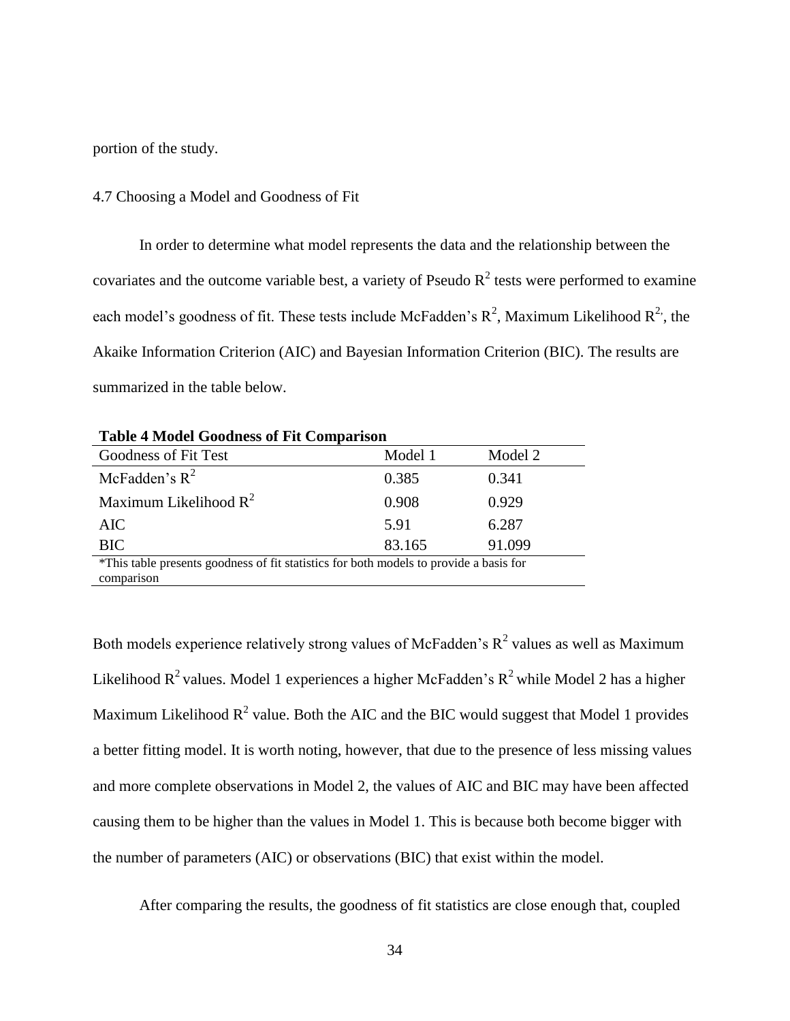portion of the study.

#### 4.7 Choosing a Model and Goodness of Fit

In order to determine what model represents the data and the relationship between the covariates and the outcome variable best, a variety of Pseudo  $R^2$  tests were performed to examine each model's goodness of fit. These tests include McFadden's  $R^2$ , Maximum Likelihood  $R^2$ , the Akaike Information Criterion (AIC) and Bayesian Information Criterion (BIC). The results are summarized in the table below.

| <b>Table 4 Model Goodness of Fit Comparison</b>                                        |         |         |  |  |
|----------------------------------------------------------------------------------------|---------|---------|--|--|
| Goodness of Fit Test                                                                   | Model 1 | Model 2 |  |  |
| McFadden's $R^2$                                                                       | 0.385   | 0.341   |  |  |
| Maximum Likelihood $R^2$                                                               | 0.908   | 0.929   |  |  |
| AIC                                                                                    | 5.91    | 6.287   |  |  |
| <b>BIC</b>                                                                             | 83.165  | 91.099  |  |  |
| *This table presents goodness of fit statistics for both models to provide a basis for |         |         |  |  |
| comparison                                                                             |         |         |  |  |

Both models experience relatively strong values of McFadden's  $R^2$  values as well as Maximum Likelihood  $R^2$  values. Model 1 experiences a higher McFadden's  $R^2$  while Model 2 has a higher Maximum Likelihood  $R^2$  value. Both the AIC and the BIC would suggest that Model 1 provides a better fitting model. It is worth noting, however, that due to the presence of less missing values and more complete observations in Model 2, the values of AIC and BIC may have been affected causing them to be higher than the values in Model 1. This is because both become bigger with the number of parameters (AIC) or observations (BIC) that exist within the model.

After comparing the results, the goodness of fit statistics are close enough that, coupled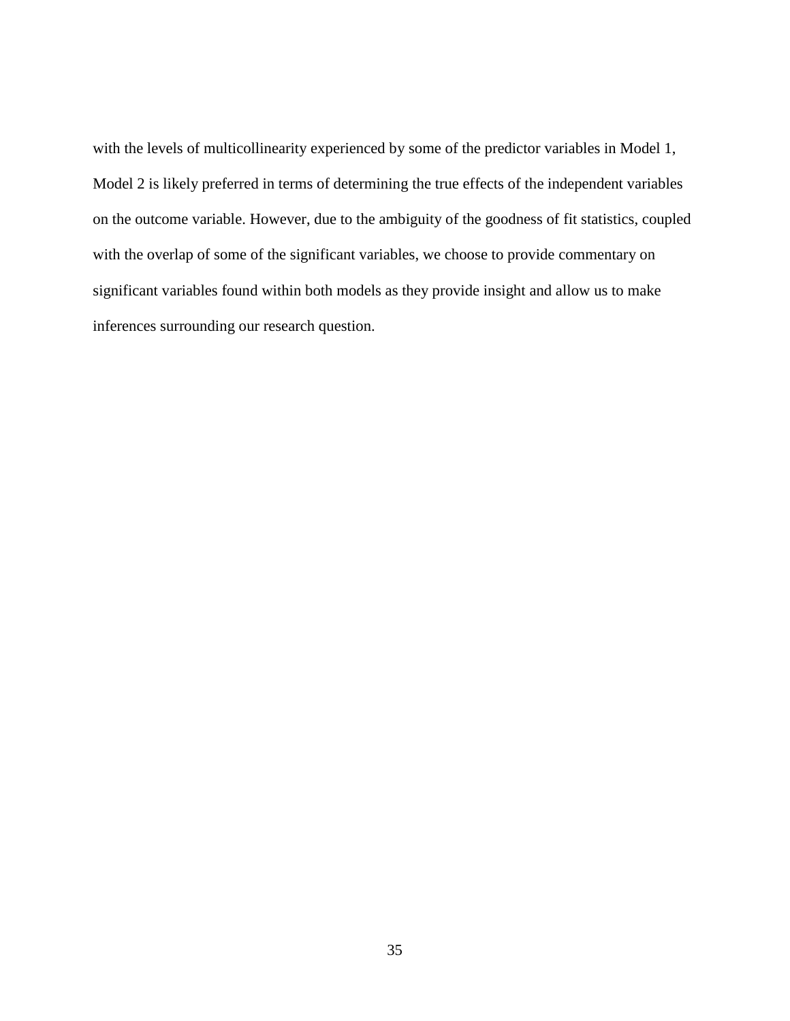with the levels of multicollinearity experienced by some of the predictor variables in Model 1, Model 2 is likely preferred in terms of determining the true effects of the independent variables on the outcome variable. However, due to the ambiguity of the goodness of fit statistics, coupled with the overlap of some of the significant variables, we choose to provide commentary on significant variables found within both models as they provide insight and allow us to make inferences surrounding our research question.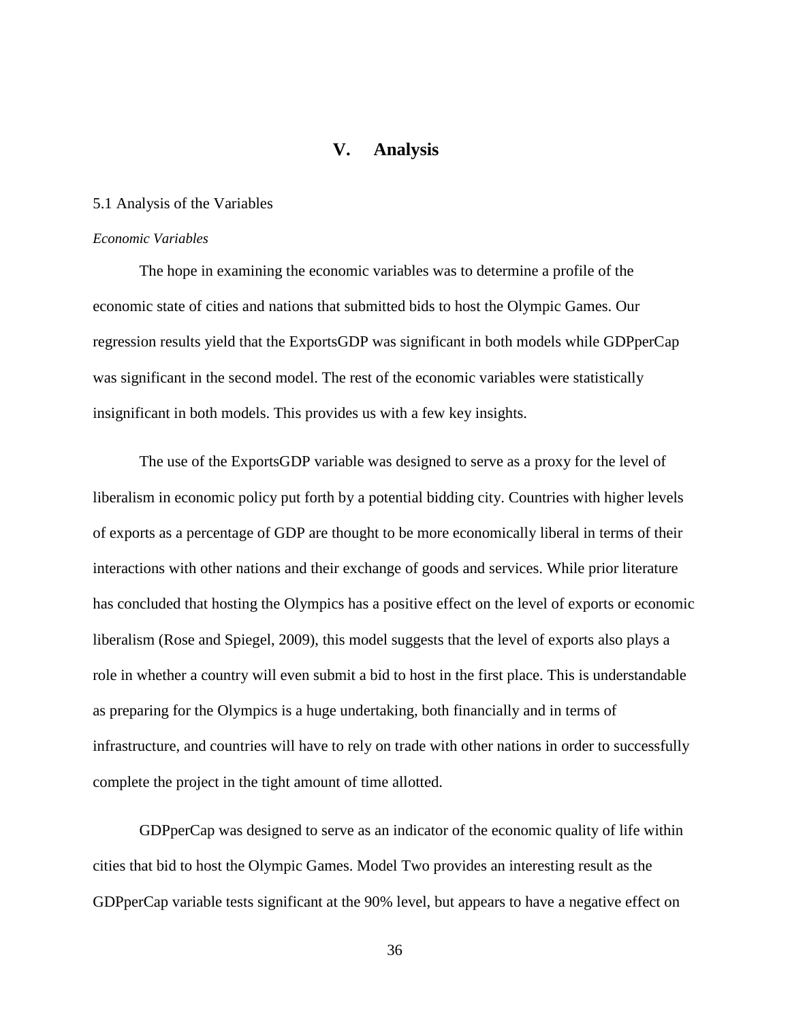## **V. Analysis**

#### <span id="page-42-0"></span>5.1 Analysis of the Variables

#### *Economic Variables*

The hope in examining the economic variables was to determine a profile of the economic state of cities and nations that submitted bids to host the Olympic Games. Our regression results yield that the ExportsGDP was significant in both models while GDPperCap was significant in the second model. The rest of the economic variables were statistically insignificant in both models. This provides us with a few key insights.

The use of the ExportsGDP variable was designed to serve as a proxy for the level of liberalism in economic policy put forth by a potential bidding city. Countries with higher levels of exports as a percentage of GDP are thought to be more economically liberal in terms of their interactions with other nations and their exchange of goods and services. While prior literature has concluded that hosting the Olympics has a positive effect on the level of exports or economic liberalism (Rose and Spiegel, 2009), this model suggests that the level of exports also plays a role in whether a country will even submit a bid to host in the first place. This is understandable as preparing for the Olympics is a huge undertaking, both financially and in terms of infrastructure, and countries will have to rely on trade with other nations in order to successfully complete the project in the tight amount of time allotted.

GDPperCap was designed to serve as an indicator of the economic quality of life within cities that bid to host the Olympic Games. Model Two provides an interesting result as the GDPperCap variable tests significant at the 90% level, but appears to have a negative effect on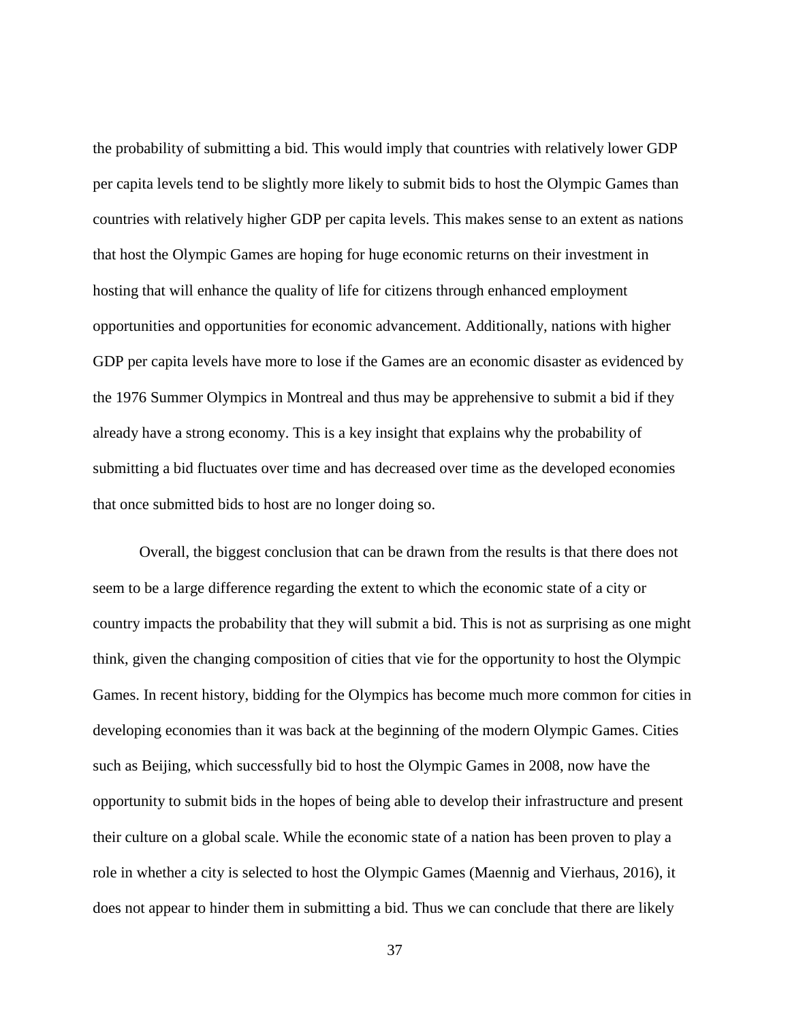the probability of submitting a bid. This would imply that countries with relatively lower GDP per capita levels tend to be slightly more likely to submit bids to host the Olympic Games than countries with relatively higher GDP per capita levels. This makes sense to an extent as nations that host the Olympic Games are hoping for huge economic returns on their investment in hosting that will enhance the quality of life for citizens through enhanced employment opportunities and opportunities for economic advancement. Additionally, nations with higher GDP per capita levels have more to lose if the Games are an economic disaster as evidenced by the 1976 Summer Olympics in Montreal and thus may be apprehensive to submit a bid if they already have a strong economy. This is a key insight that explains why the probability of submitting a bid fluctuates over time and has decreased over time as the developed economies that once submitted bids to host are no longer doing so.

Overall, the biggest conclusion that can be drawn from the results is that there does not seem to be a large difference regarding the extent to which the economic state of a city or country impacts the probability that they will submit a bid. This is not as surprising as one might think, given the changing composition of cities that vie for the opportunity to host the Olympic Games. In recent history, bidding for the Olympics has become much more common for cities in developing economies than it was back at the beginning of the modern Olympic Games. Cities such as Beijing, which successfully bid to host the Olympic Games in 2008, now have the opportunity to submit bids in the hopes of being able to develop their infrastructure and present their culture on a global scale. While the economic state of a nation has been proven to play a role in whether a city is selected to host the Olympic Games (Maennig and Vierhaus, 2016), it does not appear to hinder them in submitting a bid. Thus we can conclude that there are likely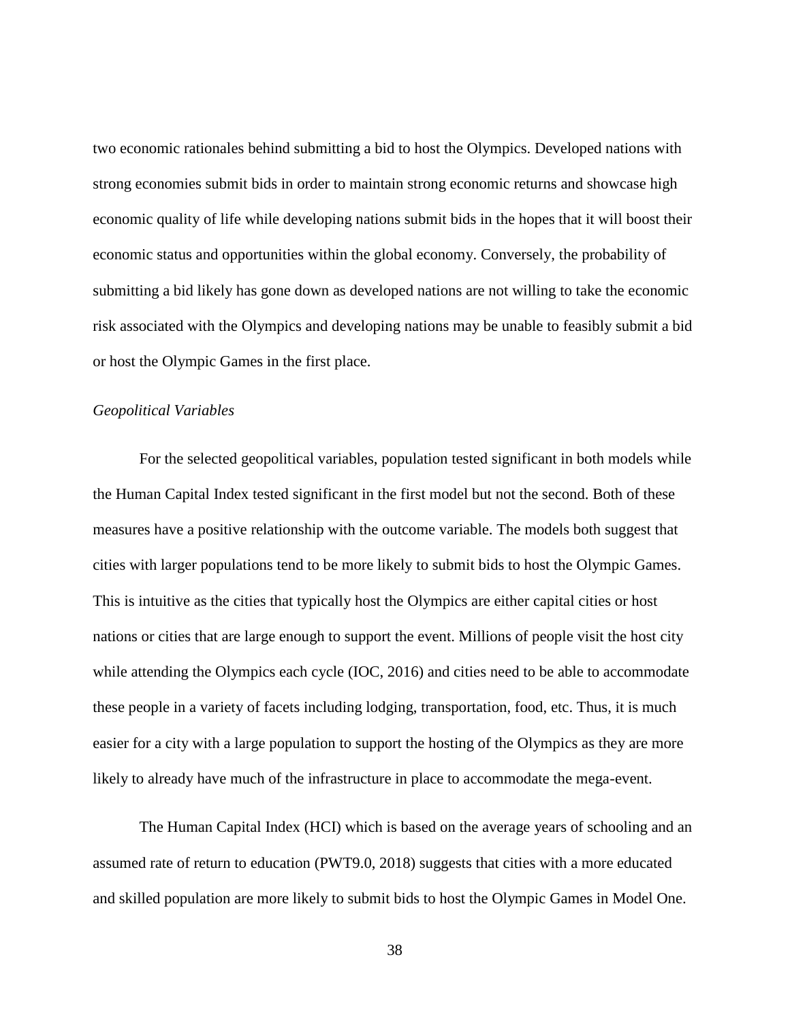two economic rationales behind submitting a bid to host the Olympics. Developed nations with strong economies submit bids in order to maintain strong economic returns and showcase high economic quality of life while developing nations submit bids in the hopes that it will boost their economic status and opportunities within the global economy. Conversely, the probability of submitting a bid likely has gone down as developed nations are not willing to take the economic risk associated with the Olympics and developing nations may be unable to feasibly submit a bid or host the Olympic Games in the first place.

#### *Geopolitical Variables*

For the selected geopolitical variables, population tested significant in both models while the Human Capital Index tested significant in the first model but not the second. Both of these measures have a positive relationship with the outcome variable. The models both suggest that cities with larger populations tend to be more likely to submit bids to host the Olympic Games. This is intuitive as the cities that typically host the Olympics are either capital cities or host nations or cities that are large enough to support the event. Millions of people visit the host city while attending the Olympics each cycle (IOC, 2016) and cities need to be able to accommodate these people in a variety of facets including lodging, transportation, food, etc. Thus, it is much easier for a city with a large population to support the hosting of the Olympics as they are more likely to already have much of the infrastructure in place to accommodate the mega-event.

The Human Capital Index (HCI) which is based on the average years of schooling and an assumed rate of return to education (PWT9.0, 2018) suggests that cities with a more educated and skilled population are more likely to submit bids to host the Olympic Games in Model One.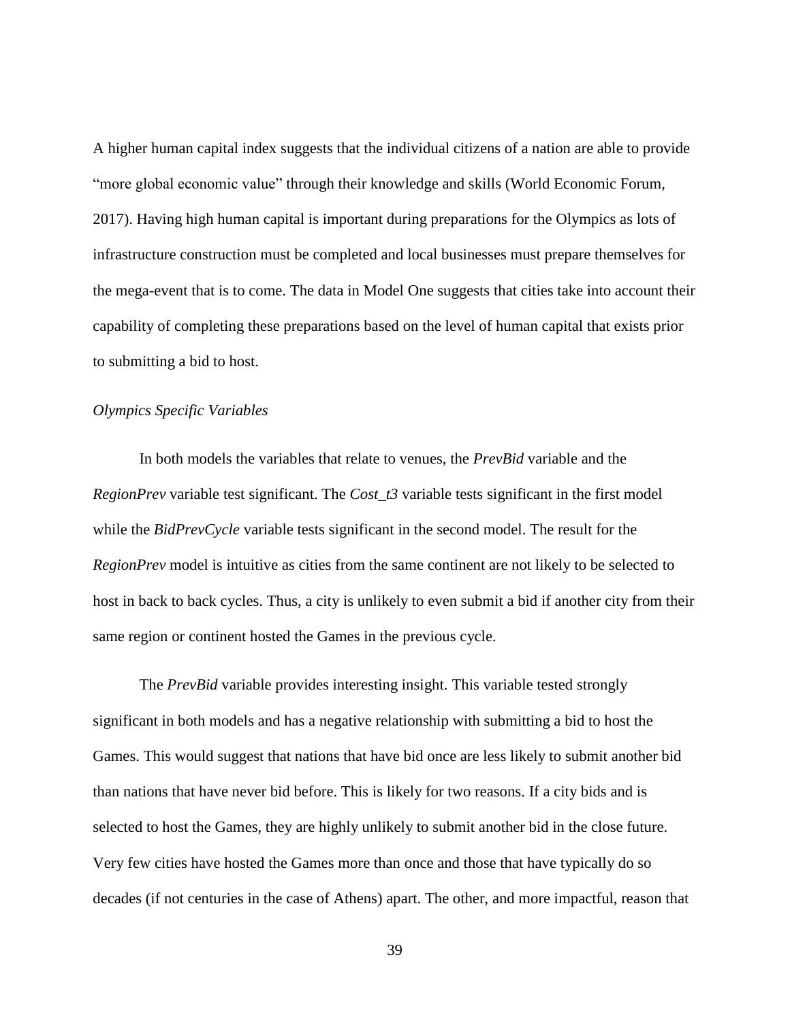A higher human capital index suggests that the individual citizens of a nation are able to provide "more global economic value" through their knowledge and skills (World Economic Forum, 2017). Having high human capital is important during preparations for the Olympics as lots of infrastructure construction must be completed and local businesses must prepare themselves for the mega-event that is to come. The data in Model One suggests that cities take into account their capability of completing these preparations based on the level of human capital that exists prior to submitting a bid to host.

#### *Olympics Specific Variables*

In both models the variables that relate to venues, the *PrevBid* variable and the *RegionPrev* variable test significant. The *Cost\_t3* variable tests significant in the first model while the *BidPrevCycle* variable tests significant in the second model. The result for the *RegionPrev* model is intuitive as cities from the same continent are not likely to be selected to host in back to back cycles. Thus, a city is unlikely to even submit a bid if another city from their same region or continent hosted the Games in the previous cycle.

The *PrevBid* variable provides interesting insight. This variable tested strongly significant in both models and has a negative relationship with submitting a bid to host the Games. This would suggest that nations that have bid once are less likely to submit another bid than nations that have never bid before. This is likely for two reasons. If a city bids and is selected to host the Games, they are highly unlikely to submit another bid in the close future. Very few cities have hosted the Games more than once and those that have typically do so decades (if not centuries in the case of Athens) apart. The other, and more impactful, reason that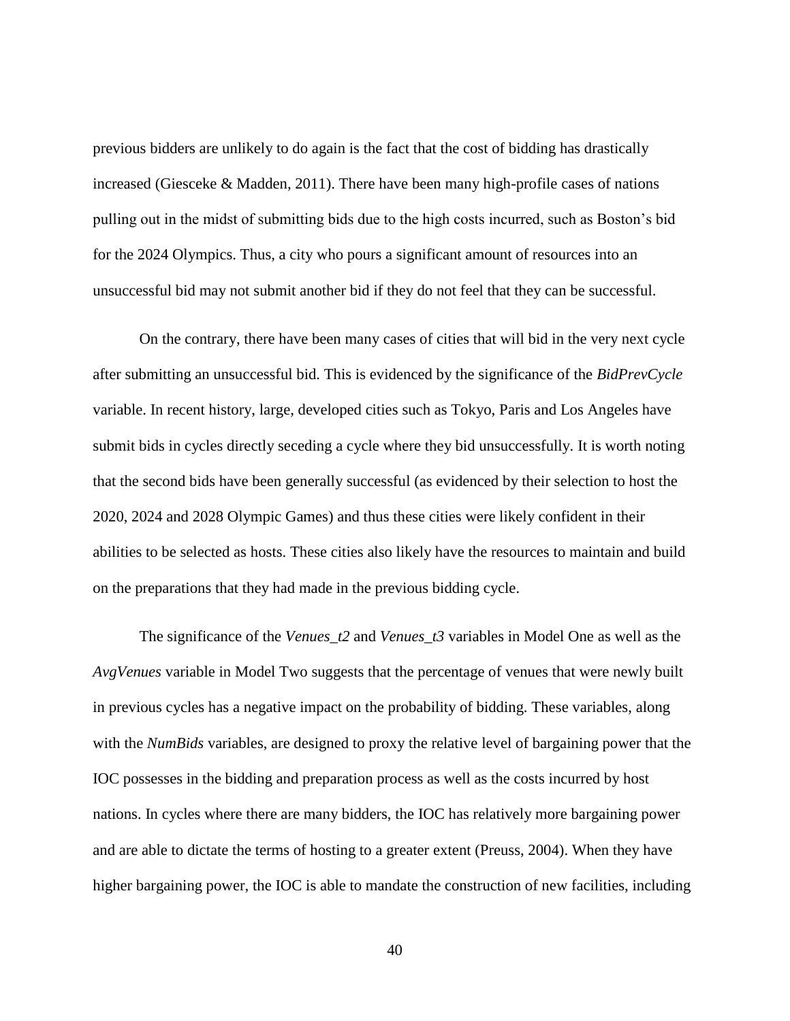previous bidders are unlikely to do again is the fact that the cost of bidding has drastically increased (Giesceke & Madden, 2011). There have been many high-profile cases of nations pulling out in the midst of submitting bids due to the high costs incurred, such as Boston's bid for the 2024 Olympics. Thus, a city who pours a significant amount of resources into an unsuccessful bid may not submit another bid if they do not feel that they can be successful.

On the contrary, there have been many cases of cities that will bid in the very next cycle after submitting an unsuccessful bid. This is evidenced by the significance of the *BidPrevCycle*  variable. In recent history, large, developed cities such as Tokyo, Paris and Los Angeles have submit bids in cycles directly seceding a cycle where they bid unsuccessfully. It is worth noting that the second bids have been generally successful (as evidenced by their selection to host the 2020, 2024 and 2028 Olympic Games) and thus these cities were likely confident in their abilities to be selected as hosts. These cities also likely have the resources to maintain and build on the preparations that they had made in the previous bidding cycle.

The significance of the *Venues\_t2* and *Venues\_t3* variables in Model One as well as the *AvgVenues* variable in Model Two suggests that the percentage of venues that were newly built in previous cycles has a negative impact on the probability of bidding. These variables, along with the *NumBids* variables, are designed to proxy the relative level of bargaining power that the IOC possesses in the bidding and preparation process as well as the costs incurred by host nations. In cycles where there are many bidders, the IOC has relatively more bargaining power and are able to dictate the terms of hosting to a greater extent (Preuss, 2004). When they have higher bargaining power, the IOC is able to mandate the construction of new facilities, including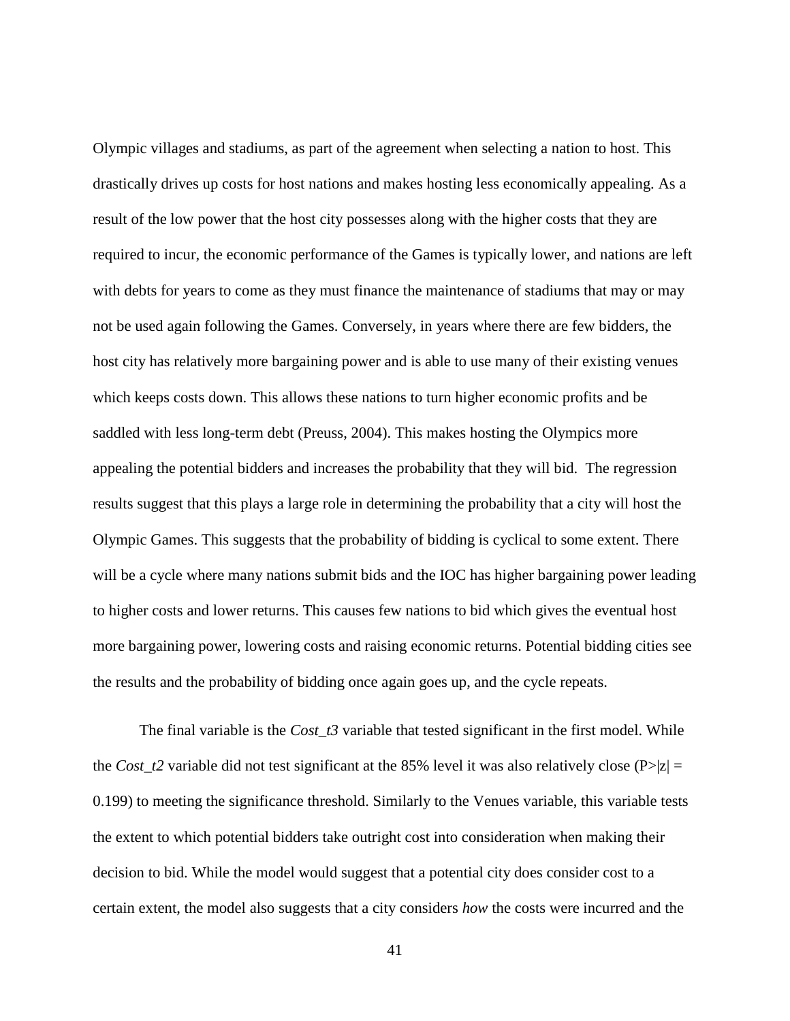Olympic villages and stadiums, as part of the agreement when selecting a nation to host. This drastically drives up costs for host nations and makes hosting less economically appealing. As a result of the low power that the host city possesses along with the higher costs that they are required to incur, the economic performance of the Games is typically lower, and nations are left with debts for years to come as they must finance the maintenance of stadiums that may or may not be used again following the Games. Conversely, in years where there are few bidders, the host city has relatively more bargaining power and is able to use many of their existing venues which keeps costs down. This allows these nations to turn higher economic profits and be saddled with less long-term debt (Preuss, 2004). This makes hosting the Olympics more appealing the potential bidders and increases the probability that they will bid. The regression results suggest that this plays a large role in determining the probability that a city will host the Olympic Games. This suggests that the probability of bidding is cyclical to some extent. There will be a cycle where many nations submit bids and the IOC has higher bargaining power leading to higher costs and lower returns. This causes few nations to bid which gives the eventual host more bargaining power, lowering costs and raising economic returns. Potential bidding cities see the results and the probability of bidding once again goes up, and the cycle repeats.

The final variable is the *Cost\_t3* variable that tested significant in the first model. While the *Cost\_t2* variable did not test significant at the 85% level it was also relatively close (P>|z| = 0.199) to meeting the significance threshold. Similarly to the Venues variable, this variable tests the extent to which potential bidders take outright cost into consideration when making their decision to bid. While the model would suggest that a potential city does consider cost to a certain extent, the model also suggests that a city considers *how* the costs were incurred and the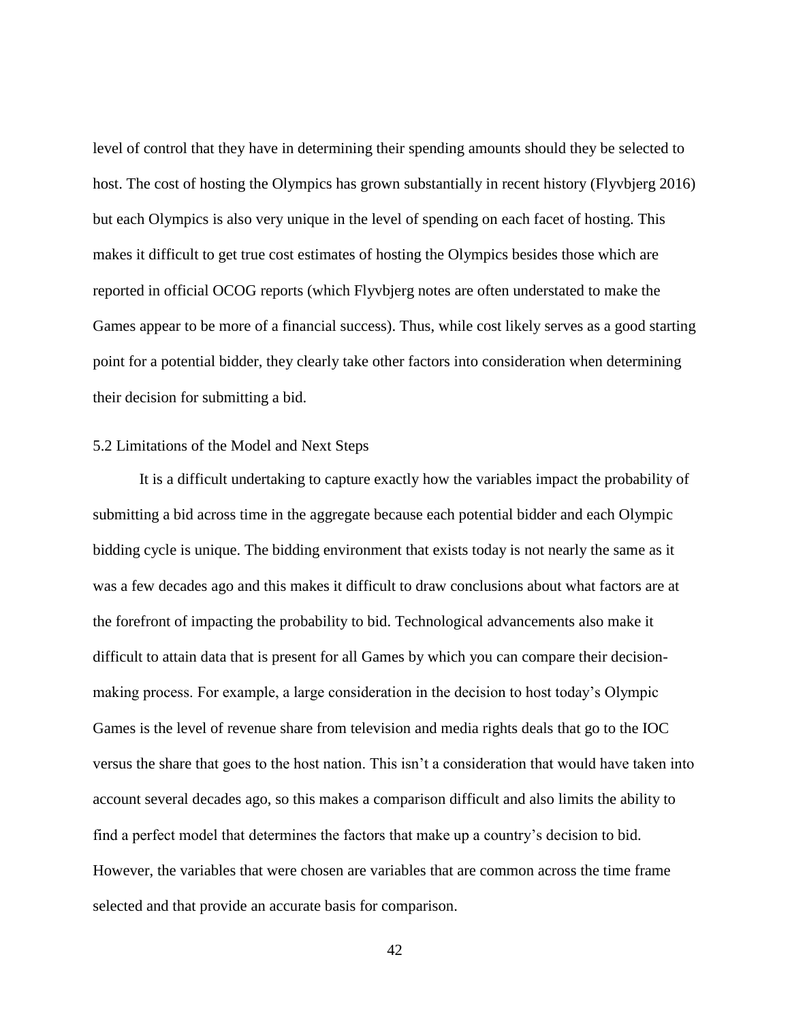level of control that they have in determining their spending amounts should they be selected to host. The cost of hosting the Olympics has grown substantially in recent history (Flyvbjerg 2016) but each Olympics is also very unique in the level of spending on each facet of hosting. This makes it difficult to get true cost estimates of hosting the Olympics besides those which are reported in official OCOG reports (which Flyvbjerg notes are often understated to make the Games appear to be more of a financial success). Thus, while cost likely serves as a good starting point for a potential bidder, they clearly take other factors into consideration when determining their decision for submitting a bid.

#### 5.2 Limitations of the Model and Next Steps

It is a difficult undertaking to capture exactly how the variables impact the probability of submitting a bid across time in the aggregate because each potential bidder and each Olympic bidding cycle is unique. The bidding environment that exists today is not nearly the same as it was a few decades ago and this makes it difficult to draw conclusions about what factors are at the forefront of impacting the probability to bid. Technological advancements also make it difficult to attain data that is present for all Games by which you can compare their decisionmaking process. For example, a large consideration in the decision to host today's Olympic Games is the level of revenue share from television and media rights deals that go to the IOC versus the share that goes to the host nation. This isn't a consideration that would have taken into account several decades ago, so this makes a comparison difficult and also limits the ability to find a perfect model that determines the factors that make up a country's decision to bid. However, the variables that were chosen are variables that are common across the time frame selected and that provide an accurate basis for comparison.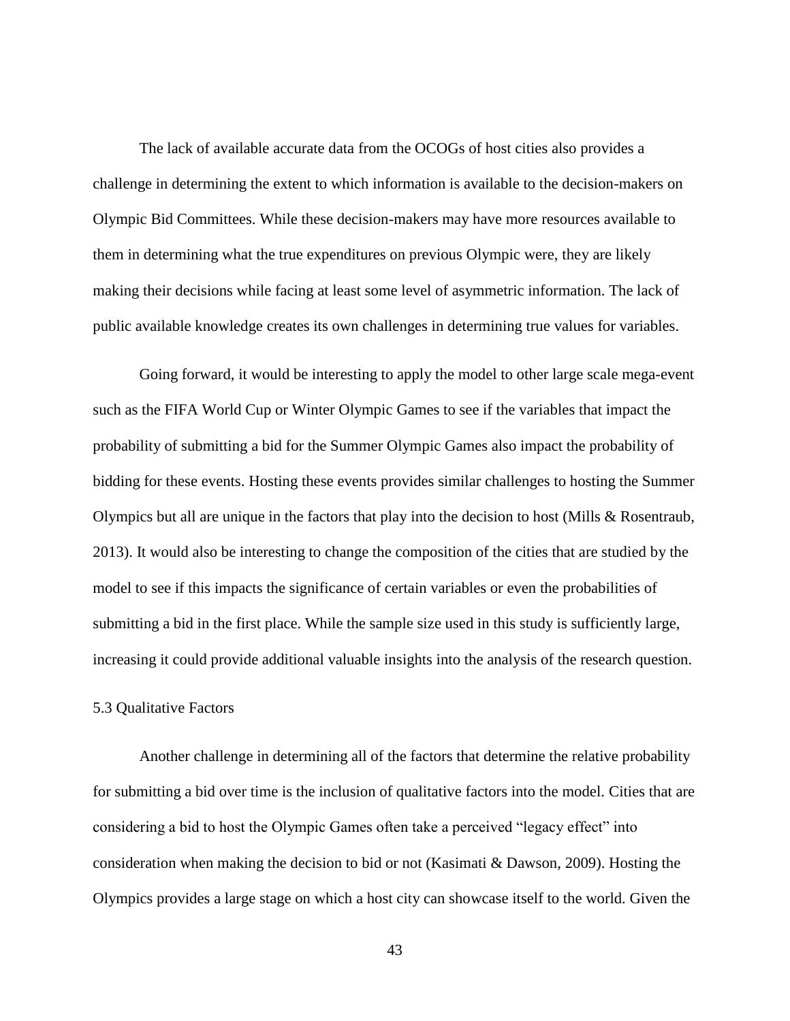The lack of available accurate data from the OCOGs of host cities also provides a challenge in determining the extent to which information is available to the decision-makers on Olympic Bid Committees. While these decision-makers may have more resources available to them in determining what the true expenditures on previous Olympic were, they are likely making their decisions while facing at least some level of asymmetric information. The lack of public available knowledge creates its own challenges in determining true values for variables.

Going forward, it would be interesting to apply the model to other large scale mega-event such as the FIFA World Cup or Winter Olympic Games to see if the variables that impact the probability of submitting a bid for the Summer Olympic Games also impact the probability of bidding for these events. Hosting these events provides similar challenges to hosting the Summer Olympics but all are unique in the factors that play into the decision to host (Mills & Rosentraub, 2013). It would also be interesting to change the composition of the cities that are studied by the model to see if this impacts the significance of certain variables or even the probabilities of submitting a bid in the first place. While the sample size used in this study is sufficiently large, increasing it could provide additional valuable insights into the analysis of the research question.

#### 5.3 Qualitative Factors

Another challenge in determining all of the factors that determine the relative probability for submitting a bid over time is the inclusion of qualitative factors into the model. Cities that are considering a bid to host the Olympic Games often take a perceived "legacy effect" into consideration when making the decision to bid or not (Kasimati & Dawson, 2009). Hosting the Olympics provides a large stage on which a host city can showcase itself to the world. Given the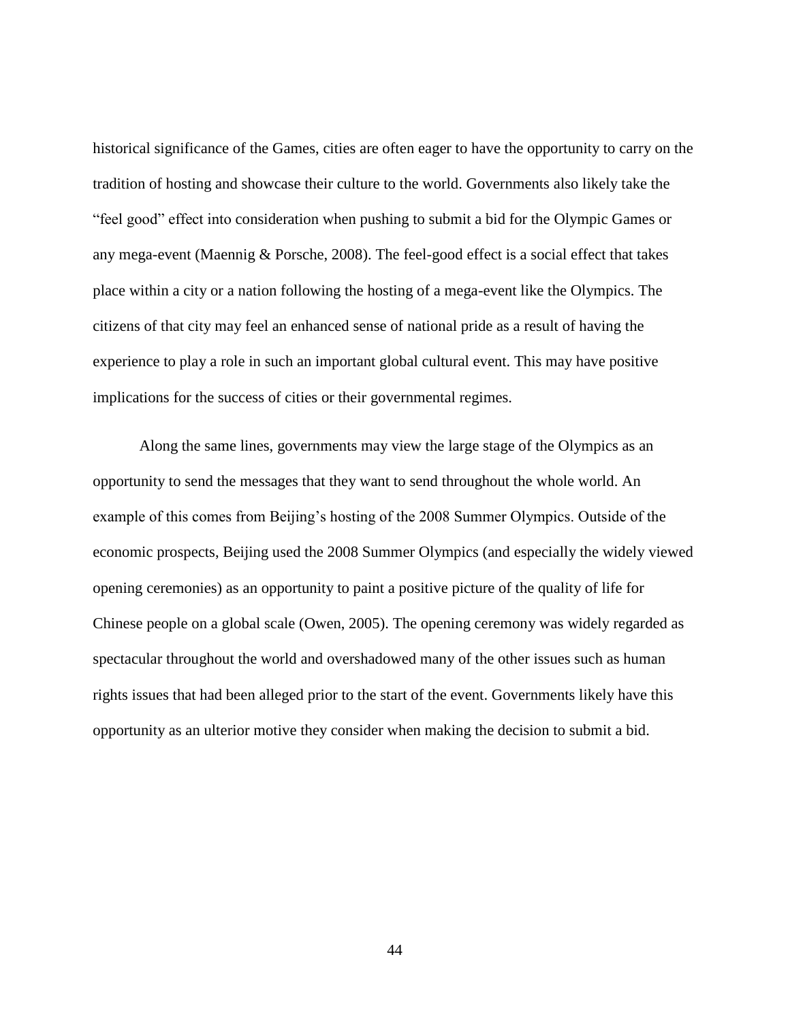historical significance of the Games, cities are often eager to have the opportunity to carry on the tradition of hosting and showcase their culture to the world. Governments also likely take the "feel good" effect into consideration when pushing to submit a bid for the Olympic Games or any mega-event (Maennig & Porsche, 2008). The feel-good effect is a social effect that takes place within a city or a nation following the hosting of a mega-event like the Olympics. The citizens of that city may feel an enhanced sense of national pride as a result of having the experience to play a role in such an important global cultural event. This may have positive implications for the success of cities or their governmental regimes.

Along the same lines, governments may view the large stage of the Olympics as an opportunity to send the messages that they want to send throughout the whole world. An example of this comes from Beijing's hosting of the 2008 Summer Olympics. Outside of the economic prospects, Beijing used the 2008 Summer Olympics (and especially the widely viewed opening ceremonies) as an opportunity to paint a positive picture of the quality of life for Chinese people on a global scale (Owen, 2005). The opening ceremony was widely regarded as spectacular throughout the world and overshadowed many of the other issues such as human rights issues that had been alleged prior to the start of the event. Governments likely have this opportunity as an ulterior motive they consider when making the decision to submit a bid.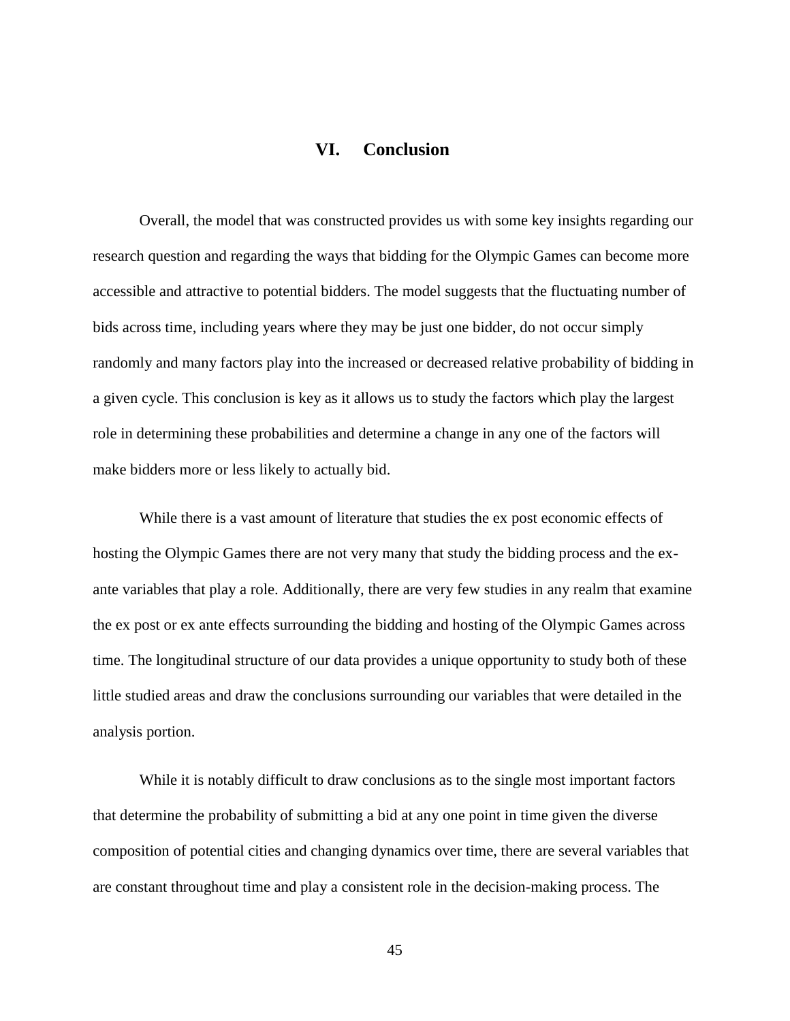## **VI. Conclusion**

<span id="page-51-0"></span>Overall, the model that was constructed provides us with some key insights regarding our research question and regarding the ways that bidding for the Olympic Games can become more accessible and attractive to potential bidders. The model suggests that the fluctuating number of bids across time, including years where they may be just one bidder, do not occur simply randomly and many factors play into the increased or decreased relative probability of bidding in a given cycle. This conclusion is key as it allows us to study the factors which play the largest role in determining these probabilities and determine a change in any one of the factors will make bidders more or less likely to actually bid.

While there is a vast amount of literature that studies the ex post economic effects of hosting the Olympic Games there are not very many that study the bidding process and the exante variables that play a role. Additionally, there are very few studies in any realm that examine the ex post or ex ante effects surrounding the bidding and hosting of the Olympic Games across time. The longitudinal structure of our data provides a unique opportunity to study both of these little studied areas and draw the conclusions surrounding our variables that were detailed in the analysis portion.

While it is notably difficult to draw conclusions as to the single most important factors that determine the probability of submitting a bid at any one point in time given the diverse composition of potential cities and changing dynamics over time, there are several variables that are constant throughout time and play a consistent role in the decision-making process. The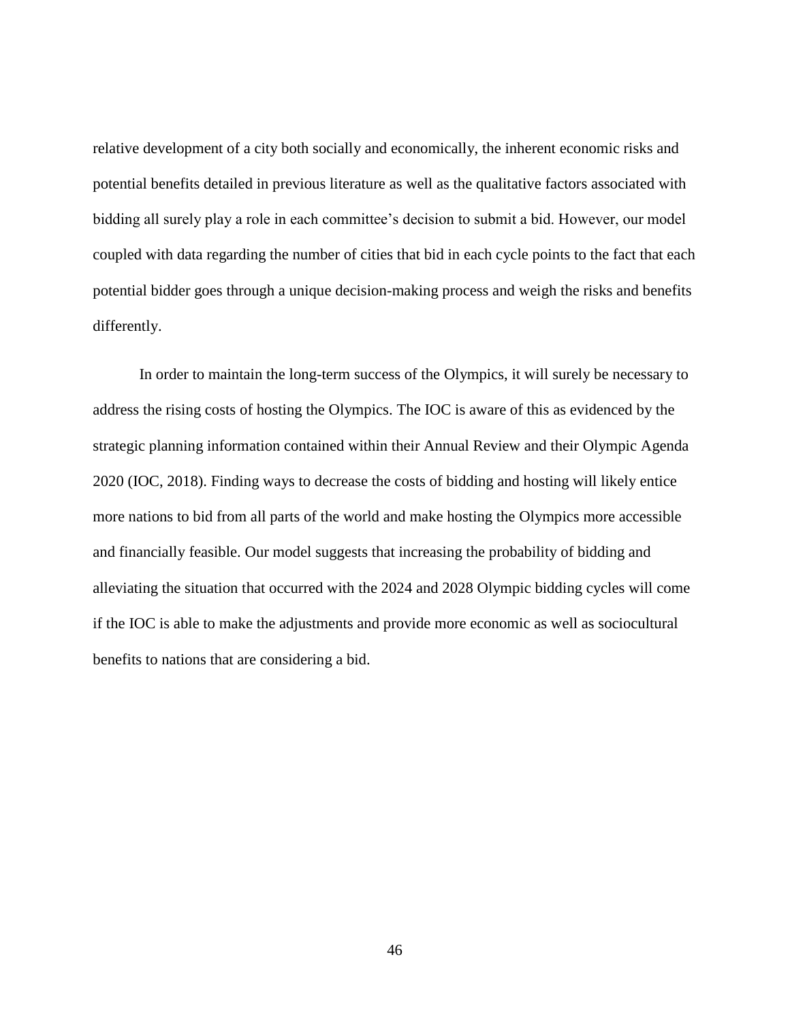relative development of a city both socially and economically, the inherent economic risks and potential benefits detailed in previous literature as well as the qualitative factors associated with bidding all surely play a role in each committee's decision to submit a bid. However, our model coupled with data regarding the number of cities that bid in each cycle points to the fact that each potential bidder goes through a unique decision-making process and weigh the risks and benefits differently.

In order to maintain the long-term success of the Olympics, it will surely be necessary to address the rising costs of hosting the Olympics. The IOC is aware of this as evidenced by the strategic planning information contained within their Annual Review and their Olympic Agenda 2020 (IOC, 2018). Finding ways to decrease the costs of bidding and hosting will likely entice more nations to bid from all parts of the world and make hosting the Olympics more accessible and financially feasible. Our model suggests that increasing the probability of bidding and alleviating the situation that occurred with the 2024 and 2028 Olympic bidding cycles will come if the IOC is able to make the adjustments and provide more economic as well as sociocultural benefits to nations that are considering a bid.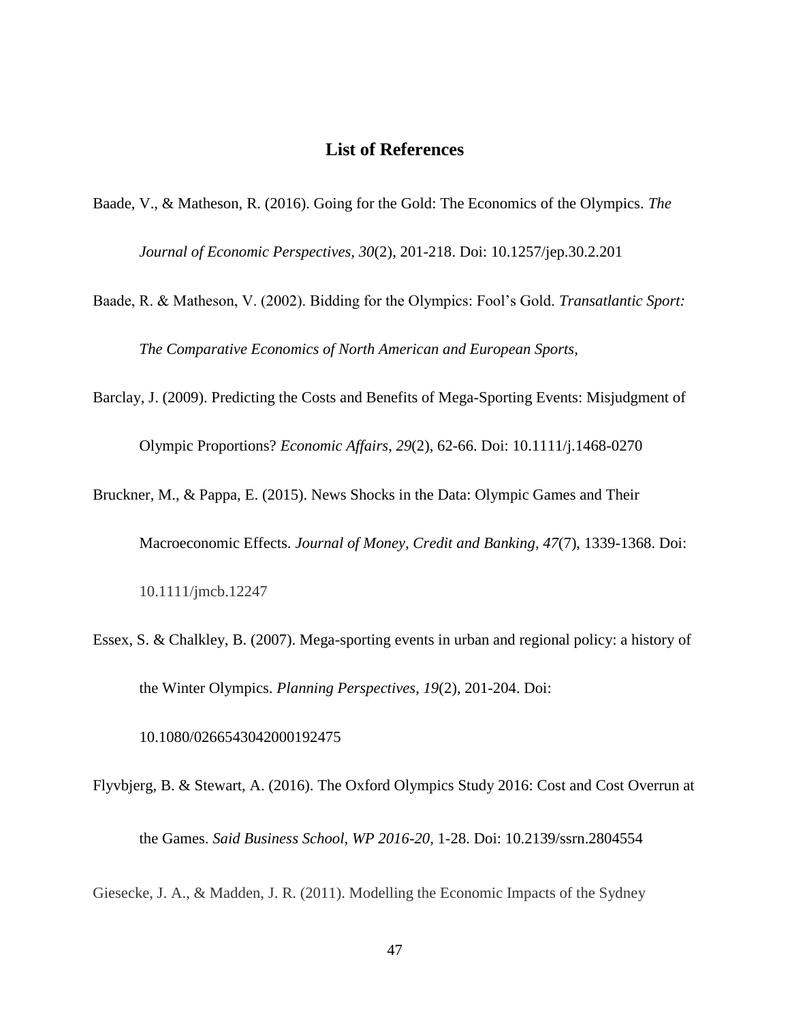## **List of References**

- <span id="page-53-0"></span>Baade, V., & Matheson, R. (2016). Going for the Gold: The Economics of the Olympics. *The Journal of Economic Perspectives, 30*(2), 201-218. Doi: 10.1257/jep.30.2.201
- Baade, R. & Matheson, V. (2002). Bidding for the Olympics: Fool's Gold. *Transatlantic Sport: The Comparative Economics of North American and European Sports,*
- Barclay, J. (2009). Predicting the Costs and Benefits of Mega-Sporting Events: Misjudgment of Olympic Proportions? *Economic Affairs*, *29*(2), 62-66. Doi: 10.1111/j.1468-0270

Bruckner, M., & Pappa, E. (2015). News Shocks in the Data: Olympic Games and Their

Macroeconomic Effects. *Journal of Money, Credit and Banking*, *47*(7), 1339-1368. Doi:

10.1111/jmcb.12247

Essex, S. & Chalkley, B. (2007). Mega-sporting events in urban and regional policy: a history of the Winter Olympics. *Planning Perspectives, 19*(2), 201-204. Doi:

10.1080/0266543042000192475

Flyvbjerg, B. & Stewart, A. (2016). The Oxford Olympics Study 2016: Cost and Cost Overrun at the Games. *Said Business School, WP 2016-20,* 1-28. Doi: 10.2139/ssrn.2804554

Giesecke, J. A., & Madden, J. R. (2011). Modelling the Economic Impacts of the Sydney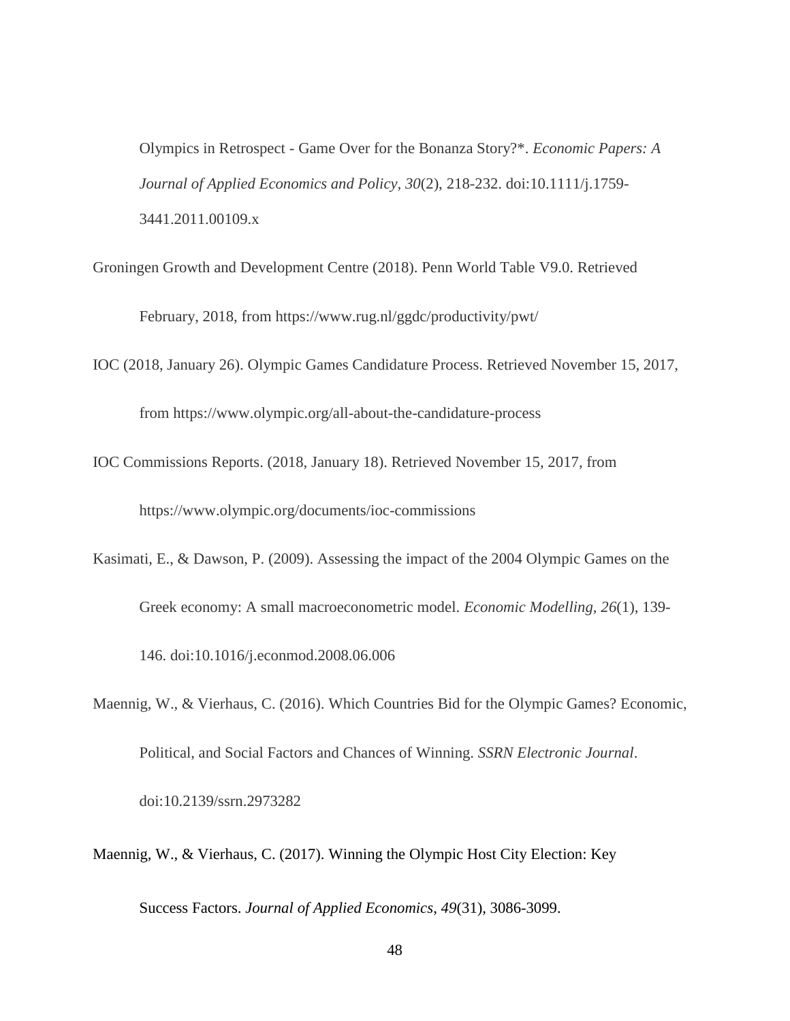Olympics in Retrospect - Game Over for the Bonanza Story?\*. *Economic Papers: A Journal of Applied Economics and Policy, 30*(2), 218-232. doi:10.1111/j.1759- 3441.2011.00109.x

- Groningen Growth and Development Centre (2018). Penn World Table V9.0. Retrieved February, 2018, from https://www.rug.nl/ggdc/productivity/pwt/
- IOC (2018, January 26). Olympic Games Candidature Process. Retrieved November 15, 2017, from https://www.olympic.org/all-about-the-candidature-process
- IOC Commissions Reports. (2018, January 18). Retrieved November 15, 2017, from https://www.olympic.org/documents/ioc-commissions
- Kasimati, E., & Dawson, P. (2009). Assessing the impact of the 2004 Olympic Games on the Greek economy: A small macroeconometric model. *Economic Modelling, 26*(1), 139- 146. doi:10.1016/j.econmod.2008.06.006
- Maennig, W., & Vierhaus, C. (2016). Which Countries Bid for the Olympic Games? Economic, Political, and Social Factors and Chances of Winning. *SSRN Electronic Journal*. doi:10.2139/ssrn.2973282
- Maennig, W., & Vierhaus, C. (2017). Winning the Olympic Host City Election: Key

Success Factors. *Journal of Applied Economics*, *49*(31), 3086-3099.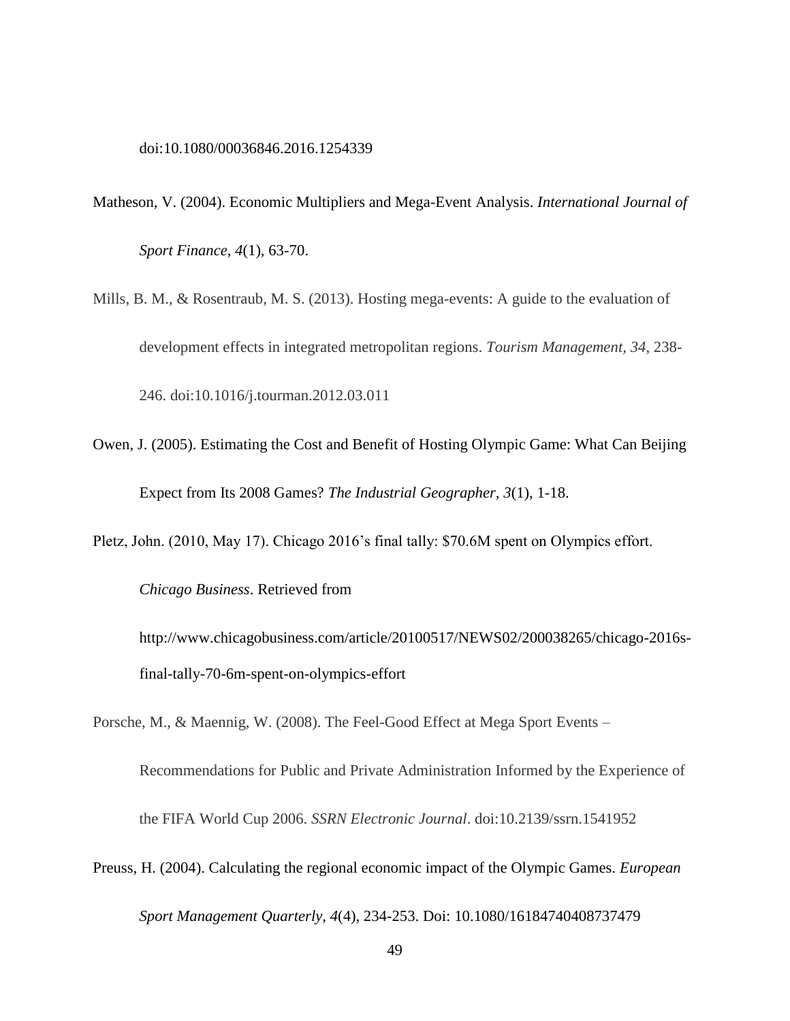#### [doi:10.1080/00036846.2016.1254339](https://doi.org/10.1080/00036846.2016.1254339)

- Matheson, V. (2004). Economic Multipliers and Mega-Event Analysis. *International Journal of Sport Finance, 4*(1), 63-70.
- Mills, B. M., & Rosentraub, M. S. (2013). Hosting mega-events: A guide to the evaluation of development effects in integrated metropolitan regions. *Tourism Management, 34*, 238- 246. doi:10.1016/j.tourman.2012.03.011
- Owen, J. (2005). Estimating the Cost and Benefit of Hosting Olympic Game: What Can Beijing Expect from Its 2008 Games? *The Industrial Geographer, 3*(1), 1-18.

Pletz, John. (2010, May 17). Chicago 2016's final tally: \$70.6M spent on Olympics effort.

*Chicago Business*. Retrieved from

http://www.chicagobusiness.com/article/20100517/NEWS02/200038265/chicago-2016sfinal-tally-70-6m-spent-on-olympics-effort

Porsche, M., & Maennig, W. (2008). The Feel-Good Effect at Mega Sport Events –

Recommendations for Public and Private Administration Informed by the Experience of the FIFA World Cup 2006. *SSRN Electronic Journal*. doi:10.2139/ssrn.1541952

Preuss, H. (2004). Calculating the regional economic impact of the Olympic Games. *European Sport Management Quarterly, 4*(4), 234-253. Doi: 10.1080/16184740408737479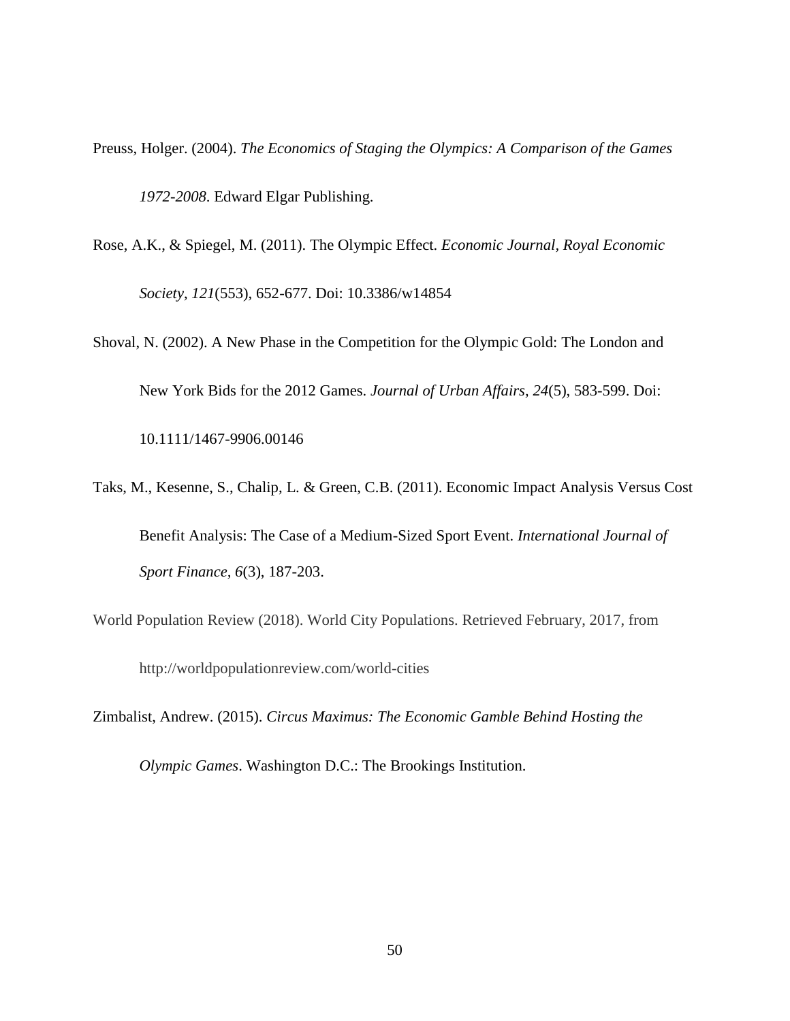Preuss, Holger. (2004). *The Economics of Staging the Olympics: A Comparison of the Games 1972-2008*. Edward Elgar Publishing.

- Rose, A.K., & Spiegel, M. (2011). The Olympic Effect. *Economic Journal, Royal Economic Society*, *121*(553), 652-677. Doi: 10.3386/w14854
- Shoval, N. (2002). A New Phase in the Competition for the Olympic Gold: The London and New York Bids for the 2012 Games. *Journal of Urban Affairs, 24*(5), 583-599. Doi: 10.1111/1467-9906.00146
- Taks, M., Kesenne, S., Chalip, L. & Green, C.B. (2011). Economic Impact Analysis Versus Cost Benefit Analysis: The Case of a Medium-Sized Sport Event. *International Journal of Sport Finance, 6*(3), 187-203.
- World Population Review (2018). World City Populations. Retrieved February, 2017, from http://worldpopulationreview.com/world-cities
- Zimbalist, Andrew. (2015). *Circus Maximus: The Economic Gamble Behind Hosting the Olympic Games*. Washington D.C.: The Brookings Institution.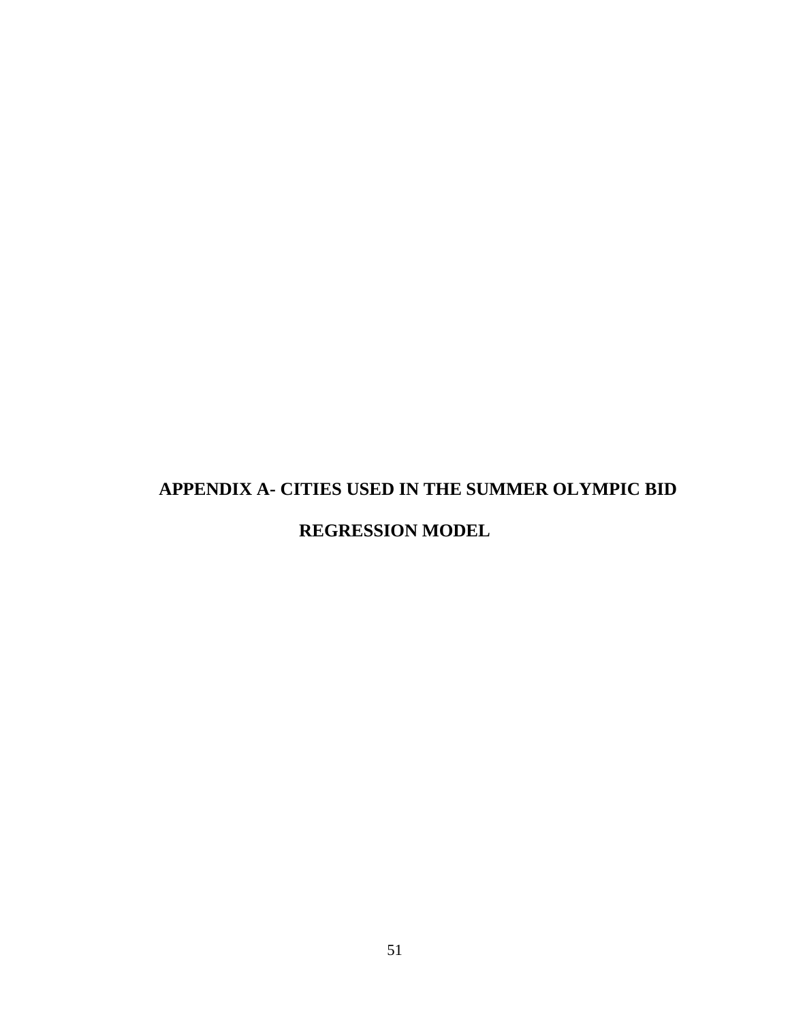# **APPENDIX A- CITIES USED IN THE SUMMER OLYMPIC BID**

## **REGRESSION MODEL**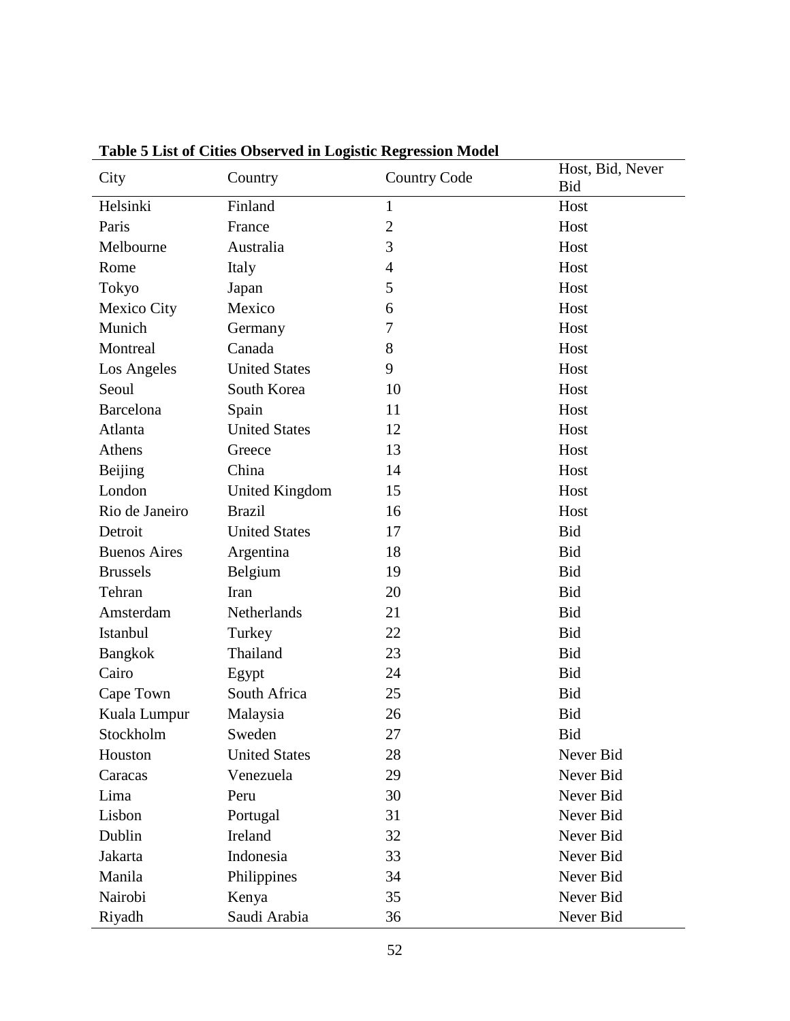| City                | Country               | <b>Country Code</b> | Host, Bid, Never<br><b>Bid</b> |
|---------------------|-----------------------|---------------------|--------------------------------|
| Helsinki            | Finland               | $\mathbf{1}$        | Host                           |
| Paris               | France                | $\overline{2}$      | Host                           |
| Melbourne           | Australia             | 3                   | Host                           |
| Rome                | Italy                 | $\overline{4}$      | Host                           |
| Tokyo               | Japan                 | 5                   | Host                           |
| Mexico City         | Mexico                | 6                   | Host                           |
| Munich              | Germany               | 7                   | Host                           |
| Montreal            | Canada                | 8                   | Host                           |
| Los Angeles         | <b>United States</b>  | 9                   | Host                           |
| Seoul               | South Korea           | 10                  | Host                           |
| <b>Barcelona</b>    | Spain                 | 11                  | Host                           |
| Atlanta             | <b>United States</b>  | 12                  | Host                           |
| Athens              | Greece                | 13                  | Host                           |
| Beijing             | China                 | 14                  | Host                           |
| London              | <b>United Kingdom</b> | 15                  | Host                           |
| Rio de Janeiro      | <b>Brazil</b>         | 16                  | Host                           |
| Detroit             | <b>United States</b>  | 17                  | <b>Bid</b>                     |
| <b>Buenos Aires</b> | Argentina             | 18                  | <b>Bid</b>                     |
| <b>Brussels</b>     | Belgium               | 19                  | <b>Bid</b>                     |
| Tehran              | Iran                  | 20                  | <b>Bid</b>                     |
| Amsterdam           | Netherlands           | 21                  | <b>Bid</b>                     |
| Istanbul            | Turkey                | 22                  | <b>Bid</b>                     |
| Bangkok             | Thailand              | 23                  | <b>Bid</b>                     |
| Cairo               | Egypt                 | 24                  | <b>Bid</b>                     |
| Cape Town           | South Africa          | 25                  | <b>Bid</b>                     |
| Kuala Lumpur        | Malaysia              | 26                  | <b>Bid</b>                     |
| Stockholm           | Sweden                | 27                  | <b>Bid</b>                     |
| Houston             | <b>United States</b>  | 28                  | Never Bid                      |
| Caracas             | Venezuela             | 29                  | Never Bid                      |
| Lima                | Peru                  | 30                  | Never Bid                      |
| Lisbon              | Portugal              | 31                  | Never Bid                      |
| Dublin              | Ireland               | 32                  | Never Bid                      |
| Jakarta             | Indonesia             | 33                  | Never Bid                      |
| Manila              | Philippines           | 34                  | Never Bid                      |
| Nairobi             | Kenya                 | 35                  | Never Bid                      |
| Riyadh              | Saudi Arabia          | 36                  | Never Bid                      |

**Table 5 List of Cities Observed in Logistic Regression Model**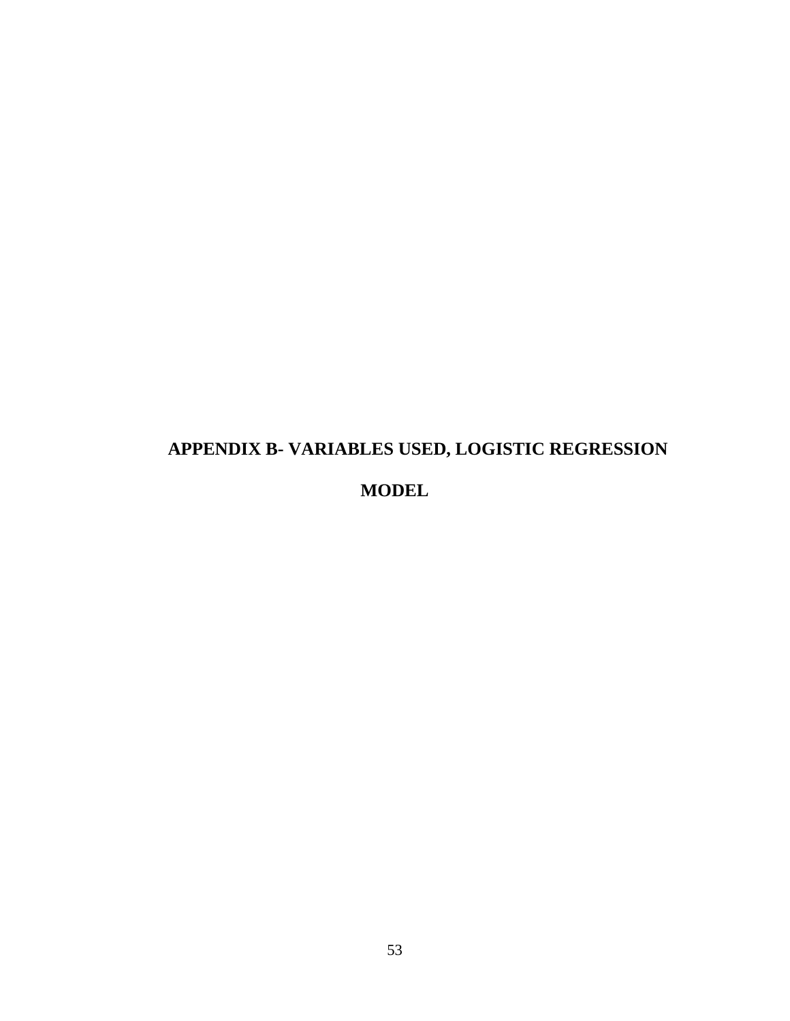# **APPENDIX B- VARIABLES USED, LOGISTIC REGRESSION MODEL**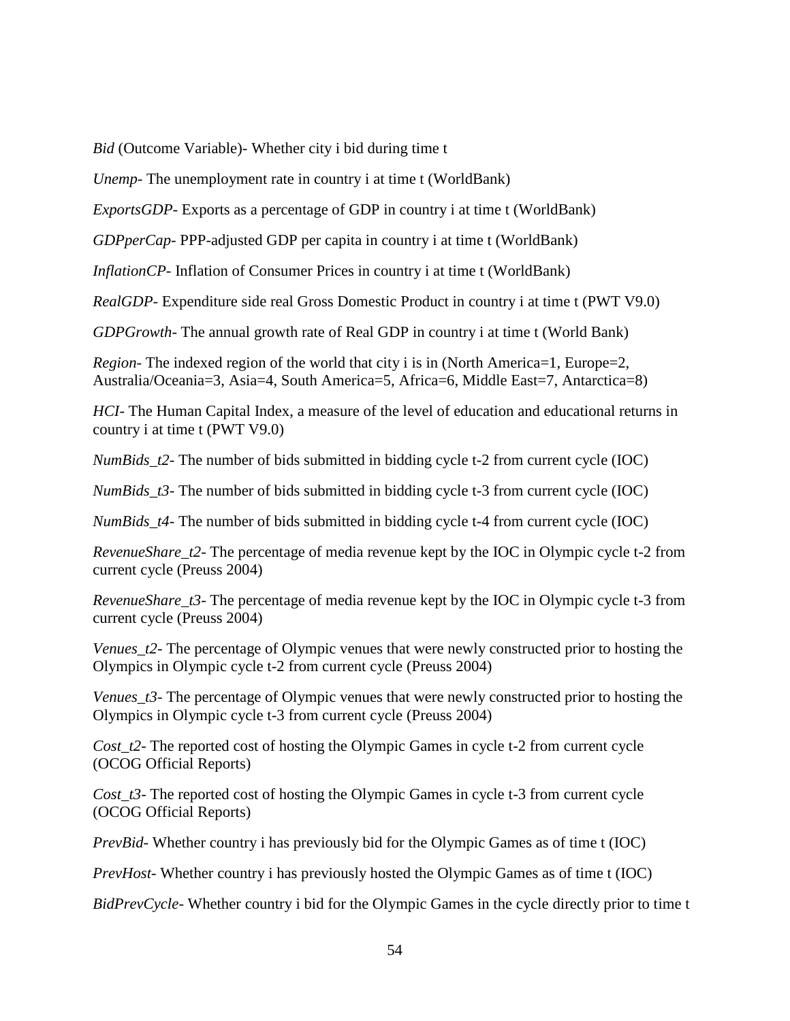*Bid* (Outcome Variable)- Whether city i bid during time t

*Unemp*- The unemployment rate in country i at time t (WorldBank)

*ExportsGDP-* Exports as a percentage of GDP in country i at time t (WorldBank)

*GDPperCap*- PPP-adjusted GDP per capita in country i at time t (WorldBank)

*InflationCP*- Inflation of Consumer Prices in country *i* at time t (WorldBank)

*RealGDP*- Expenditure side real Gross Domestic Product in country i at time t (PWT V9.0)

*GDPGrowth*- The annual growth rate of Real GDP in country i at time t (World Bank)

*Region*- The indexed region of the world that city i is in (North America=1, Europe=2, Australia/Oceania=3, Asia=4, South America=5, Africa=6, Middle East=7, Antarctica=8)

*HCI*- The Human Capital Index, a measure of the level of education and educational returns in country i at time t (PWT V9.0)

*NumBids\_t2*- The number of bids submitted in bidding cycle t-2 from current cycle (IOC)

*NumBids\_t3*- The number of bids submitted in bidding cycle t-3 from current cycle (IOC)

*NumBids\_t4*- The number of bids submitted in bidding cycle t-4 from current cycle (IOC)

*RevenueShare\_t2*- The percentage of media revenue kept by the IOC in Olympic cycle t-2 from current cycle (Preuss 2004)

*RevenueShare\_t3*- The percentage of media revenue kept by the IOC in Olympic cycle t-3 from current cycle (Preuss 2004)

*Venues t2*- The percentage of Olympic venues that were newly constructed prior to hosting the Olympics in Olympic cycle t-2 from current cycle (Preuss 2004)

*Venues t3*- The percentage of Olympic venues that were newly constructed prior to hosting the Olympics in Olympic cycle t-3 from current cycle (Preuss 2004)

*Cost\_t2*- The reported cost of hosting the Olympic Games in cycle t-2 from current cycle (OCOG Official Reports)

*Cost\_t3*- The reported cost of hosting the Olympic Games in cycle t-3 from current cycle (OCOG Official Reports)

*PrevBid*- Whether country i has previously bid for the Olympic Games as of time t (IOC)

*PrevHost-* Whether country i has previously hosted the Olympic Games as of time t (IOC)

*BidPrevCycle-* Whether country i bid for the Olympic Games in the cycle directly prior to time t